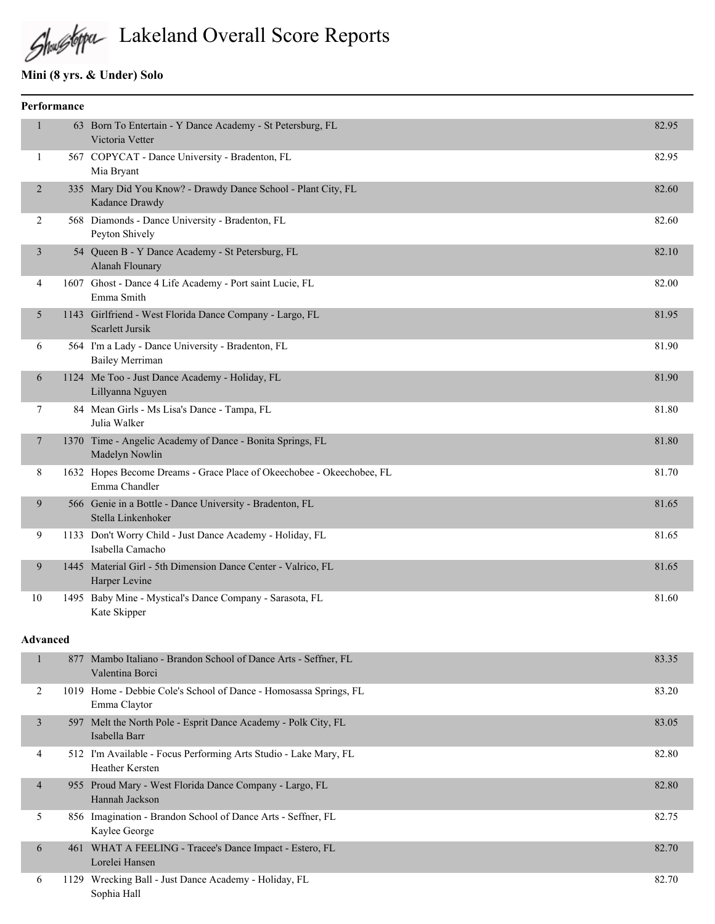

# Lakeland Overall Score Reports

# **Mini (8 yrs. & Under) Solo**

|                | Performance |                                                                                        |       |
|----------------|-------------|----------------------------------------------------------------------------------------|-------|
| $\mathbf{1}$   |             | 63 Born To Entertain - Y Dance Academy - St Petersburg, FL<br>Victoria Vetter          | 82.95 |
| $\mathbf{1}$   |             | 567 COPYCAT - Dance University - Bradenton, FL<br>Mia Bryant                           | 82.95 |
| $\overline{2}$ |             | 335 Mary Did You Know? - Drawdy Dance School - Plant City, FL<br>Kadance Drawdy        | 82.60 |
| 2              |             | 568 Diamonds - Dance University - Bradenton, FL<br>Peyton Shively                      | 82.60 |
| 3              |             | 54 Queen B - Y Dance Academy - St Petersburg, FL<br><b>Alanah Flounary</b>             | 82.10 |
| 4              |             | 1607 Ghost - Dance 4 Life Academy - Port saint Lucie, FL<br>Emma Smith                 | 82.00 |
| 5              |             | 1143 Girlfriend - West Florida Dance Company - Largo, FL<br>Scarlett Jursik            | 81.95 |
| 6              |             | 564 I'm a Lady - Dance University - Bradenton, FL<br><b>Bailey Merriman</b>            | 81.90 |
| 6              |             | 1124 Me Too - Just Dance Academy - Holiday, FL<br>Lillyanna Nguyen                     | 81.90 |
| 7              |             | 84 Mean Girls - Ms Lisa's Dance - Tampa, FL<br>Julia Walker                            | 81.80 |
| 7              |             | 1370 Time - Angelic Academy of Dance - Bonita Springs, FL<br>Madelyn Nowlin            | 81.80 |
| 8              |             | 1632 Hopes Become Dreams - Grace Place of Okeechobee - Okeechobee, FL<br>Emma Chandler | 81.70 |
| 9              |             | 566 Genie in a Bottle - Dance University - Bradenton, FL<br>Stella Linkenhoker         | 81.65 |
| 9              |             | 1133 Don't Worry Child - Just Dance Academy - Holiday, FL<br>Isabella Camacho          | 81.65 |
| 9              |             | 1445 Material Girl - 5th Dimension Dance Center - Valrico, FL<br>Harper Levine         | 81.65 |
| 10             |             | 1495 Baby Mine - Mystical's Dance Company - Sarasota, FL<br>Kate Skipper               | 81.60 |

#### **Advanced**

|                | 877 | Mambo Italiano - Brandon School of Dance Arts - Seffner, FL<br>Valentina Borci      | 83.35 |
|----------------|-----|-------------------------------------------------------------------------------------|-------|
| 2              |     | 1019 Home - Debbie Cole's School of Dance - Homosassa Springs, FL<br>Emma Claytor   | 83.20 |
| 3              |     | 597 Melt the North Pole - Esprit Dance Academy - Polk City, FL<br>Isabella Barr     | 83.05 |
| 4              |     | 512 I'm Available - Focus Performing Arts Studio - Lake Mary, FL<br>Heather Kersten | 82.80 |
| $\overline{4}$ |     | 955 Proud Mary - West Florida Dance Company - Largo, FL<br>Hannah Jackson           | 82.80 |
| 5              |     | 856 Imagination - Brandon School of Dance Arts - Seffner, FL<br>Kaylee George       | 82.75 |
| 6              |     | 461 WHAT A FEELING - Tracee's Dance Impact - Estero, FL<br>Lorelei Hansen           | 82.70 |
| 6              |     | 1129 Wrecking Ball - Just Dance Academy - Holiday, FL<br>Sophia Hall                | 82.70 |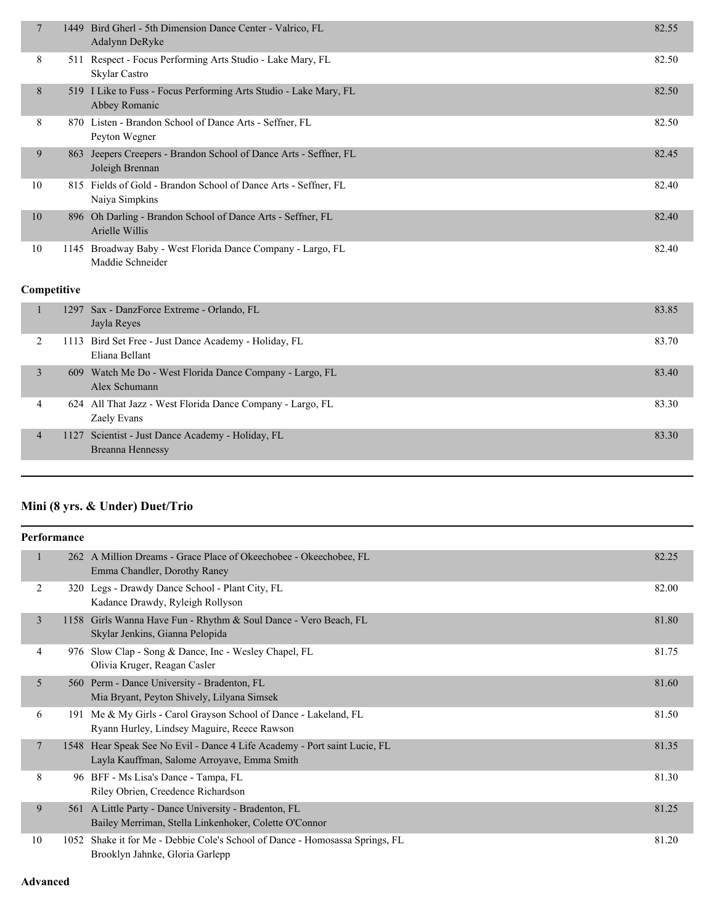| $\overline{7}$ | 1449 | Bird Gherl - 5th Dimension Dance Center - Valrico, FL<br>Adalynn DeRyke            | 82.55 |
|----------------|------|------------------------------------------------------------------------------------|-------|
| 8              | 511  | Respect - Focus Performing Arts Studio - Lake Mary, FL<br>Skylar Castro            | 82.50 |
| 8              |      | 519 I Like to Fuss - Focus Performing Arts Studio - Lake Mary, FL<br>Abbey Romanic | 82.50 |
| 8              |      | 870 Listen - Brandon School of Dance Arts - Seffner, FL<br>Peyton Wegner           | 82.50 |
| 9              | 863  | Jeepers Creepers - Brandon School of Dance Arts - Seffner, FL<br>Joleigh Brennan   | 82.45 |
| 10             |      | 815 Fields of Gold - Brandon School of Dance Arts - Seffner, FL<br>Naiya Simpkins  | 82.40 |
| 10             | 896  | Oh Darling - Brandon School of Dance Arts - Seffner, FL<br>Arielle Willis          | 82.40 |
| 10             | 1145 | Broadway Baby - West Florida Dance Company - Largo, FL<br>Maddie Schneider         | 82.40 |

#### **Competitive**

|              | 1297 Sax - DanzForce Extreme - Orlando, FL<br>Jayla Reyes                 | 83.85 |
|--------------|---------------------------------------------------------------------------|-------|
|              | 1113 Bird Set Free - Just Dance Academy - Holiday, FL<br>Eliana Bellant   | 83.70 |
| $\mathbf{3}$ | 609 Watch Me Do - West Florida Dance Company - Largo, FL<br>Alex Schumann | 83.40 |
| 4            | 624 All That Jazz - West Florida Dance Company - Largo, FL<br>Zaely Evans | 83.30 |
| 4            | 1127 Scientist - Just Dance Academy - Holiday, FL<br>Breanna Hennessy     | 83.30 |
|              |                                                                           |       |

# **Mini (8 yrs. & Under) Duet/Trio**

| Performance    |     |                                                                                                                          |       |
|----------------|-----|--------------------------------------------------------------------------------------------------------------------------|-------|
|                |     | 262 A Million Dreams - Grace Place of Okeechobee - Okeechobee, FL<br>Emma Chandler, Dorothy Raney                        | 82.25 |
| 2              | 320 | Legs - Drawdy Dance School - Plant City, FL<br>Kadance Drawdy, Ryleigh Rollyson                                          | 82.00 |
| 3              |     | 1158 Girls Wanna Have Fun - Rhythm & Soul Dance - Vero Beach, FL<br>Skylar Jenkins, Gianna Pelopida                      | 81.80 |
| $\overline{4}$ |     | 976 Slow Clap - Song & Dance, Inc - Wesley Chapel, FL<br>Olivia Kruger, Reagan Casler                                    | 81.75 |
| 5              |     | 560 Perm - Dance University - Bradenton, FL<br>Mia Bryant, Peyton Shively, Lilyana Simsek                                | 81.60 |
| 6              | 191 | Me & My Girls - Carol Grayson School of Dance - Lakeland, FL<br>Ryann Hurley, Lindsey Maguire, Reece Rawson              | 81.50 |
| $\overline{7}$ |     | 1548 Hear Speak See No Evil - Dance 4 Life Academy - Port saint Lucie, FL<br>Layla Kauffman, Salome Arroyave, Emma Smith | 81.35 |
| 8              |     | 96 BFF - Ms Lisa's Dance - Tampa, FL<br>Riley Obrien, Creedence Richardson                                               | 81.30 |
| 9              | 561 | A Little Party - Dance University - Bradenton, FL<br>Bailey Merriman, Stella Linkenhoker, Colette O'Connor               | 81.25 |
| 10             |     | 1052 Shake it for Me - Debbie Cole's School of Dance - Homosassa Springs, FL<br>Brooklyn Jahnke, Gloria Garlepp          | 81.20 |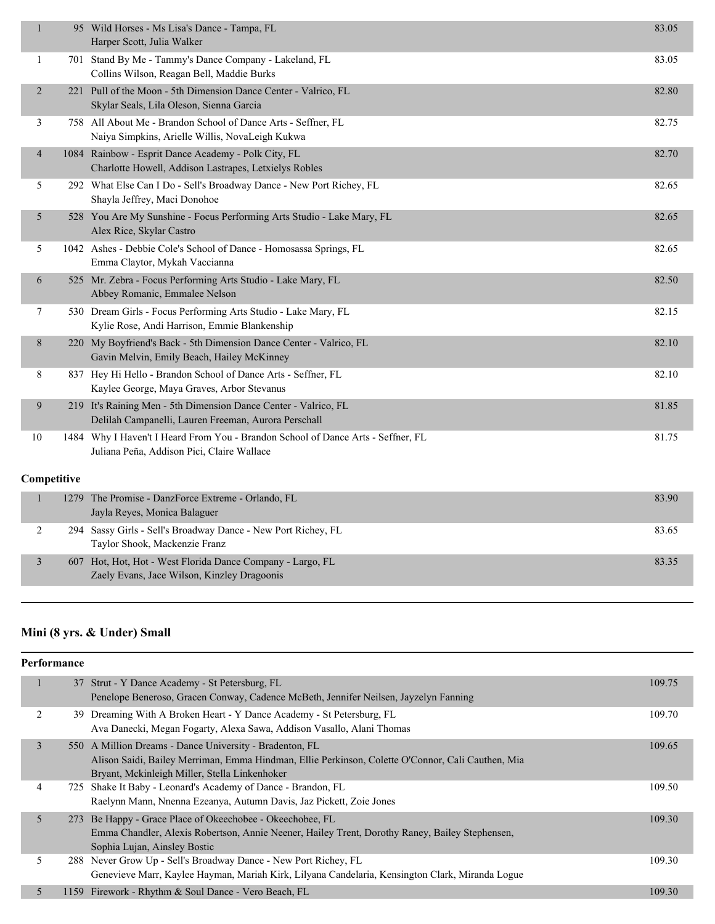| $\mathbf{1}$   | 95 Wild Horses - Ms Lisa's Dance - Tampa, FL<br>Harper Scott, Julia Walker                                                     | 83.05 |
|----------------|--------------------------------------------------------------------------------------------------------------------------------|-------|
| $\mathbf{1}$   | 701 Stand By Me - Tammy's Dance Company - Lakeland, FL<br>Collins Wilson, Reagan Bell, Maddie Burks                            | 83.05 |
| $\overline{2}$ | 221 Pull of the Moon - 5th Dimension Dance Center - Valrico, FL<br>Skylar Seals, Lila Oleson, Sienna Garcia                    | 82.80 |
| 3              | 758 All About Me - Brandon School of Dance Arts - Seffner, FL<br>Naiya Simpkins, Arielle Willis, NovaLeigh Kukwa               | 82.75 |
| $\overline{4}$ | 1084 Rainbow - Esprit Dance Academy - Polk City, FL<br>Charlotte Howell, Addison Lastrapes, Letxielys Robles                   | 82.70 |
| 5              | 292 What Else Can I Do - Sell's Broadway Dance - New Port Richey, FL<br>Shayla Jeffrey, Maci Donohoe                           | 82.65 |
| 5              | 528 You Are My Sunshine - Focus Performing Arts Studio - Lake Mary, FL<br>Alex Rice, Skylar Castro                             | 82.65 |
| 5              | 1042 Ashes - Debbie Cole's School of Dance - Homosassa Springs, FL<br>Emma Claytor, Mykah Vaccianna                            | 82.65 |
| 6              | 525 Mr. Zebra - Focus Performing Arts Studio - Lake Mary, FL<br>Abbey Romanic, Emmalee Nelson                                  | 82.50 |
| 7              | 530 Dream Girls - Focus Performing Arts Studio - Lake Mary, FL<br>Kylie Rose, Andi Harrison, Emmie Blankenship                 | 82.15 |
| 8              | 220 My Boyfriend's Back - 5th Dimension Dance Center - Valrico, FL<br>Gavin Melvin, Emily Beach, Hailey McKinney               | 82.10 |
| 8              | 837 Hey Hi Hello - Brandon School of Dance Arts - Seffner, FL<br>Kaylee George, Maya Graves, Arbor Stevanus                    | 82.10 |
| $\overline{9}$ | 219 It's Raining Men - 5th Dimension Dance Center - Valrico, FL<br>Delilah Campanelli, Lauren Freeman, Aurora Perschall        | 81.85 |
| 10             | 1484 Why I Haven't I Heard From You - Brandon School of Dance Arts - Seffner, FL<br>Juliana Peña, Addison Pici, Claire Wallace | 81.75 |
| Competitive    |                                                                                                                                |       |
| $\mathbf{1}$   | 1279 The Promise - DanzForce Extreme - Orlando, FL<br>Jayla Reyes, Monica Balaguer                                             | 83.90 |
| $\overline{c}$ | 294 Sassy Girls - Sell's Broadway Dance - New Port Richey, FL<br>Taylor Shook, Mackenzie Franz                                 | 83.65 |
| 3              | 607 Hot, Hot, Hot - West Florida Dance Company - Largo, FL<br>Zaely Evans, Jace Wilson, Kinzley Dragoonis                      | 83.35 |

# **Mini (8 yrs. & Under) Small**

|   | <b>Performance</b> |                                                                                                                                                                                                               |        |
|---|--------------------|---------------------------------------------------------------------------------------------------------------------------------------------------------------------------------------------------------------|--------|
|   |                    | 37 Strut - Y Dance Academy - St Petersburg, FL<br>Penelope Beneroso, Gracen Conway, Cadence McBeth, Jennifer Neilsen, Jayzelyn Fanning                                                                        | 109.75 |
| 2 |                    | 39 Dreaming With A Broken Heart - Y Dance Academy - St Petersburg, FL<br>Ava Danecki, Megan Fogarty, Alexa Sawa, Addison Vasallo, Alani Thomas                                                                | 109.70 |
| 3 |                    | 550 A Million Dreams - Dance University - Bradenton, FL<br>Alison Saidi, Bailey Merriman, Emma Hindman, Ellie Perkinson, Colette O'Connor, Cali Cauthen, Mia<br>Bryant, Mckinleigh Miller, Stella Linkenhoker | 109.65 |
| 4 |                    | 725 Shake It Baby - Leonard's Academy of Dance - Brandon, FL<br>Raelynn Mann, Nnenna Ezeanya, Autumn Davis, Jaz Pickett, Zoie Jones                                                                           | 109.50 |
| 5 |                    | 273 Be Happy - Grace Place of Okeechobee - Okeechobee, FL<br>Emma Chandler, Alexis Robertson, Annie Neener, Hailey Trent, Dorothy Raney, Bailey Stephensen,<br>Sophia Lujan, Ainsley Bostic                   | 109.30 |
| 5 |                    | 288 Never Grow Up - Sell's Broadway Dance - New Port Richey, FL<br>Genevieve Marr, Kaylee Hayman, Mariah Kirk, Lilyana Candelaria, Kensington Clark, Miranda Logue                                            | 109.30 |
| 5 | 1159               | Firework - Rhythm & Soul Dance - Vero Beach, FL                                                                                                                                                               | 109.30 |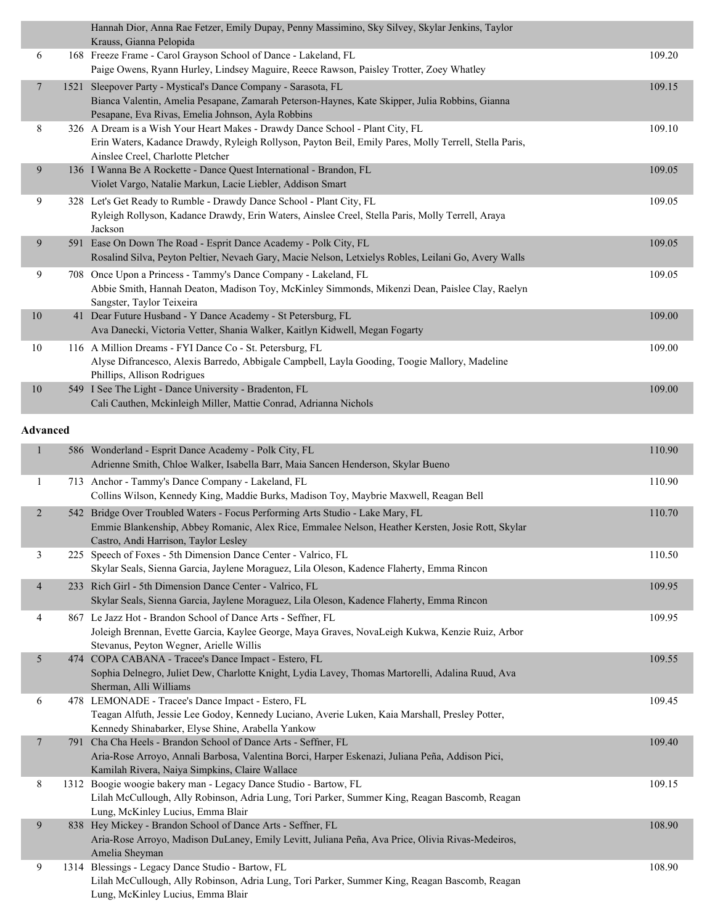|                |      | Hannah Dior, Anna Rae Fetzer, Emily Dupay, Penny Massimino, Sky Silvey, Skylar Jenkins, Taylor<br>Krauss, Gianna Pelopida |        |
|----------------|------|---------------------------------------------------------------------------------------------------------------------------|--------|
| 6              |      | 168 Freeze Frame - Carol Grayson School of Dance - Lakeland, FL                                                           | 109.20 |
|                |      | Paige Owens, Ryann Hurley, Lindsey Maguire, Reece Rawson, Paisley Trotter, Zoey Whatley                                   |        |
| $\overline{7}$ | 1521 | Sleepover Party - Mystical's Dance Company - Sarasota, FL                                                                 | 109.15 |
|                |      | Bianca Valentin, Amelia Pesapane, Zamarah Peterson-Haynes, Kate Skipper, Julia Robbins, Gianna                            |        |
|                |      | Pesapane, Eva Rivas, Emelia Johnson, Ayla Robbins                                                                         |        |
| 8              |      | 326 A Dream is a Wish Your Heart Makes - Drawdy Dance School - Plant City, FL                                             | 109.10 |
|                |      | Erin Waters, Kadance Drawdy, Ryleigh Rollyson, Payton Beil, Emily Pares, Molly Terrell, Stella Paris,                     |        |
|                |      | Ainslee Creel, Charlotte Pletcher                                                                                         |        |
| 9              |      | 136 I Wanna Be A Rockette - Dance Quest International - Brandon, FL                                                       | 109.05 |
|                |      | Violet Vargo, Natalie Markun, Lacie Liebler, Addison Smart                                                                |        |
| 9              |      | 328 Let's Get Ready to Rumble - Drawdy Dance School - Plant City, FL                                                      | 109.05 |
|                |      | Ryleigh Rollyson, Kadance Drawdy, Erin Waters, Ainslee Creel, Stella Paris, Molly Terrell, Araya                          |        |
|                |      | Jackson                                                                                                                   |        |
| 9              |      | 591 Ease On Down The Road - Esprit Dance Academy - Polk City, FL                                                          | 109.05 |
|                |      | Rosalind Silva, Peyton Peltier, Nevaeh Gary, Macie Nelson, Letxielys Robles, Leilani Go, Avery Walls                      |        |
| 9              |      | 708 Once Upon a Princess - Tammy's Dance Company - Lakeland, FL                                                           | 109.05 |
|                |      | Abbie Smith, Hannah Deaton, Madison Toy, McKinley Simmonds, Mikenzi Dean, Paislee Clay, Raelyn                            |        |
|                |      | Sangster, Taylor Teixeira                                                                                                 |        |
| 10             |      | 41 Dear Future Husband - Y Dance Academy - St Petersburg, FL                                                              | 109.00 |
|                |      | Ava Danecki, Victoria Vetter, Shania Walker, Kaitlyn Kidwell, Megan Fogarty                                               |        |
| 10             |      | 116 A Million Dreams - FYI Dance Co - St. Petersburg, FL                                                                  | 109.00 |
|                |      | Alyse Difrancesco, Alexis Barredo, Abbigale Campbell, Layla Gooding, Toogie Mallory, Madeline                             |        |
|                |      | Phillips, Allison Rodrigues                                                                                               |        |
| $10\,$         |      | 549 I See The Light - Dance University - Bradenton, FL                                                                    | 109.00 |
|                |      | Cali Cauthen, Mckinleigh Miller, Mattie Conrad, Adrianna Nichols                                                          |        |
|                |      |                                                                                                                           |        |

#### **Advanced**

| $\mathbf{1}$   |      | 586 Wonderland - Esprit Dance Academy - Polk City, FL<br>Adrienne Smith, Chloe Walker, Isabella Barr, Maia Sancen Henderson, Skylar Bueno                                                                                  | 110.90 |
|----------------|------|----------------------------------------------------------------------------------------------------------------------------------------------------------------------------------------------------------------------------|--------|
| 1              |      | 713 Anchor - Tammy's Dance Company - Lakeland, FL<br>Collins Wilson, Kennedy King, Maddie Burks, Madison Toy, Maybrie Maxwell, Reagan Bell                                                                                 | 110.90 |
| $\overline{2}$ |      | 542 Bridge Over Troubled Waters - Focus Performing Arts Studio - Lake Mary, FL<br>Emmie Blankenship, Abbey Romanic, Alex Rice, Emmalee Nelson, Heather Kersten, Josie Rott, Skylar<br>Castro, Andi Harrison, Taylor Lesley | 110.70 |
| 3              |      | 225 Speech of Foxes - 5th Dimension Dance Center - Valrico, FL<br>Skylar Seals, Sienna Garcia, Jaylene Moraguez, Lila Oleson, Kadence Flaherty, Emma Rincon                                                                | 110.50 |
| $\overline{4}$ |      | 233 Rich Girl - 5th Dimension Dance Center - Valrico, FL<br>Skylar Seals, Sienna Garcia, Jaylene Moraguez, Lila Oleson, Kadence Flaherty, Emma Rincon                                                                      | 109.95 |
| 4              |      | 867 Le Jazz Hot - Brandon School of Dance Arts - Seffner, FL<br>Joleigh Brennan, Evette Garcia, Kaylee George, Maya Graves, NovaLeigh Kukwa, Kenzie Ruiz, Arbor<br>Stevanus, Peyton Wegner, Arielle Willis                 | 109.95 |
| 5              |      | 474 COPA CABANA - Tracee's Dance Impact - Estero, FL<br>Sophia Delnegro, Juliet Dew, Charlotte Knight, Lydia Lavey, Thomas Martorelli, Adalina Ruud, Ava<br>Sherman, Alli Williams                                         | 109.55 |
| 6              |      | 478 LEMONADE - Tracee's Dance Impact - Estero, FL<br>Teagan Alfuth, Jessie Lee Godoy, Kennedy Luciano, Averie Luken, Kaia Marshall, Presley Potter,<br>Kennedy Shinabarker, Elyse Shine, Arabella Yankow                   | 109.45 |
| $\overline{7}$ | 791. | Cha Cha Heels - Brandon School of Dance Arts - Seffner, FL<br>Aria-Rose Arroyo, Annali Barbosa, Valentina Borci, Harper Eskenazi, Juliana Peña, Addison Pici,<br>Kamilah Rivera, Naiya Simpkins, Claire Wallace            | 109.40 |
| 8              |      | 1312 Boogie woogie bakery man - Legacy Dance Studio - Bartow, FL<br>Lilah McCullough, Ally Robinson, Adria Lung, Tori Parker, Summer King, Reagan Bascomb, Reagan<br>Lung, McKinley Lucius, Emma Blair                     | 109.15 |
| 9              |      | 838 Hey Mickey - Brandon School of Dance Arts - Seffner, FL<br>Aria-Rose Arroyo, Madison DuLaney, Emily Levitt, Juliana Peña, Ava Price, Olivia Rivas-Medeiros,<br>Amelia Sheyman                                          | 108.90 |
| 9              |      | 1314 Blessings - Legacy Dance Studio - Bartow, FL<br>Lilah McCullough, Ally Robinson, Adria Lung, Tori Parker, Summer King, Reagan Bascomb, Reagan<br>Lung, McKinley Lucius, Emma Blair                                    | 108.90 |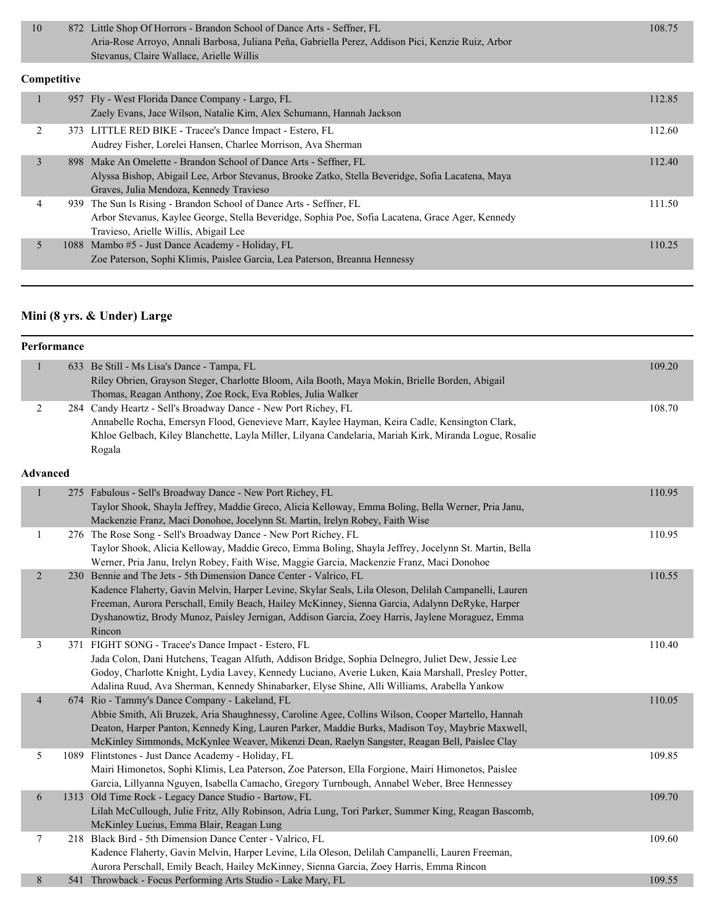| 872 Little Shop Of Horrors - Brandon School of Dance Arts - Seffner, FL                           | 108.75 |
|---------------------------------------------------------------------------------------------------|--------|
| Aria-Rose Arroyo, Annali Barbosa, Juliana Peña, Gabriella Perez, Addison Pici, Kenzie Ruiz, Arbor |        |
| Stevanus, Claire Wallace, Arielle Willis                                                          |        |

#### **Competitive**

|   | 957 Fly - West Florida Dance Company - Largo, FL                                                 | 112.85 |
|---|--------------------------------------------------------------------------------------------------|--------|
|   |                                                                                                  |        |
|   | Zaely Evans, Jace Wilson, Natalie Kim, Alex Schumann, Hannah Jackson                             |        |
|   | 373 LITTLE RED BIKE - Tracee's Dance Impact - Estero, FL                                         | 112.60 |
|   |                                                                                                  |        |
|   | Audrey Fisher, Lorelei Hansen, Charlee Morrison, Ava Sherman                                     |        |
|   | 898 Make An Omelette - Brandon School of Dance Arts - Seffner, FL                                | 112.40 |
|   |                                                                                                  |        |
|   | Alyssa Bishop, Abigail Lee, Arbor Stevanus, Brooke Zatko, Stella Beveridge, Sofia Lacatena, Maya |        |
|   | Graves, Julia Mendoza, Kennedy Travieso                                                          |        |
| 4 | 939 The Sun Is Rising - Brandon School of Dance Arts - Seffner, FL                               | 111.50 |
|   |                                                                                                  |        |
|   | Arbor Stevanus, Kaylee George, Stella Beveridge, Sophia Poe, Sofia Lacatena, Grace Ager, Kennedy |        |
|   | Travieso, Arielle Willis, Abigail Lee                                                            |        |
|   |                                                                                                  |        |
|   | 1088 Mambo #5 - Just Dance Academy - Holiday, FL                                                 | 110.25 |
|   | Zoe Paterson, Sophi Klimis, Paislee Garcia, Lea Paterson, Breanna Hennessy                       |        |
|   |                                                                                                  |        |

# **Mini (8 yrs. & Under) Large**

| Performance |  |                                                                                                        |        |  |
|-------------|--|--------------------------------------------------------------------------------------------------------|--------|--|
|             |  | 633 Be Still - Ms Lisa's Dance - Tampa, FL                                                             | 109.20 |  |
|             |  | Riley Obrien, Grayson Steger, Charlotte Bloom, Aila Booth, Maya Mokin, Brielle Borden, Abigail         |        |  |
|             |  | Thomas, Reagan Anthony, Zoe Rock, Eva Robles, Julia Walker                                             |        |  |
|             |  | 284 Candy Heartz - Sell's Broadway Dance - New Port Richey, FL                                         | 108.70 |  |
|             |  | Annabelle Rocha, Emersyn Flood, Genevieve Marr, Kaylee Hayman, Keira Cadle, Kensington Clark,          |        |  |
|             |  | Khloe Gelbach, Kiley Blanchette, Layla Miller, Lilyana Candelaria, Mariah Kirk, Miranda Logue, Rosalie |        |  |
|             |  | Rogala                                                                                                 |        |  |

#### **Advanced**

|                |      | 275 Fabulous - Sell's Broadway Dance - New Port Richey, FL<br>Taylor Shook, Shayla Jeffrey, Maddie Greco, Alicia Kelloway, Emma Boling, Bella Werner, Pria Janu, | 110.95 |
|----------------|------|------------------------------------------------------------------------------------------------------------------------------------------------------------------|--------|
|                |      | Mackenzie Franz, Maci Donohoe, Jocelynn St. Martin, Irelyn Robey, Faith Wise                                                                                     |        |
| 1              |      | 276 The Rose Song - Sell's Broadway Dance - New Port Richey, FL                                                                                                  | 110.95 |
|                |      | Taylor Shook, Alicia Kelloway, Maddie Greco, Emma Boling, Shayla Jeffrey, Jocelynn St. Martin, Bella                                                             |        |
|                |      | Werner, Pria Janu, Irelyn Robey, Faith Wise, Maggie Garcia, Mackenzie Franz, Maci Donohoe                                                                        |        |
| $\overline{2}$ |      | 230 Bennie and The Jets - 5th Dimension Dance Center - Valrico, FL                                                                                               | 110.55 |
|                |      | Kadence Flaherty, Gavin Melvin, Harper Levine, Skylar Seals, Lila Oleson, Delilah Campanelli, Lauren                                                             |        |
|                |      | Freeman, Aurora Perschall, Emily Beach, Hailey McKinney, Sienna Garcia, Adalynn DeRyke, Harper                                                                   |        |
|                |      | Dyshanowtiz, Brody Munoz, Paisley Jernigan, Addison Garcia, Zoey Harris, Jaylene Moraguez, Emma                                                                  |        |
|                |      | Rincon                                                                                                                                                           |        |
| 3              |      | 371 FIGHT SONG - Tracee's Dance Impact - Estero, FL                                                                                                              | 110.40 |
|                |      | Jada Colon, Dani Hutchens, Teagan Alfuth, Addison Bridge, Sophia Delnegro, Juliet Dew, Jessie Lee                                                                |        |
|                |      | Godoy, Charlotte Knight, Lydia Lavey, Kennedy Luciano, Averie Luken, Kaia Marshall, Presley Potter,                                                              |        |
|                |      | Adalina Ruud, Ava Sherman, Kennedy Shinabarker, Elyse Shine, Alli Williams, Arabella Yankow                                                                      |        |
| $\overline{4}$ |      | 674 Rio - Tammy's Dance Company - Lakeland, FL                                                                                                                   | 110.05 |
|                |      | Abbie Smith, Ali Bruzek, Aria Shaughnessy, Caroline Agee, Collins Wilson, Cooper Martello, Hannah                                                                |        |
|                |      | Deaton, Harper Panton, Kennedy King, Lauren Parker, Maddie Burks, Madison Toy, Maybrie Maxwell,                                                                  |        |
|                |      | McKinley Simmonds, McKynlee Weaver, Mikenzi Dean, Raelyn Sangster, Reagan Bell, Paislee Clay                                                                     |        |
| 5              |      | 1089 Flintstones - Just Dance Academy - Holiday, FL                                                                                                              | 109.85 |
|                |      | Mairi Himonetos, Sophi Klimis, Lea Paterson, Zoe Paterson, Ella Forgione, Mairi Himonetos, Paislee                                                               |        |
|                |      | Garcia, Lillyanna Nguyen, Isabella Camacho, Gregory Turnbough, Annabel Weber, Bree Hennessey                                                                     |        |
| 6              | 1313 | Old Time Rock - Legacy Dance Studio - Bartow, FL                                                                                                                 | 109.70 |
|                |      | Lilah McCullough, Julie Fritz, Ally Robinson, Adria Lung, Tori Parker, Summer King, Reagan Bascomb,                                                              |        |
|                |      | McKinley Lucius, Emma Blair, Reagan Lung                                                                                                                         |        |
| 7              |      | 218 Black Bird - 5th Dimension Dance Center - Valrico, FL                                                                                                        | 109.60 |
|                |      | Kadence Flaherty, Gavin Melvin, Harper Levine, Lila Oleson, Delilah Campanelli, Lauren Freeman,                                                                  |        |
|                |      | Aurora Perschall, Emily Beach, Hailey McKinney, Sienna Garcia, Zoey Harris, Emma Rincon                                                                          |        |
| 8              |      | 541 Throwback - Focus Performing Arts Studio - Lake Mary, FL                                                                                                     | 109.55 |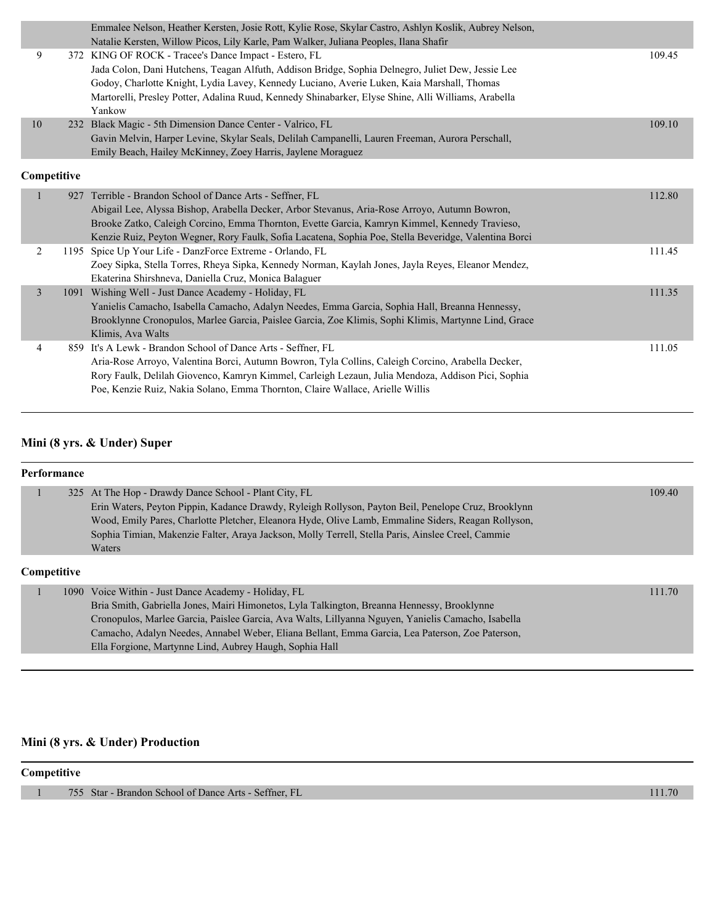|                |     | Emmalee Nelson, Heather Kersten, Josie Rott, Kylie Rose, Skylar Castro, Ashlyn Koslik, Aubrey Nelson,<br>Natalie Kersten, Willow Picos, Lily Karle, Pam Walker, Juliana Peoples, Ilana Shafir                                                                                                                                                                             |        |
|----------------|-----|---------------------------------------------------------------------------------------------------------------------------------------------------------------------------------------------------------------------------------------------------------------------------------------------------------------------------------------------------------------------------|--------|
| 9              |     | 372 KING OF ROCK - Tracee's Dance Impact - Estero, FL<br>Jada Colon, Dani Hutchens, Teagan Alfuth, Addison Bridge, Sophia Delnegro, Juliet Dew, Jessie Lee<br>Godoy, Charlotte Knight, Lydia Lavey, Kennedy Luciano, Averie Luken, Kaia Marshall, Thomas<br>Martorelli, Presley Potter, Adalina Ruud, Kennedy Shinabarker, Elyse Shine, Alli Williams, Arabella<br>Yankow | 109.45 |
| 10             | 232 | Black Magic - 5th Dimension Dance Center - Valrico, FL<br>Gavin Melvin, Harper Levine, Skylar Seals, Delilah Campanelli, Lauren Freeman, Aurora Perschall,<br>Emily Beach, Hailey McKinney, Zoey Harris, Jaylene Moraguez                                                                                                                                                 | 109.10 |
| Competitive    |     |                                                                                                                                                                                                                                                                                                                                                                           |        |
|                | 927 | Terrible - Brandon School of Dance Arts - Seffner, FL<br>Abigail Lee, Alyssa Bishop, Arabella Decker, Arbor Stevanus, Aria-Rose Arroyo, Autumn Bowron,<br>Brooke Zatko, Caleigh Corcino, Emma Thornton, Evette Garcia, Kamryn Kimmel, Kennedy Travieso,<br>Kenzie Ruiz, Peyton Wegner, Rory Faulk, Sofia Lacatena, Sophia Poe, Stella Beveridge, Valentina Borci          | 112.80 |
| 2              |     | 1195 Spice Up Your Life - DanzForce Extreme - Orlando, FL<br>Zoey Sipka, Stella Torres, Rheya Sipka, Kennedy Norman, Kaylah Jones, Jayla Reyes, Eleanor Mendez,<br>Ekaterina Shirshneva, Daniella Cruz, Monica Balaguer                                                                                                                                                   | 111.45 |
| $\overline{3}$ |     | 1091 Wishing Well - Just Dance Academy - Holiday, FL<br>Yanielis Camacho, Isabella Camacho, Adalyn Needes, Emma Garcia, Sophia Hall, Breanna Hennessy,<br>Brooklynne Cronopulos, Marlee Garcia, Paislee Garcia, Zoe Klimis, Sophi Klimis, Martynne Lind, Grace<br>Klimis, Ava Walts                                                                                       | 111.35 |
| $\overline{4}$ |     | 859 It's A Lewk - Brandon School of Dance Arts - Seffner, FL<br>Aria-Rose Arroyo, Valentina Borci, Autumn Bowron, Tyla Collins, Caleigh Corcino, Arabella Decker,<br>Rory Faulk, Delilah Giovenco, Kamryn Kimmel, Carleigh Lezaun, Julia Mendoza, Addison Pici, Sophia<br>Poe, Kenzie Ruiz, Nakia Solano, Emma Thornton, Claire Wallace, Arielle Willis                   | 111.05 |

#### **Mini (8 yrs. & Under) Super**

#### **Performance** 1 325 At The Hop - Drawdy Dance School - Plant City, FL 109.40 Erin Waters, Peyton Pippin, Kadance Drawdy, Ryleigh Rollyson, Payton Beil, Penelope Cruz, Brooklynn Wood, Emily Pares, Charlotte Pletcher, Eleanora Hyde, Olive Lamb, Emmaline Siders, Reagan Rollyson, Sophia Timian, Makenzie Falter, Araya Jackson, Molly Terrell, Stella Paris, Ainslee Creel, Cammie Waters

#### **Competitive**

| 1090 Voice Within - Just Dance Academy - Holiday, FL                                               | 111.70 |
|----------------------------------------------------------------------------------------------------|--------|
| Bria Smith, Gabriella Jones, Mairi Himonetos, Lyla Talkington, Breanna Hennessy, Brooklynne        |        |
| Cronopulos, Marlee Garcia, Paislee Garcia, Ava Walts, Lillyanna Nguyen, Yanielis Camacho, Isabella |        |
| Camacho, Adalyn Needes, Annabel Weber, Eliana Bellant, Emma Garcia, Lea Paterson, Zoe Paterson,    |        |
| Ella Forgione, Martynne Lind, Aubrey Haugh, Sophia Hall                                            |        |

#### **Mini (8 yrs. & Under) Production**

**Competitive**

1 755 Star - Brandon School of Dance Arts - Seffner, FL 111.70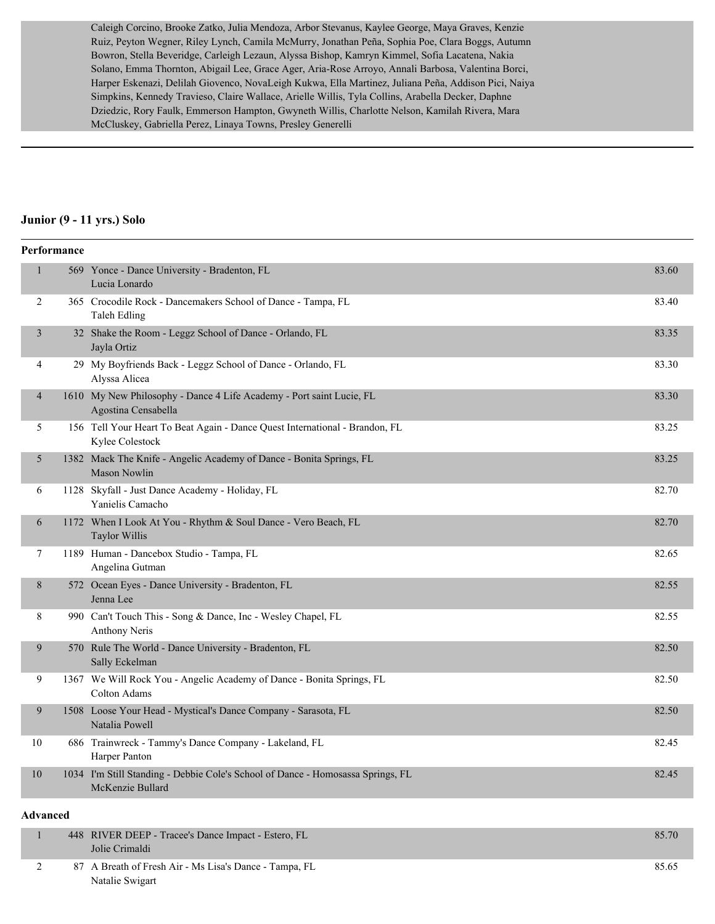Caleigh Corcino, Brooke Zatko, Julia Mendoza, Arbor Stevanus, Kaylee George, Maya Graves, Kenzie Ruiz, Peyton Wegner, Riley Lynch, Camila McMurry, Jonathan Peña, Sophia Poe, Clara Boggs, Autumn Bowron, Stella Beveridge, Carleigh Lezaun, Alyssa Bishop, Kamryn Kimmel, Sofia Lacatena, Nakia Solano, Emma Thornton, Abigail Lee, Grace Ager, Aria-Rose Arroyo, Annali Barbosa, Valentina Borci, Harper Eskenazi, Delilah Giovenco, NovaLeigh Kukwa, Ella Martinez, Juliana Peña, Addison Pici, Naiya Simpkins, Kennedy Travieso, Claire Wallace, Arielle Willis, Tyla Collins, Arabella Decker, Daphne Dziedzic, Rory Faulk, Emmerson Hampton, Gwyneth Willis, Charlotte Nelson, Kamilah Rivera, Mara McCluskey, Gabriella Perez, Linaya Towns, Presley Generelli

#### **Junior (9 - 11 yrs.) Solo**

|              | Performance |                                                                                                     |       |
|--------------|-------------|-----------------------------------------------------------------------------------------------------|-------|
| $\mathbf{1}$ |             | 569 Yonce - Dance University - Bradenton, FL<br>Lucia Lonardo                                       | 83.60 |
| 2            |             | 365 Crocodile Rock - Dancemakers School of Dance - Tampa, FL<br>Taleh Edling                        | 83.40 |
| 3            |             | 32 Shake the Room - Leggz School of Dance - Orlando, FL<br>Jayla Ortiz                              | 83.35 |
| 4            |             | 29 My Boyfriends Back - Leggz School of Dance - Orlando, FL<br>Alyssa Alicea                        | 83.30 |
| 4            |             | 1610 My New Philosophy - Dance 4 Life Academy - Port saint Lucie, FL<br>Agostina Censabella         | 83.30 |
| 5            |             | 156 Tell Your Heart To Beat Again - Dance Quest International - Brandon, FL<br>Kylee Colestock      | 83.25 |
| 5            |             | 1382 Mack The Knife - Angelic Academy of Dance - Bonita Springs, FL<br><b>Mason Nowlin</b>          | 83.25 |
| 6            |             | 1128 Skyfall - Just Dance Academy - Holiday, FL<br>Yanielis Camacho                                 | 82.70 |
| 6            |             | 1172 When I Look At You - Rhythm & Soul Dance - Vero Beach, FL<br>Taylor Willis                     | 82.70 |
| 7            |             | 1189 Human - Dancebox Studio - Tampa, FL<br>Angelina Gutman                                         | 82.65 |
| 8            |             | 572 Ocean Eyes - Dance University - Bradenton, FL<br>Jenna Lee                                      | 82.55 |
| 8            |             | 990 Can't Touch This - Song & Dance, Inc - Wesley Chapel, FL<br><b>Anthony Neris</b>                | 82.55 |
| 9            |             | 570 Rule The World - Dance University - Bradenton, FL<br>Sally Eckelman                             | 82.50 |
| 9            |             | 1367 We Will Rock You - Angelic Academy of Dance - Bonita Springs, FL<br>Colton Adams               | 82.50 |
| 9            |             | 1508 Loose Your Head - Mystical's Dance Company - Sarasota, FL<br>Natalia Powell                    | 82.50 |
| 10           |             | 686 Trainwreck - Tammy's Dance Company - Lakeland, FL<br>Harper Panton                              | 82.45 |
| 10           |             | 1034 I'm Still Standing - Debbie Cole's School of Dance - Homosassa Springs, FL<br>McKenzie Bullard | 82.45 |
| Advanced     |             |                                                                                                     |       |

| 448 RIVER DEEP - Tracee's Dance Impact - Estero, FL<br>Jolie Crimaldi | 85.70 |
|-----------------------------------------------------------------------|-------|
| 87 A Breath of Fresh Air - Ms Lisa's Dance - Tampa, FL                | 85.65 |
| Natalie Swigart                                                       |       |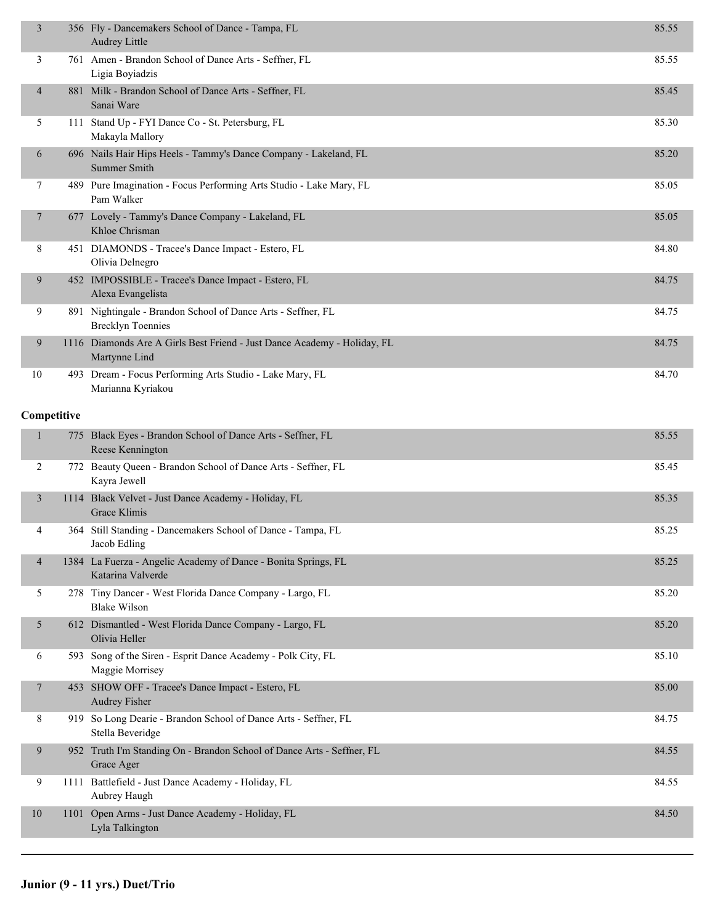| 3              | 356 Fly - Dancemakers School of Dance - Tampa, FL<br>Audrey Little                        | 85.55 |
|----------------|-------------------------------------------------------------------------------------------|-------|
| 3              | 761 Amen - Brandon School of Dance Arts - Seffner, FL<br>Ligia Boyiadzis                  | 85.55 |
| 4              | 881 Milk - Brandon School of Dance Arts - Seffner, FL<br>Sanai Ware                       | 85.45 |
| 5              | 111 Stand Up - FYI Dance Co - St. Petersburg, FL<br>Makayla Mallory                       | 85.30 |
| 6              | 696 Nails Hair Hips Heels - Tammy's Dance Company - Lakeland, FL<br><b>Summer Smith</b>   | 85.20 |
| 7              | 489 Pure Imagination - Focus Performing Arts Studio - Lake Mary, FL<br>Pam Walker         | 85.05 |
| 7              | 677 Lovely - Tammy's Dance Company - Lakeland, FL<br>Khloe Chrisman                       | 85.05 |
| 8              | 451 DIAMONDS - Tracee's Dance Impact - Estero, FL<br>Olivia Delnegro                      | 84.80 |
| 9              | 452 IMPOSSIBLE - Tracee's Dance Impact - Estero, FL<br>Alexa Evangelista                  | 84.75 |
| 9              | 891 Nightingale - Brandon School of Dance Arts - Seffner, FL<br><b>Brecklyn Toennies</b>  | 84.75 |
| 9              | 1116 Diamonds Are A Girls Best Friend - Just Dance Academy - Holiday, FL<br>Martynne Lind | 84.75 |
| 10             | 493 Dream - Focus Performing Arts Studio - Lake Mary, FL<br>Marianna Kyriakou             | 84.70 |
| Competitive    |                                                                                           |       |
| 1              | 775 Black Eyes - Brandon School of Dance Arts - Seffner, FL<br>Reese Kennington           | 85.55 |
| 2              | 772 Beauty Queen - Brandon School of Dance Arts - Seffner, FL<br>Kayra Jewell             | 85.45 |
| 3              | 1114 Black Velvet - Just Dance Academy - Holiday, FL<br>Grace Klimis                      | 85.35 |
| 4              | 364 Still Standing - Dancemakers School of Dance - Tampa, FL<br>Jacob Edling              | 85.25 |
| $\overline{4}$ | 1384 La Fuerza - Angelic Academy of Dance - Bonita Springs, FL<br>Katarina Valverde       | 85.25 |
| 5              | 278 Tiny Dancer - West Florida Dance Company - Largo, FL<br><b>Blake Wilson</b>           | 85.20 |
| 5              | 612 Dismantled - West Florida Dance Company - Largo, FL<br>Olivia Heller                  | 85.20 |
| 6              | 593 Song of the Siren - Esprit Dance Academy - Polk City, FL<br>Maggie Morrisey           | 85.10 |
| 7              | 453 SHOW OFF - Tracee's Dance Impact - Estero, FL<br><b>Audrey Fisher</b>                 | 85.00 |
| 8              | 919 So Long Dearie - Brandon School of Dance Arts - Seffner, FL<br>Stella Beveridge       | 84.75 |
| 9              | 952 Truth I'm Standing On - Brandon School of Dance Arts - Seffner, FL<br>Grace Ager      | 84.55 |
| 9              | 1111 Battlefield - Just Dance Academy - Holiday, FL<br>Aubrey Haugh                       | 84.55 |
| 10             | 1101 Open Arms - Just Dance Academy - Holiday, FL<br>Lyla Talkington                      | 84.50 |
|                |                                                                                           |       |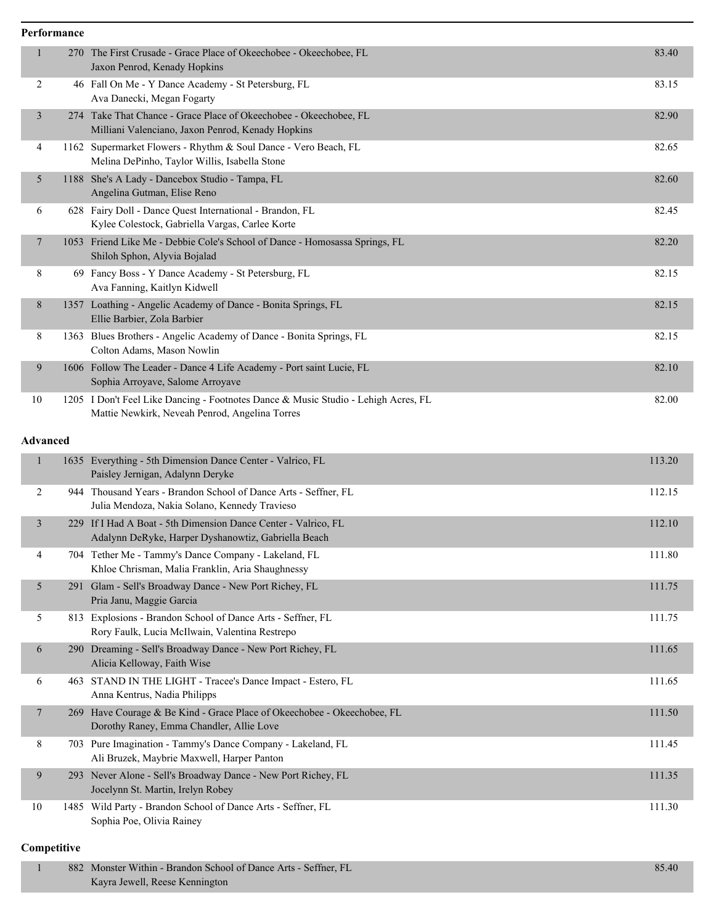|                 | Performance |                                                                                                                                      |        |
|-----------------|-------------|--------------------------------------------------------------------------------------------------------------------------------------|--------|
|                 | 270         | The First Crusade - Grace Place of Okeechobee - Okeechobee, FL<br>Jaxon Penrod, Kenady Hopkins                                       | 83.40  |
| 2               |             | 46 Fall On Me - Y Dance Academy - St Petersburg, FL<br>Ava Danecki, Megan Fogarty                                                    | 83.15  |
| 3               |             | 274 Take That Chance - Grace Place of Okeechobee - Okeechobee, FL<br>Milliani Valenciano, Jaxon Penrod, Kenady Hopkins               | 82.90  |
| 4               |             | 1162 Supermarket Flowers - Rhythm & Soul Dance - Vero Beach, FL<br>Melina DePinho, Taylor Willis, Isabella Stone                     | 82.65  |
| 5               |             | 1188 She's A Lady - Dancebox Studio - Tampa, FL<br>Angelina Gutman, Elise Reno                                                       | 82.60  |
| 6               |             | 628 Fairy Doll - Dance Quest International - Brandon, FL<br>Kylee Colestock, Gabriella Vargas, Carlee Korte                          | 82.45  |
| 7               |             | 1053 Friend Like Me - Debbie Cole's School of Dance - Homosassa Springs, FL<br>Shiloh Sphon, Alyvia Bojalad                          | 82.20  |
| 8               |             | 69 Fancy Boss - Y Dance Academy - St Petersburg, FL<br>Ava Fanning, Kaitlyn Kidwell                                                  | 82.15  |
| 8               |             | 1357 Loathing - Angelic Academy of Dance - Bonita Springs, FL<br>Ellie Barbier, Zola Barbier                                         | 82.15  |
| 8               |             | 1363 Blues Brothers - Angelic Academy of Dance - Bonita Springs, FL<br>Colton Adams, Mason Nowlin                                    | 82.15  |
| 9               |             | 1606 Follow The Leader - Dance 4 Life Academy - Port saint Lucie, FL<br>Sophia Arroyave, Salome Arroyave                             | 82.10  |
| 10              |             | 1205 I Don't Feel Like Dancing - Footnotes Dance & Music Studio - Lehigh Acres, FL<br>Mattie Newkirk, Neveah Penrod, Angelina Torres | 82.00  |
| <b>Advanced</b> |             |                                                                                                                                      |        |
| $\mathbf{1}$    |             | 1635 Everything - 5th Dimension Dance Center - Valrico, FL<br>Paisley Jernigan, Adalynn Deryke                                       | 113.20 |
| 2               |             | 944 Thousand Years - Brandon School of Dance Arts - Seffner, FL<br>Julia Mendoza, Nakia Solano, Kennedy Travieso                     | 112.15 |
| 3               | 229         | If I Had A Boat - 5th Dimension Dance Center - Valrico, FL<br>Adalynn DeRyke, Harper Dyshanowtiz, Gabriella Beach                    | 112.10 |
| 4               |             | 704 Tether Me - Tammy's Dance Company - Lakeland, FL<br>Khloe Chrisman, Malia Franklin, Aria Shaughnessy                             | 111.80 |
| 5               |             | 291 Glam - Sell's Broadway Dance - New Port Richey, FL<br>Pria Janu, Maggie Garcia                                                   | 111.75 |
| 5               |             | 813 Explosions - Brandon School of Dance Arts - Seffner, FL<br>Rory Faulk, Lucia McIlwain, Valentina Restrepo                        | 111.75 |
| 6               |             | 290 Dreaming - Sell's Broadway Dance - New Port Richey, FL<br>Alicia Kelloway, Faith Wise                                            | 111.65 |
| 6               |             | 463 STAND IN THE LIGHT - Tracee's Dance Impact - Estero, FL<br>Anna Kentrus, Nadia Philipps                                          | 111.65 |
| 7               |             | 269 Have Courage & Be Kind - Grace Place of Okeechobee - Okeechobee, FL<br>Dorothy Raney, Emma Chandler, Allie Love                  | 111.50 |
| 8               |             | 703 Pure Imagination - Tammy's Dance Company - Lakeland, FL<br>Ali Bruzek, Maybrie Maxwell, Harper Panton                            | 111.45 |
| 9               |             | 293 Never Alone - Sell's Broadway Dance - New Port Richey, FL<br>Jocelynn St. Martin, Irelyn Robey                                   | 111.35 |
| 10              |             | 1485 Wild Party - Brandon School of Dance Arts - Seffner, FL<br>Sophia Poe, Olivia Rainey                                            | 111.30 |

#### **Competitive**

| 882 Monster Within - Brandon School of Dance Arts - Seffner, FL | 85.40 |
|-----------------------------------------------------------------|-------|
| Kayra Jewell, Reese Kennington                                  |       |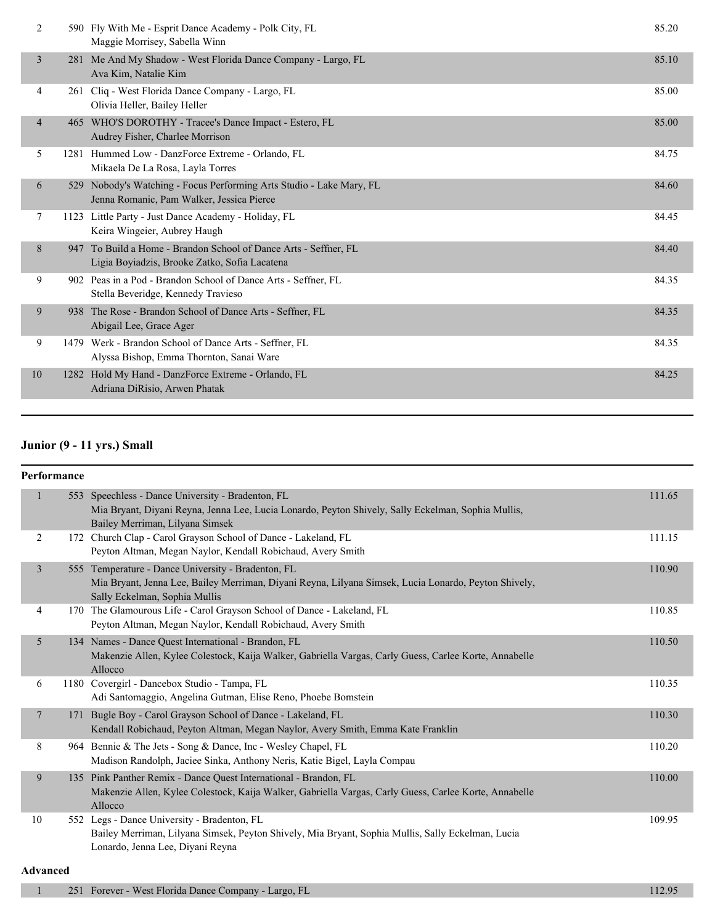| $\overline{2}$ |     | 590 Fly With Me - Esprit Dance Academy - Polk City, FL<br>Maggie Morrisey, Sabella Winn                           | 85.20 |
|----------------|-----|-------------------------------------------------------------------------------------------------------------------|-------|
| $\overline{3}$ |     | 281 Me And My Shadow - West Florida Dance Company - Largo, FL<br>Ava Kim, Natalie Kim                             | 85.10 |
| 4              |     | 261 Cliq - West Florida Dance Company - Largo, FL<br>Olivia Heller, Bailey Heller                                 | 85.00 |
| $\overline{4}$ |     | 465 WHO'S DOROTHY - Tracee's Dance Impact - Estero, FL<br>Audrey Fisher, Charlee Morrison                         | 85.00 |
| 5              |     | 1281 Hummed Low - DanzForce Extreme - Orlando, FL<br>Mikaela De La Rosa, Layla Torres                             | 84.75 |
| 6              | 529 | Nobody's Watching - Focus Performing Arts Studio - Lake Mary, FL<br>Jenna Romanic, Pam Walker, Jessica Pierce     | 84.60 |
| 7              |     | 1123 Little Party - Just Dance Academy - Holiday, FL<br>Keira Wingeier, Aubrey Haugh                              | 84.45 |
| 8              |     | 947 To Build a Home - Brandon School of Dance Arts - Seffner, FL<br>Ligia Boyiadzis, Brooke Zatko, Sofia Lacatena | 84.40 |
| 9              |     | 902 Peas in a Pod - Brandon School of Dance Arts - Seffner, FL<br>Stella Beveridge, Kennedy Travieso              | 84.35 |
| 9              |     | 938 The Rose - Brandon School of Dance Arts - Seffner, FL<br>Abigail Lee, Grace Ager                              | 84.35 |
| 9              |     | 1479 Werk - Brandon School of Dance Arts - Seffner, FL<br>Alyssa Bishop, Emma Thornton, Sanai Ware                | 84.35 |
| 10             |     | 1282 Hold My Hand - DanzForce Extreme - Orlando, FL<br>Adriana DiRisio, Arwen Phatak                              | 84.25 |
|                |     |                                                                                                                   |       |

# **Junior (9 - 11 yrs.) Small**

|                 | Performance |                                                                                                                                                                                             |        |
|-----------------|-------------|---------------------------------------------------------------------------------------------------------------------------------------------------------------------------------------------|--------|
| $\mathbf{1}$    |             | 553 Speechless - Dance University - Bradenton, FL<br>Mia Bryant, Diyani Reyna, Jenna Lee, Lucia Lonardo, Peyton Shively, Sally Eckelman, Sophia Mullis,<br>Bailey Merriman, Lilyana Simsek  | 111.65 |
| 2               |             | 172 Church Clap - Carol Grayson School of Dance - Lakeland, FL<br>Peyton Altman, Megan Naylor, Kendall Robichaud, Avery Smith                                                               | 111.15 |
| $\overline{3}$  |             | 555 Temperature - Dance University - Bradenton, FL<br>Mia Bryant, Jenna Lee, Bailey Merriman, Diyani Reyna, Lilyana Simsek, Lucia Lonardo, Peyton Shively,<br>Sally Eckelman, Sophia Mullis | 110.90 |
| 4               |             | 170 The Glamourous Life - Carol Grayson School of Dance - Lakeland, FL<br>Peyton Altman, Megan Naylor, Kendall Robichaud, Avery Smith                                                       | 110.85 |
| 5               |             | 134 Names - Dance Quest International - Brandon, FL<br>Makenzie Allen, Kylee Colestock, Kaija Walker, Gabriella Vargas, Carly Guess, Carlee Korte, Annabelle<br>Allocco                     | 110.50 |
| 6               |             | 1180 Covergirl - Dancebox Studio - Tampa, FL<br>Adi Santomaggio, Angelina Gutman, Elise Reno, Phoebe Bomstein                                                                               | 110.35 |
| $7\phantom{.0}$ |             | 171 Bugle Boy - Carol Grayson School of Dance - Lakeland, FL<br>Kendall Robichaud, Peyton Altman, Megan Naylor, Avery Smith, Emma Kate Franklin                                             | 110.30 |
| 8               |             | 964 Bennie & The Jets - Song & Dance, Inc - Wesley Chapel, FL<br>Madison Randolph, Jaciee Sinka, Anthony Neris, Katie Bigel, Layla Compau                                                   | 110.20 |
| 9               |             | 135 Pink Panther Remix - Dance Quest International - Brandon, FL<br>Makenzie Allen, Kylee Colestock, Kaija Walker, Gabriella Vargas, Carly Guess, Carlee Korte, Annabelle<br>Allocco        | 110.00 |
| 10              |             | 552 Legs - Dance University - Bradenton, FL<br>Bailey Merriman, Lilyana Simsek, Peyton Shively, Mia Bryant, Sophia Mullis, Sally Eckelman, Lucia<br>Lonardo, Jenna Lee, Diyani Reyna        | 109.95 |
| <b>Advanced</b> |             |                                                                                                                                                                                             |        |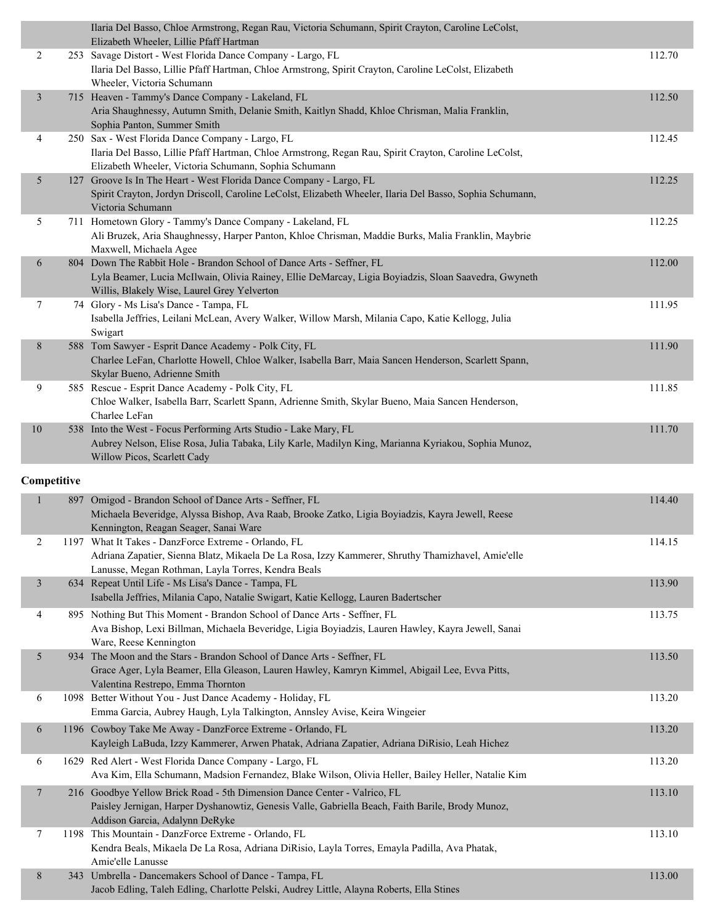|                |     | Ilaria Del Basso, Chloe Armstrong, Regan Rau, Victoria Schumann, Spirit Crayton, Caroline LeColst,<br>Elizabeth Wheeler, Lillie Pfaff Hartman                   |        |
|----------------|-----|-----------------------------------------------------------------------------------------------------------------------------------------------------------------|--------|
| 2              |     | 253 Savage Distort - West Florida Dance Company - Largo, FL                                                                                                     | 112.70 |
|                |     | Ilaria Del Basso, Lillie Pfaff Hartman, Chloe Armstrong, Spirit Crayton, Caroline LeColst, Elizabeth                                                            |        |
|                |     | Wheeler, Victoria Schumann                                                                                                                                      |        |
| $\mathfrak{Z}$ |     | 715 Heaven - Tammy's Dance Company - Lakeland, FL                                                                                                               | 112.50 |
|                |     | Aria Shaughnessy, Autumn Smith, Delanie Smith, Kaitlyn Shadd, Khloe Chrisman, Malia Franklin,                                                                   |        |
|                |     | Sophia Panton, Summer Smith                                                                                                                                     |        |
| 4              |     | 250 Sax - West Florida Dance Company - Largo, FL                                                                                                                | 112.45 |
|                |     | Ilaria Del Basso, Lillie Pfaff Hartman, Chloe Armstrong, Regan Rau, Spirit Crayton, Caroline LeColst,                                                           |        |
|                |     | Elizabeth Wheeler, Victoria Schumann, Sophia Schumann                                                                                                           |        |
| 5              |     | 127 Groove Is In The Heart - West Florida Dance Company - Largo, FL                                                                                             | 112.25 |
|                |     | Spirit Crayton, Jordyn Driscoll, Caroline LeColst, Elizabeth Wheeler, Ilaria Del Basso, Sophia Schumann,                                                        |        |
|                |     | Victoria Schumann                                                                                                                                               |        |
| 5              |     | 711 Hometown Glory - Tammy's Dance Company - Lakeland, FL<br>Ali Bruzek, Aria Shaughnessy, Harper Panton, Khloe Chrisman, Maddie Burks, Malia Franklin, Maybrie | 112.25 |
|                |     | Maxwell, Michaela Agee                                                                                                                                          |        |
| 6              |     | 804 Down The Rabbit Hole - Brandon School of Dance Arts - Seffner, FL                                                                                           | 112.00 |
|                |     | Lyla Beamer, Lucia McIlwain, Olivia Rainey, Ellie DeMarcay, Ligia Boyiadzis, Sloan Saavedra, Gwyneth                                                            |        |
|                |     | Willis, Blakely Wise, Laurel Grey Yelverton                                                                                                                     |        |
| 7              |     | 74 Glory - Ms Lisa's Dance - Tampa, FL                                                                                                                          | 111.95 |
|                |     | Isabella Jeffries, Leilani McLean, Avery Walker, Willow Marsh, Milania Capo, Katie Kellogg, Julia                                                               |        |
|                |     | Swigart                                                                                                                                                         |        |
| 8              |     | 588 Tom Sawyer - Esprit Dance Academy - Polk City, FL                                                                                                           | 111.90 |
|                |     | Charlee LeFan, Charlotte Howell, Chloe Walker, Isabella Barr, Maia Sancen Henderson, Scarlett Spann,                                                            |        |
|                |     | Skylar Bueno, Adrienne Smith                                                                                                                                    |        |
| 9              |     | 585 Rescue - Esprit Dance Academy - Polk City, FL                                                                                                               | 111.85 |
|                |     | Chloe Walker, Isabella Barr, Scarlett Spann, Adrienne Smith, Skylar Bueno, Maia Sancen Henderson,                                                               |        |
|                |     | Charlee LeFan                                                                                                                                                   |        |
| $10\,$         |     | 538 Into the West - Focus Performing Arts Studio - Lake Mary, FL                                                                                                | 111.70 |
|                |     | Aubrey Nelson, Elise Rosa, Julia Tabaka, Lily Karle, Madilyn King, Marianna Kyriakou, Sophia Munoz,                                                             |        |
|                |     | Willow Picos, Scarlett Cady                                                                                                                                     |        |
|                |     |                                                                                                                                                                 |        |
|                |     |                                                                                                                                                                 |        |
| Competitive    |     |                                                                                                                                                                 |        |
|                | 897 | Omigod - Brandon School of Dance Arts - Seffner, FL                                                                                                             | 114.40 |
|                |     | Michaela Beveridge, Alyssa Bishop, Ava Raab, Brooke Zatko, Ligia Boyiadzis, Kayra Jewell, Reese                                                                 |        |
|                |     | Kennington, Reagan Seager, Sanai Ware                                                                                                                           |        |
|                |     | 1197 What It Takes - DanzForce Extreme - Orlando, FL                                                                                                            | 114.15 |
|                |     | Adriana Zapatier, Sienna Blatz, Mikaela De La Rosa, Izzy Kammerer, Shruthy Thamizhavel, Amie'elle                                                               |        |
| $\mathfrak{Z}$ |     | Lanusse, Megan Rothman, Layla Torres, Kendra Beals                                                                                                              | 113.90 |
|                |     | 634 Repeat Until Life - Ms Lisa's Dance - Tampa, FL<br>Isabella Jeffries, Milania Capo, Natalie Swigart, Katie Kellogg, Lauren Badertscher                      |        |
|                |     |                                                                                                                                                                 |        |
| 4              |     | 895 Nothing But This Moment - Brandon School of Dance Arts - Seffner, FL                                                                                        | 113.75 |
|                |     | Ava Bishop, Lexi Billman, Michaela Beveridge, Ligia Boyiadzis, Lauren Hawley, Kayra Jewell, Sanai                                                               |        |
| 5              |     | Ware, Reese Kennington                                                                                                                                          |        |
|                |     | 934 The Moon and the Stars - Brandon School of Dance Arts - Seffner, FL                                                                                         | 113.50 |
|                |     | Grace Ager, Lyla Beamer, Ella Gleason, Lauren Hawley, Kamryn Kimmel, Abigail Lee, Evva Pitts,<br>Valentina Restrepo, Emma Thornton                              |        |
| 6              |     | 1098 Better Without You - Just Dance Academy - Holiday, FL                                                                                                      | 113.20 |
|                |     | Emma Garcia, Aubrey Haugh, Lyla Talkington, Annsley Avise, Keira Wingeier                                                                                       |        |
| 6              |     |                                                                                                                                                                 | 113.20 |
|                |     | 1196 Cowboy Take Me Away - DanzForce Extreme - Orlando, FL                                                                                                      |        |
|                |     | Kayleigh LaBuda, Izzy Kammerer, Arwen Phatak, Adriana Zapatier, Adriana DiRisio, Leah Hichez                                                                    |        |
| 6              |     | 1629 Red Alert - West Florida Dance Company - Largo, FL                                                                                                         | 113.20 |
|                |     | Ava Kim, Ella Schumann, Madsion Fernandez, Blake Wilson, Olivia Heller, Bailey Heller, Natalie Kim                                                              |        |
| 7              |     | 216 Goodbye Yellow Brick Road - 5th Dimension Dance Center - Valrico, FL                                                                                        | 113.10 |
|                |     | Paisley Jernigan, Harper Dyshanowtiz, Genesis Valle, Gabriella Beach, Faith Barile, Brody Munoz,                                                                |        |
|                |     | Addison Garcia, Adalynn DeRyke                                                                                                                                  |        |
| 7              |     | 1198 This Mountain - DanzForce Extreme - Orlando, FL                                                                                                            | 113.10 |
|                |     | Kendra Beals, Mikaela De La Rosa, Adriana DiRisio, Layla Torres, Emayla Padilla, Ava Phatak,                                                                    |        |
| 8              |     | Amie'elle Lanusse<br>343 Umbrella - Dancemakers School of Dance - Tampa, FL                                                                                     | 113.00 |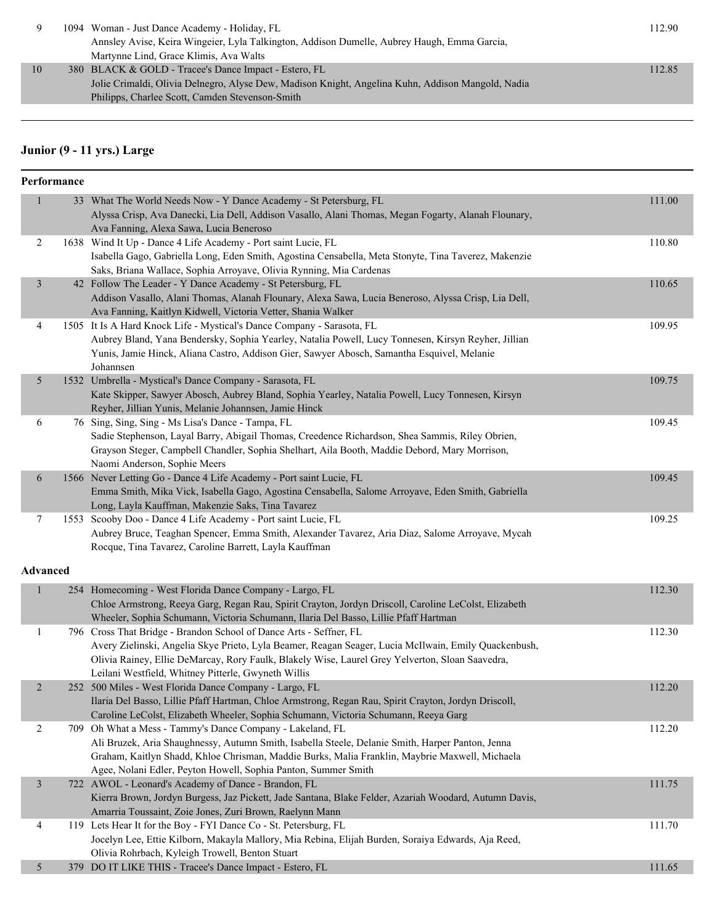| 1094 Woman - Just Dance Academy - Holiday, FL                                                     | 12.90  |
|---------------------------------------------------------------------------------------------------|--------|
| Annsley Avise, Keira Wingeier, Lyla Talkington, Addison Dumelle, Aubrey Haugh, Emma Garcia,       |        |
| Martynne Lind, Grace Klimis, Ava Walts                                                            |        |
| 10<br>380 BLACK & GOLD - Tracee's Dance Impact - Estero, FL                                       | 112.85 |
| Jolie Crimaldi, Olivia Delnegro, Alyse Dew, Madison Knight, Angelina Kuhn, Addison Mangold, Nadia |        |
| Philipps, Charlee Scott, Camden Stevenson-Smith                                                   |        |

# **Junior (9 - 11 yrs.) Large**

|                | Performance |                                                                                                                                                                  |        |
|----------------|-------------|------------------------------------------------------------------------------------------------------------------------------------------------------------------|--------|
| $\mathbf{1}$   |             | 33 What The World Needs Now - Y Dance Academy - St Petersburg, FL                                                                                                | 111.00 |
|                |             | Alyssa Crisp, Ava Danecki, Lia Dell, Addison Vasallo, Alani Thomas, Megan Fogarty, Alanah Flounary,                                                              |        |
|                |             | Ava Fanning, Alexa Sawa, Lucia Beneroso                                                                                                                          |        |
| 2              |             | 1638 Wind It Up - Dance 4 Life Academy - Port saint Lucie, FL                                                                                                    | 110.80 |
|                |             | Isabella Gago, Gabriella Long, Eden Smith, Agostina Censabella, Meta Stonyte, Tina Taverez, Makenzie                                                             |        |
|                |             | Saks, Briana Wallace, Sophia Arroyave, Olivia Rynning, Mia Cardenas                                                                                              |        |
| $\mathfrak{Z}$ |             | 42 Follow The Leader - Y Dance Academy - St Petersburg, FL                                                                                                       | 110.65 |
|                |             | Addison Vasallo, Alani Thomas, Alanah Flounary, Alexa Sawa, Lucia Beneroso, Alyssa Crisp, Lia Dell,                                                              |        |
|                |             | Ava Fanning, Kaitlyn Kidwell, Victoria Vetter, Shania Walker                                                                                                     |        |
| 4              |             | 1505 It Is A Hard Knock Life - Mystical's Dance Company - Sarasota, FL                                                                                           | 109.95 |
|                |             | Aubrey Bland, Yana Bendersky, Sophia Yearley, Natalia Powell, Lucy Tonnesen, Kirsyn Reyher, Jillian                                                              |        |
|                |             | Yunis, Jamie Hinck, Aliana Castro, Addison Gier, Sawyer Abosch, Samantha Esquivel, Melanie                                                                       |        |
|                |             | Johannsen                                                                                                                                                        |        |
| 5              |             | 1532 Umbrella - Mystical's Dance Company - Sarasota, FL                                                                                                          | 109.75 |
|                |             | Kate Skipper, Sawyer Abosch, Aubrey Bland, Sophia Yearley, Natalia Powell, Lucy Tonnesen, Kirsyn                                                                 |        |
|                |             | Reyher, Jillian Yunis, Melanie Johannsen, Jamie Hinck                                                                                                            |        |
| 6              |             | 76 Sing, Sing, Sing - Ms Lisa's Dance - Tampa, FL                                                                                                                | 109.45 |
|                |             | Sadie Stephenson, Layal Barry, Abigail Thomas, Creedence Richardson, Shea Sammis, Riley Obrien,                                                                  |        |
|                |             | Grayson Steger, Campbell Chandler, Sophia Shelhart, Aila Booth, Maddie Debord, Mary Morrison,<br>Naomi Anderson, Sophie Meers                                    |        |
| 6              |             | 1566 Never Letting Go - Dance 4 Life Academy - Port saint Lucie, FL                                                                                              | 109.45 |
|                |             | Emma Smith, Mika Vick, Isabella Gago, Agostina Censabella, Salome Arroyave, Eden Smith, Gabriella                                                                |        |
|                |             | Long, Layla Kauffman, Makenzie Saks, Tina Tavarez                                                                                                                |        |
| 7              |             | 1553 Scooby Doo - Dance 4 Life Academy - Port saint Lucie, FL                                                                                                    | 109.25 |
|                |             | Aubrey Bruce, Teaghan Spencer, Emma Smith, Alexander Tavarez, Aria Diaz, Salome Arroyave, Mycah                                                                  |        |
|                |             | Rocque, Tina Tavarez, Caroline Barrett, Layla Kauffman                                                                                                           |        |
|                |             |                                                                                                                                                                  |        |
| Advanced       |             |                                                                                                                                                                  |        |
| $\mathbf{1}$   |             | 254 Homecoming - West Florida Dance Company - Largo, FL                                                                                                          | 112.30 |
|                |             | Chloe Armstrong, Reeya Garg, Regan Rau, Spirit Crayton, Jordyn Driscoll, Caroline LeColst, Elizabeth                                                             |        |
|                |             | Wheeler, Sophia Schumann, Victoria Schumann, Ilaria Del Basso, Lillie Pfaff Hartman                                                                              |        |
| $\mathbf{1}$   |             | 796 Cross That Bridge - Brandon School of Dance Arts - Seffner, FL                                                                                               | 112.30 |
|                |             | Avery Zielinski, Angelia Skye Prieto, Lyla Beamer, Reagan Seager, Lucia McIlwain, Emily Quackenbush,                                                             |        |
|                |             | Olivia Rainey, Ellie DeMarcay, Rory Faulk, Blakely Wise, Laurel Grey Yelverton, Sloan Saavedra,                                                                  |        |
|                |             | Leilani Westfield, Whitney Pitterle, Gwyneth Willis                                                                                                              |        |
| $\overline{2}$ |             | 252 500 Miles - West Florida Dance Company - Largo, FL                                                                                                           | 112.20 |
|                |             | Ilaria Del Basso, Lillie Pfaff Hartman, Chloe Armstrong, Regan Rau, Spirit Crayton, Jordyn Driscoll,                                                             |        |
|                |             | Caroline LeColst, Elizabeth Wheeler, Sophia Schumann, Victoria Schumann, Reeya Garg                                                                              |        |
| 2              |             | 709 Oh What a Mess - Tammy's Dance Company - Lakeland, FL                                                                                                        | 112.20 |
|                |             | Ali Bruzek, Aria Shaughnessy, Autumn Smith, Isabella Steele, Delanie Smith, Harper Panton, Jenna                                                                 |        |
|                |             | Graham, Kaitlyn Shadd, Khloe Chrisman, Maddie Burks, Malia Franklin, Maybrie Maxwell, Michaela<br>Agee, Nolani Edler, Peyton Howell, Sophia Panton, Summer Smith |        |
|                |             | 722 AWOL - Leonard's Academy of Dance - Brandon, FL                                                                                                              |        |
| $\mathfrak{Z}$ |             | Kierra Brown, Jordyn Burgess, Jaz Pickett, Jade Santana, Blake Felder, Azariah Woodard, Autumn Davis,                                                            | 111.75 |
|                |             | Amarria Toussaint, Zoie Jones, Zuri Brown, Raelynn Mann                                                                                                          |        |
| 4              |             | 119 Lets Hear It for the Boy - FYI Dance Co - St. Petersburg, FL                                                                                                 | 111.70 |
|                |             | Jocelyn Lee, Ettie Kilborn, Makayla Mallory, Mia Rebina, Elijah Burden, Soraiya Edwards, Aja Reed,                                                               |        |
|                |             | Olivia Rohrbach, Kyleigh Trowell, Benton Stuart                                                                                                                  |        |
| 5              |             | 379 DO IT LIKE THIS - Tracee's Dance Impact - Estero, FL                                                                                                         | 111.65 |
|                |             |                                                                                                                                                                  |        |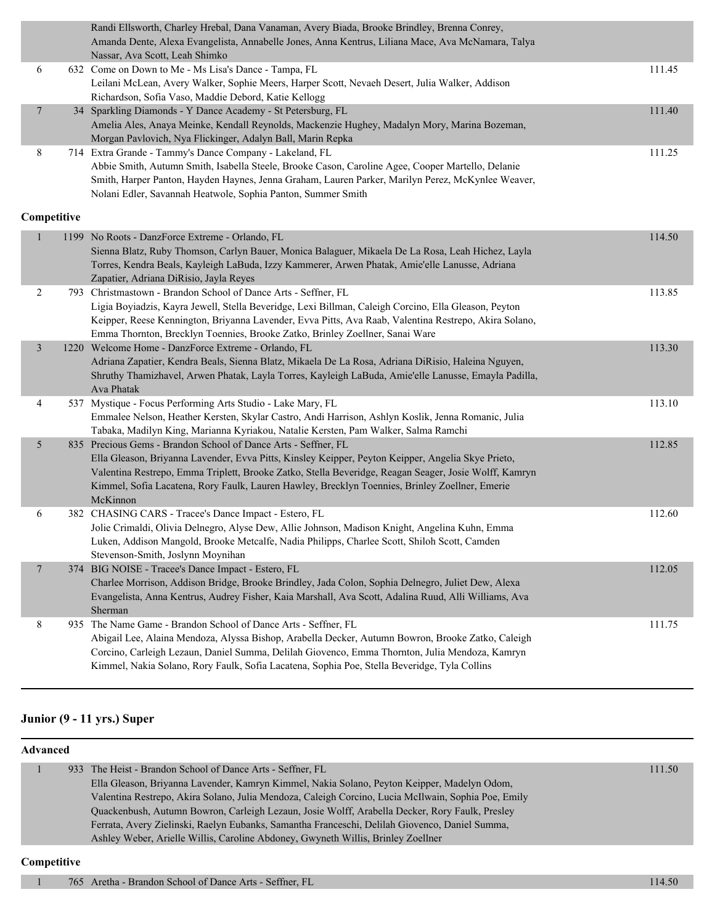|                |             | Randi Ellsworth, Charley Hrebal, Dana Vanaman, Avery Biada, Brooke Brindley, Brenna Conrey,<br>Amanda Dente, Alexa Evangelista, Annabelle Jones, Anna Kentrus, Liliana Mace, Ava McNamara, Talya<br>Nassar, Ava Scott, Leah Shimko                                                                                                                                                          |        |
|----------------|-------------|---------------------------------------------------------------------------------------------------------------------------------------------------------------------------------------------------------------------------------------------------------------------------------------------------------------------------------------------------------------------------------------------|--------|
| 6              |             | 632 Come on Down to Me - Ms Lisa's Dance - Tampa, FL<br>Leilani McLean, Avery Walker, Sophie Meers, Harper Scott, Nevaeh Desert, Julia Walker, Addison<br>Richardson, Sofia Vaso, Maddie Debord, Katie Kellogg                                                                                                                                                                              | 111.45 |
| $\overline{7}$ |             | 34 Sparkling Diamonds - Y Dance Academy - St Petersburg, FL<br>Amelia Ales, Anaya Meinke, Kendall Reynolds, Mackenzie Hughey, Madalyn Mory, Marina Bozeman,<br>Morgan Pavlovich, Nya Flickinger, Adalyn Ball, Marin Repka                                                                                                                                                                   | 111.40 |
| 8              |             | 714 Extra Grande - Tammy's Dance Company - Lakeland, FL<br>Abbie Smith, Autumn Smith, Isabella Steele, Brooke Cason, Caroline Agee, Cooper Martello, Delanie<br>Smith, Harper Panton, Hayden Haynes, Jenna Graham, Lauren Parker, Marilyn Perez, McKynlee Weaver,<br>Nolani Edler, Savannah Heatwole, Sophia Panton, Summer Smith                                                           | 111.25 |
|                | Competitive |                                                                                                                                                                                                                                                                                                                                                                                             |        |
| 1              |             | 1199 No Roots - DanzForce Extreme - Orlando, FL<br>Sienna Blatz, Ruby Thomson, Carlyn Bauer, Monica Balaguer, Mikaela De La Rosa, Leah Hichez, Layla<br>Torres, Kendra Beals, Kayleigh LaBuda, Izzy Kammerer, Arwen Phatak, Amie'elle Lanusse, Adriana<br>Zapatier, Adriana DiRisio, Jayla Reyes                                                                                            | 114.50 |
| 2              |             | 793 Christmastown - Brandon School of Dance Arts - Seffner, FL<br>Ligia Boyiadzis, Kayra Jewell, Stella Beveridge, Lexi Billman, Caleigh Corcino, Ella Gleason, Peyton<br>Keipper, Reese Kennington, Briyanna Lavender, Evva Pitts, Ava Raab, Valentina Restrepo, Akira Solano,<br>Emma Thornton, Brecklyn Toennies, Brooke Zatko, Brinley Zoellner, Sanai Ware                             | 113.85 |
| $\mathfrak{Z}$ |             | 1220 Welcome Home - DanzForce Extreme - Orlando, FL<br>Adriana Zapatier, Kendra Beals, Sienna Blatz, Mikaela De La Rosa, Adriana DiRisio, Haleina Nguyen,<br>Shruthy Thamizhavel, Arwen Phatak, Layla Torres, Kayleigh LaBuda, Amie'elle Lanusse, Emayla Padilla,<br>Ava Phatak                                                                                                             | 113.30 |
| 4              |             | 537 Mystique - Focus Performing Arts Studio - Lake Mary, FL<br>Emmalee Nelson, Heather Kersten, Skylar Castro, Andi Harrison, Ashlyn Koslik, Jenna Romanic, Julia<br>Tabaka, Madilyn King, Marianna Kyriakou, Natalie Kersten, Pam Walker, Salma Ramchi                                                                                                                                     | 113.10 |
| 5              |             | 835 Precious Gems - Brandon School of Dance Arts - Seffner, FL<br>Ella Gleason, Briyanna Lavender, Evva Pitts, Kinsley Keipper, Peyton Keipper, Angelia Skye Prieto,<br>Valentina Restrepo, Emma Triplett, Brooke Zatko, Stella Beveridge, Reagan Seager, Josie Wolff, Kamryn<br>Kimmel, Sofia Lacatena, Rory Faulk, Lauren Hawley, Brecklyn Toennies, Brinley Zoellner, Emerie<br>McKinnon | 112.85 |
| 6              |             | 382 CHASING CARS - Tracee's Dance Impact - Estero, FL<br>Jolie Crimaldi, Olivia Delnegro, Alyse Dew, Allie Johnson, Madison Knight, Angelina Kuhn, Emma<br>Luken, Addison Mangold, Brooke Metcalfe, Nadia Philipps, Charlee Scott, Shiloh Scott, Camden<br>Stevenson-Smith, Joslynn Moynihan                                                                                                | 112.60 |
| $\overline{7}$ | 374         | BIG NOISE - Tracee's Dance Impact - Estero, FL<br>Charlee Morrison, Addison Bridge, Brooke Brindley, Jada Colon, Sophia Delnegro, Juliet Dew, Alexa<br>Evangelista, Anna Kentrus, Audrey Fisher, Kaia Marshall, Ava Scott, Adalina Ruud, Alli Williams, Ava<br>Sherman                                                                                                                      | 112.05 |
| 8              |             | 935 The Name Game - Brandon School of Dance Arts - Seffner, FL<br>Abigail Lee, Alaina Mendoza, Alyssa Bishop, Arabella Decker, Autumn Bowron, Brooke Zatko, Caleigh<br>Corcino, Carleigh Lezaun, Daniel Summa, Delilah Giovenco, Emma Thornton, Julia Mendoza, Kamryn<br>Kimmel, Nakia Solano, Rory Faulk, Sofia Lacatena, Sophia Poe, Stella Beveridge, Tyla Collins                       | 111.75 |

#### **Junior (9 - 11 yrs.) Super**

| Advanced |  |                                                                                                     |        |  |  |
|----------|--|-----------------------------------------------------------------------------------------------------|--------|--|--|
|          |  | 933 The Heist - Brandon School of Dance Arts - Seffner, FL                                          | 111.50 |  |  |
|          |  | Ella Gleason, Briyanna Lavender, Kamryn Kimmel, Nakia Solano, Peyton Keipper, Madelyn Odom,         |        |  |  |
|          |  | Valentina Restrepo, Akira Solano, Julia Mendoza, Caleigh Corcino, Lucia McIlwain, Sophia Poe, Emily |        |  |  |
|          |  | Quackenbush, Autumn Bowron, Carleigh Lezaun, Josie Wolff, Arabella Decker, Rory Faulk, Presley      |        |  |  |
|          |  | Ferrata, Avery Zielinski, Raelyn Eubanks, Samantha Franceschi, Delilah Giovenco, Daniel Summa,      |        |  |  |
|          |  | Ashley Weber, Arielle Willis, Caroline Abdoney, Gwyneth Willis, Brinley Zoellner                    |        |  |  |
|          |  |                                                                                                     |        |  |  |

#### **Competitive**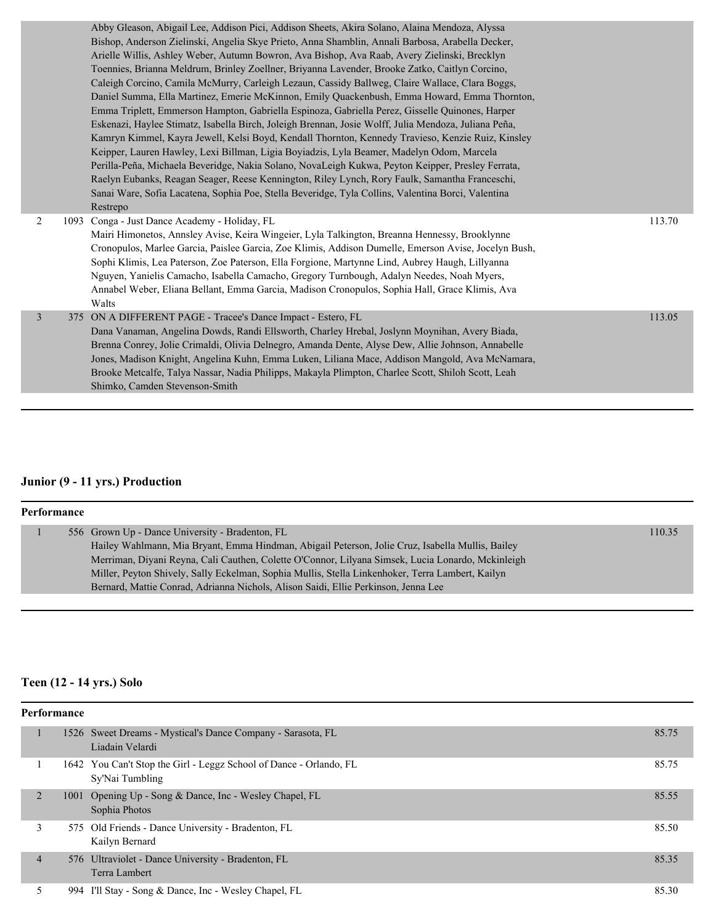|   | Abby Gleason, Abigail Lee, Addison Pici, Addison Sheets, Akira Solano, Alaina Mendoza, Alyssa        |        |
|---|------------------------------------------------------------------------------------------------------|--------|
|   | Bishop, Anderson Zielinski, Angelia Skye Prieto, Anna Shamblin, Annali Barbosa, Arabella Decker,     |        |
|   | Arielle Willis, Ashley Weber, Autumn Bowron, Ava Bishop, Ava Raab, Avery Zielinski, Brecklyn         |        |
|   | Toennies, Brianna Meldrum, Brinley Zoellner, Briyanna Lavender, Brooke Zatko, Caitlyn Corcino,       |        |
|   | Caleigh Corcino, Camila McMurry, Carleigh Lezaun, Cassidy Ballweg, Claire Wallace, Clara Boggs,      |        |
|   | Daniel Summa, Ella Martinez, Emerie McKinnon, Emily Quackenbush, Emma Howard, Emma Thornton,         |        |
|   | Emma Triplett, Emmerson Hampton, Gabriella Espinoza, Gabriella Perez, Gisselle Quinones, Harper      |        |
|   | Eskenazi, Haylee Stimatz, Isabella Birch, Joleigh Brennan, Josie Wolff, Julia Mendoza, Juliana Peña, |        |
|   | Kamryn Kimmel, Kayra Jewell, Kelsi Boyd, Kendall Thornton, Kennedy Travieso, Kenzie Ruiz, Kinsley    |        |
|   | Keipper, Lauren Hawley, Lexi Billman, Ligia Boyiadzis, Lyla Beamer, Madelyn Odom, Marcela            |        |
|   | Perilla-Peña, Michaela Beveridge, Nakia Solano, NovaLeigh Kukwa, Peyton Keipper, Presley Ferrata,    |        |
|   | Raelyn Eubanks, Reagan Seager, Reese Kennington, Riley Lynch, Rory Faulk, Samantha Franceschi,       |        |
|   | Sanai Ware, Sofia Lacatena, Sophia Poe, Stella Beveridge, Tyla Collins, Valentina Borci, Valentina   |        |
|   | Restrepo                                                                                             |        |
| 2 | 1093 Conga - Just Dance Academy - Holiday, FL                                                        | 113.70 |
|   | Mairi Himonetos, Annsley Avise, Keira Wingeier, Lyla Talkington, Breanna Hennessy, Brooklynne        |        |
|   | Cronopulos, Marlee Garcia, Paislee Garcia, Zoe Klimis, Addison Dumelle, Emerson Avise, Jocelyn Bush, |        |
|   | Sophi Klimis, Lea Paterson, Zoe Paterson, Ella Forgione, Martynne Lind, Aubrey Haugh, Lillyanna      |        |
|   | Nguyen, Yanielis Camacho, Isabella Camacho, Gregory Turnbough, Adalyn Needes, Noah Myers,            |        |
|   | Annabel Weber, Eliana Bellant, Emma Garcia, Madison Cronopulos, Sophia Hall, Grace Klimis, Ava       |        |
|   | Walts                                                                                                |        |
| 3 | 375 ON A DIFFERENT PAGE - Tracee's Dance Impact - Estero, FL                                         | 113.05 |
|   | Dana Vanaman, Angelina Dowds, Randi Ellsworth, Charley Hrebal, Joslynn Moynihan, Avery Biada,        |        |
|   | Brenna Conrey, Jolie Crimaldi, Olivia Delnegro, Amanda Dente, Alyse Dew, Allie Johnson, Annabelle    |        |
|   | Jones, Madison Knight, Angelina Kuhn, Emma Luken, Liliana Mace, Addison Mangold, Ava McNamara,       |        |
|   | Brooke Metcalfe, Talya Nassar, Nadia Philipps, Makayla Plimpton, Charlee Scott, Shiloh Scott, Leah   |        |
|   | Shimko, Camden Stevenson-Smith                                                                       |        |
|   |                                                                                                      |        |

# **Junior (9 - 11 yrs.) Production**

| Performance |  |                                                                                                   |        |  |  |
|-------------|--|---------------------------------------------------------------------------------------------------|--------|--|--|
|             |  | 556 Grown Up - Dance University - Bradenton, FL                                                   | 110.35 |  |  |
|             |  | Hailey Wahlmann, Mia Bryant, Emma Hindman, Abigail Peterson, Jolie Cruz, Isabella Mullis, Bailey  |        |  |  |
|             |  | Merriman, Diyani Reyna, Cali Cauthen, Colette O'Connor, Lilyana Simsek, Lucia Lonardo, Mckinleigh |        |  |  |
|             |  | Miller, Peyton Shively, Sally Eckelman, Sophia Mullis, Stella Linkenhoker, Terra Lambert, Kailyn  |        |  |  |
|             |  | Bernard, Mattie Conrad, Adrianna Nichols, Alison Saidi, Ellie Perkinson, Jenna Lee                |        |  |  |
|             |  |                                                                                                   |        |  |  |

# **Teen (12 - 14 yrs.) Solo**

| Performance    |  |                                                                                       |       |  |
|----------------|--|---------------------------------------------------------------------------------------|-------|--|
|                |  | 1526 Sweet Dreams - Mystical's Dance Company - Sarasota, FL<br>Liadain Velardi        | 85.75 |  |
|                |  | 1642 You Can't Stop the Girl - Leggz School of Dance - Orlando, FL<br>Sy'Nai Tumbling | 85.75 |  |
| $\overline{2}$ |  | 1001 Opening Up - Song & Dance, Inc - Wesley Chapel, FL<br>Sophia Photos              | 85.55 |  |
| 3              |  | 575 Old Friends - Dance University - Bradenton, FL<br>Kailyn Bernard                  | 85.50 |  |
| $\overline{4}$ |  | 576 Ultraviolet - Dance University - Bradenton, FL<br>Terra Lambert                   | 85.35 |  |
|                |  | 994 I'll Stay - Song & Dance, Inc - Wesley Chapel, FL                                 | 85.30 |  |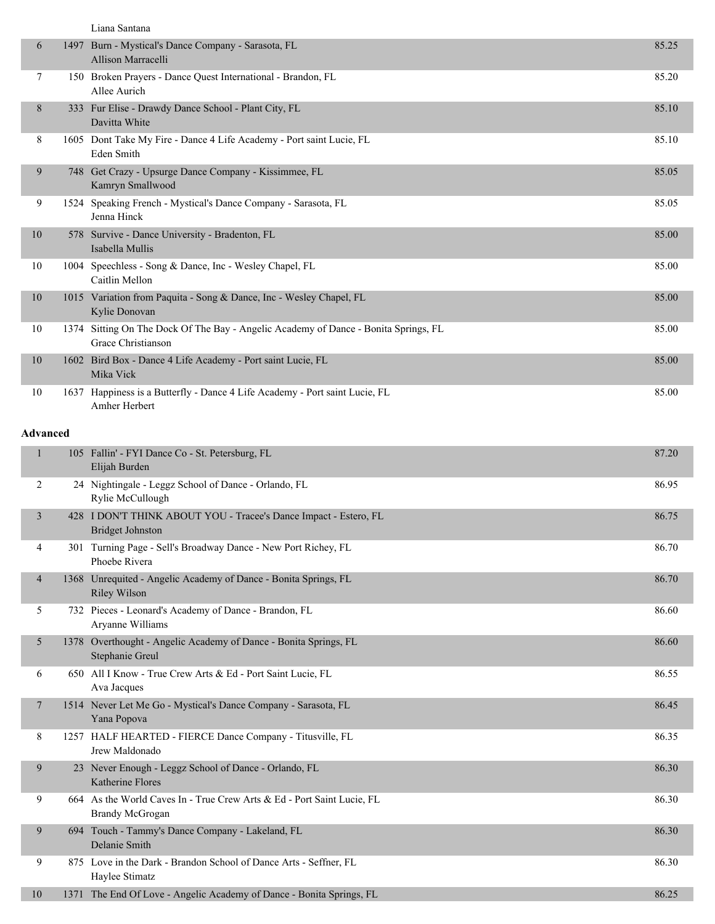|  | Liana Santana |
|--|---------------|
|--|---------------|

| 6               | 1497 Burn - Mystical's Dance Company - Sarasota, FL<br>Allison Marracelli                                 | 85.25 |
|-----------------|-----------------------------------------------------------------------------------------------------------|-------|
| 7               | 150 Broken Prayers - Dance Quest International - Brandon, FL<br>Allee Aurich                              | 85.20 |
| 8               | 333 Fur Elise - Drawdy Dance School - Plant City, FL<br>Davitta White                                     | 85.10 |
| 8               | 1605 Dont Take My Fire - Dance 4 Life Academy - Port saint Lucie, FL<br>Eden Smith                        | 85.10 |
| 9               | 748 Get Crazy - Upsurge Dance Company - Kissimmee, FL<br>Kamryn Smallwood                                 | 85.05 |
| 9               | 1524 Speaking French - Mystical's Dance Company - Sarasota, FL<br>Jenna Hinck                             | 85.05 |
| 10              | 578 Survive - Dance University - Bradenton, FL<br>Isabella Mullis                                         | 85.00 |
| 10              | 1004 Speechless - Song & Dance, Inc - Wesley Chapel, FL<br>Caitlin Mellon                                 | 85.00 |
| 10              | 1015 Variation from Paquita - Song & Dance, Inc - Wesley Chapel, FL<br>Kylie Donovan                      | 85.00 |
| 10              | 1374 Sitting On The Dock Of The Bay - Angelic Academy of Dance - Bonita Springs, FL<br>Grace Christianson | 85.00 |
| 10              | 1602 Bird Box - Dance 4 Life Academy - Port saint Lucie, FL<br>Mika Vick                                  | 85.00 |
| 10              | 1637 Happiness is a Butterfly - Dance 4 Life Academy - Port saint Lucie, FL<br>Amher Herbert              | 85.00 |
| <b>Advanced</b> |                                                                                                           |       |
|                 | 105 Fallin' - FYI Dance Co - St. Petersburg, FL<br>Elijah Burden                                          | 87.20 |
| 2               | 24 Nightingale - Leggz School of Dance - Orlando, FL<br>Rylie McCullough                                  | 86.95 |
| 3               | 428 I DON'T THINK ABOUT YOU - Tracee's Dance Impact - Estero, FL<br><b>Bridget Johnston</b>               | 86.75 |
| 4               | 301 Turning Page - Sell's Broadway Dance - New Port Richey, FL                                            | 86.70 |

|   | Phoebe Rivera                                                                       |       |
|---|-------------------------------------------------------------------------------------|-------|
| 4 | 1368 Unrequited - Angelic Academy of Dance - Bonita Springs, FL<br>Riley Wilson     | 86.70 |
|   | 732 Pieces - Leonard's Academy of Dance - Brandon, FL<br>Aryanne Williams           | 86.60 |
|   | 1378 Overthought - Angelic Academy of Dance - Bonita Springs, FL<br>Stephanie Greul | 86.60 |
| 6 | 650 All I Know - True Crew Arts & Ed - Port Saint Lucie, FL<br>Ava Jacques          | 86.55 |
|   | 1514 Never Let Me Go - Mystical's Dance Company - Sarasota, FL<br>Yana Popova       | 86.45 |

|    | Jrew Maldonado                                                                            |       |
|----|-------------------------------------------------------------------------------------------|-------|
| 9  | 23 Never Enough - Leggz School of Dance - Orlando, FL<br>Katherine Flores                 | 86.30 |
| 9  | 664 As the World Caves In - True Crew Arts & Ed - Port Saint Lucie, FL<br>Brandy McGrogan | 86.30 |
| 9  | 694 Touch - Tammy's Dance Company - Lakeland, FL<br>Delanie Smith                         | 86.30 |
| 9  | 875 Love in the Dark - Brandon School of Dance Arts - Seffner, FL<br>Haylee Stimatz       | 86.30 |
| 10 | 1371 The End Of Love - Angelic Academy of Dance - Bonita Springs, FL                      | 86.25 |

8 1257 HALF HEARTED - FIERCE Dance Company - Titusville, FL 86.35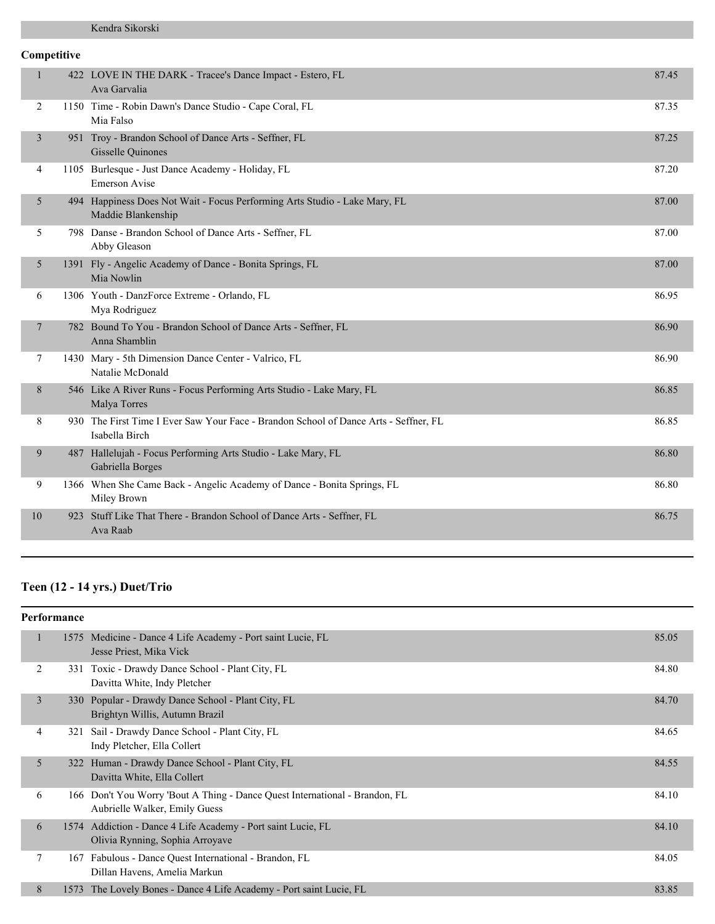# **Competitive**

| $\mathbf{1}$   | 422 LOVE IN THE DARK - Tracee's Dance Impact - Estero, FL<br>Ava Garvalia                              | 87.45 |
|----------------|--------------------------------------------------------------------------------------------------------|-------|
| 2              | 1150 Time - Robin Dawn's Dance Studio - Cape Coral, FL<br>Mia Falso                                    | 87.35 |
| 3              | 951 Troy - Brandon School of Dance Arts - Seffner, FL<br><b>Gisselle Quinones</b>                      | 87.25 |
| 4              | 1105 Burlesque - Just Dance Academy - Holiday, FL<br><b>Emerson Avise</b>                              | 87.20 |
| 5              | 494 Happiness Does Not Wait - Focus Performing Arts Studio - Lake Mary, FL<br>Maddie Blankenship       | 87.00 |
| 5              | 798 Danse - Brandon School of Dance Arts - Seffner, FL<br>Abby Gleason                                 | 87.00 |
| 5              | 1391 Fly - Angelic Academy of Dance - Bonita Springs, FL<br>Mia Nowlin                                 | 87.00 |
| 6              | 1306 Youth - DanzForce Extreme - Orlando, FL<br>Mya Rodriguez                                          | 86.95 |
| $\overline{7}$ | 782 Bound To You - Brandon School of Dance Arts - Seffner, FL<br>Anna Shamblin                         | 86.90 |
| 7              | 1430 Mary - 5th Dimension Dance Center - Valrico, FL<br>Natalie McDonald                               | 86.90 |
| 8              | 546 Like A River Runs - Focus Performing Arts Studio - Lake Mary, FL<br>Malya Torres                   | 86.85 |
| 8              | 930 The First Time I Ever Saw Your Face - Brandon School of Dance Arts - Seffner, FL<br>Isabella Birch | 86.85 |
| 9              | 487 Hallelujah - Focus Performing Arts Studio - Lake Mary, FL<br>Gabriella Borges                      | 86.80 |
| 9              | 1366 When She Came Back - Angelic Academy of Dance - Bonita Springs, FL<br>Miley Brown                 | 86.80 |
| 10             | 923 Stuff Like That There - Brandon School of Dance Arts - Seffner, FL<br>Ava Raab                     | 86.75 |
|                |                                                                                                        |       |

# **Teen (12 - 14 yrs.) Duet/Trio**

| Performance    |     |                                                                                                              |       |  |
|----------------|-----|--------------------------------------------------------------------------------------------------------------|-------|--|
| 1              |     | 1575 Medicine - Dance 4 Life Academy - Port saint Lucie, FL<br>Jesse Priest, Mika Vick                       | 85.05 |  |
| 2              | 331 | Toxic - Drawdy Dance School - Plant City, FL<br>Davitta White, Indy Pletcher                                 | 84.80 |  |
| $\overline{3}$ |     | 330 Popular - Drawdy Dance School - Plant City, FL<br>Brightyn Willis, Autumn Brazil                         | 84.70 |  |
| 4              | 321 | Sail - Drawdy Dance School - Plant City, FL<br>Indy Pletcher, Ella Collert                                   | 84.65 |  |
| 5              |     | 322 Human - Drawdy Dance School - Plant City, FL<br>Davitta White, Ella Collert                              | 84.55 |  |
| 6              |     | 166 Don't You Worry 'Bout A Thing - Dance Quest International - Brandon, FL<br>Aubrielle Walker, Emily Guess | 84.10 |  |
| 6              |     | 1574 Addiction - Dance 4 Life Academy - Port saint Lucie, FL<br>Olivia Rynning, Sophia Arroyave              | 84.10 |  |
| 7              | 167 | Fabulous - Dance Quest International - Brandon, FL<br>Dillan Havens, Amelia Markun                           | 84.05 |  |
| 8              |     | 1573 The Lovely Bones - Dance 4 Life Academy - Port saint Lucie, FL                                          | 83.85 |  |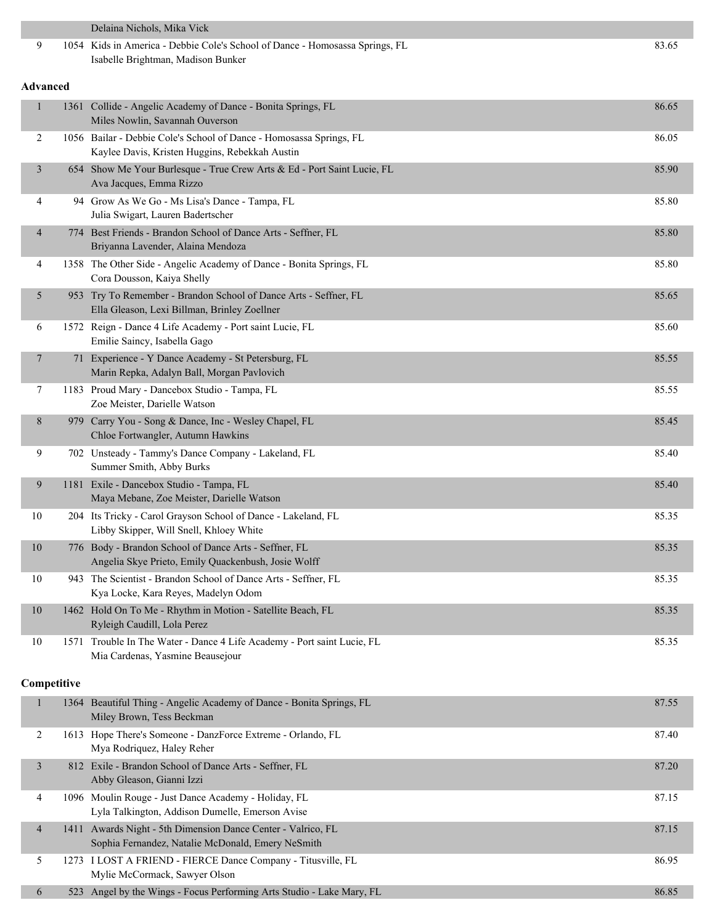|                          |             | Delaina Nichols, Mika Vick                                                                                            |       |
|--------------------------|-------------|-----------------------------------------------------------------------------------------------------------------------|-------|
| 9                        |             | 1054 Kids in America - Debbie Cole's School of Dance - Homosassa Springs, FL<br>Isabelle Brightman, Madison Bunker    | 83.65 |
| <b>Advanced</b>          |             |                                                                                                                       |       |
| 1                        |             | 1361 Collide - Angelic Academy of Dance - Bonita Springs, FL<br>Miles Nowlin, Savannah Ouverson                       | 86.65 |
| 2                        |             | 1056 Bailar - Debbie Cole's School of Dance - Homosassa Springs, FL<br>Kaylee Davis, Kristen Huggins, Rebekkah Austin | 86.05 |
| $\mathfrak{Z}$           |             | 654 Show Me Your Burlesque - True Crew Arts & Ed - Port Saint Lucie, FL<br>Ava Jacques, Emma Rizzo                    | 85.90 |
| 4                        |             | 94 Grow As We Go - Ms Lisa's Dance - Tampa, FL<br>Julia Swigart, Lauren Badertscher                                   | 85.80 |
| $\overline{\mathcal{A}}$ |             | 774 Best Friends - Brandon School of Dance Arts - Seffner, FL<br>Briyanna Lavender, Alaina Mendoza                    | 85.80 |
| 4                        |             | 1358 The Other Side - Angelic Academy of Dance - Bonita Springs, FL<br>Cora Dousson, Kaiya Shelly                     | 85.80 |
| 5                        |             | 953 Try To Remember - Brandon School of Dance Arts - Seffner, FL<br>Ella Gleason, Lexi Billman, Brinley Zoellner      | 85.65 |
| 6                        |             | 1572 Reign - Dance 4 Life Academy - Port saint Lucie, FL<br>Emilie Saincy, Isabella Gago                              | 85.60 |
| 7                        |             | 71 Experience - Y Dance Academy - St Petersburg, FL<br>Marin Repka, Adalyn Ball, Morgan Pavlovich                     | 85.55 |
| 7                        |             | 1183 Proud Mary - Dancebox Studio - Tampa, FL<br>Zoe Meister, Darielle Watson                                         | 85.55 |
| 8                        |             | 979 Carry You - Song & Dance, Inc - Wesley Chapel, FL<br>Chloe Fortwangler, Autumn Hawkins                            | 85.45 |
| 9                        |             | 702 Unsteady - Tammy's Dance Company - Lakeland, FL<br>Summer Smith, Abby Burks                                       | 85.40 |
| 9                        |             | 1181 Exile - Dancebox Studio - Tampa, FL<br>Maya Mebane, Zoe Meister, Darielle Watson                                 | 85.40 |
| 10                       |             | 204 Its Tricky - Carol Grayson School of Dance - Lakeland, FL<br>Libby Skipper, Will Snell, Khloey White              | 85.35 |
| $10\,$                   |             | 776 Body - Brandon School of Dance Arts - Seffner, FL<br>Angelia Skye Prieto, Emily Quackenbush, Josie Wolff          | 85.35 |
| 10                       |             | 943 The Scientist - Brandon School of Dance Arts - Seffner, FL<br>Kya Locke, Kara Reyes, Madelyn Odom                 | 85.35 |
| 10                       |             | 1462 Hold On To Me - Rhythm in Motion - Satellite Beach, FL<br>Ryleigh Caudill, Lola Perez                            | 85.35 |
| 10                       |             | 1571 Trouble In The Water - Dance 4 Life Academy - Port saint Lucie, FL<br>Mia Cardenas, Yasmine Beausejour           | 85.35 |
|                          | Competitive |                                                                                                                       |       |
| $\mathbf{1}$             |             | 1364 Beautiful Thing - Angelic Academy of Dance - Bonita Springs, FL<br>Miley Brown, Tess Beckman                     | 87.55 |
| 2                        |             | 1613 Hope There's Someone - DanzForce Extreme - Orlando, FL<br>Mya Rodriquez, Haley Reher                             | 87.40 |
| 3                        |             | 812 Exile - Brandon School of Dance Arts - Seffner, FL<br>Abby Gleason, Gianni Izzi                                   | 87.20 |
| 4                        |             | 1096 Moulin Rouge - Just Dance Academy - Holiday, FL<br>Lyla Talkington, Addison Dumelle, Emerson Avise               | 87.15 |
| $\overline{4}$           |             | 1411 Awards Night - 5th Dimension Dance Center - Valrico, FL<br>Sophia Fernandez, Natalie McDonald, Emery NeSmith     | 87.15 |
| 5                        |             | 1273 I LOST A FRIEND - FIERCE Dance Company - Titusville, FL<br>Mylie McCormack, Sawyer Olson                         | 86.95 |
| 6                        |             | 523 Angel by the Wings - Focus Performing Arts Studio - Lake Mary, FL                                                 | 86.85 |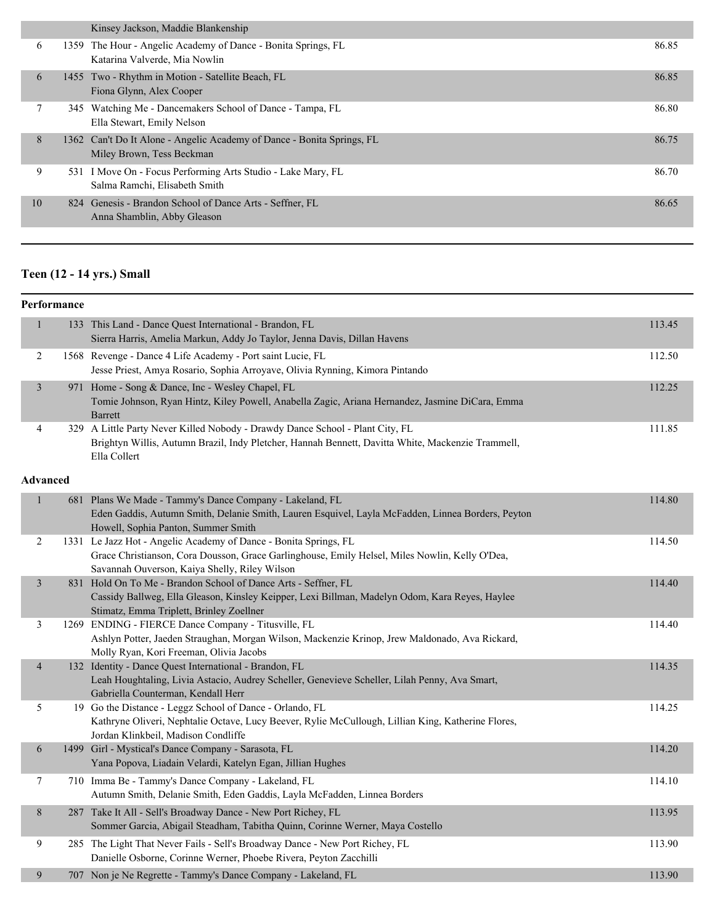|    | Kinsey Jackson, Maddie Blankenship                                                                  |       |
|----|-----------------------------------------------------------------------------------------------------|-------|
| 6  | 1359 The Hour - Angelic Academy of Dance - Bonita Springs, FL<br>Katarina Valverde, Mia Nowlin      | 86.85 |
| 6  | 1455 Two - Rhythm in Motion - Satellite Beach, FL<br>Fiona Glynn, Alex Cooper                       | 86.85 |
|    | 345 Watching Me - Dancemakers School of Dance - Tampa, FL<br>Ella Stewart, Emily Nelson             | 86.80 |
| 8  | 1362 Can't Do It Alone - Angelic Academy of Dance - Bonita Springs, FL<br>Miley Brown, Tess Beckman | 86.75 |
| 9  | 531 I Move On - Focus Performing Arts Studio - Lake Mary, FL<br>Salma Ramchi, Elisabeth Smith       | 86.70 |
| 10 | 824 Genesis - Brandon School of Dance Arts - Seffner, FL<br>Anna Shamblin, Abby Gleason             | 86.65 |
|    |                                                                                                     |       |

# **Teen (12 - 14 yrs.) Small**

|                          | Performance |                                                                                                                                                                                                                     |        |
|--------------------------|-------------|---------------------------------------------------------------------------------------------------------------------------------------------------------------------------------------------------------------------|--------|
| $\mathbf{1}$             |             | 133 This Land - Dance Quest International - Brandon, FL<br>Sierra Harris, Amelia Markun, Addy Jo Taylor, Jenna Davis, Dillan Havens                                                                                 | 113.45 |
| $\overline{c}$           |             | 1568 Revenge - Dance 4 Life Academy - Port saint Lucie, FL<br>Jesse Priest, Amya Rosario, Sophia Arroyave, Olivia Rynning, Kimora Pintando                                                                          | 112.50 |
| $\mathfrak{Z}$           | 971         | Home - Song & Dance, Inc - Wesley Chapel, FL<br>Tomie Johnson, Ryan Hintz, Kiley Powell, Anabella Zagic, Ariana Hernandez, Jasmine DiCara, Emma<br><b>Barrett</b>                                                   | 112.25 |
| 4                        |             | 329 A Little Party Never Killed Nobody - Drawdy Dance School - Plant City, FL<br>Brightyn Willis, Autumn Brazil, Indy Pletcher, Hannah Bennett, Davitta White, Mackenzie Trammell,<br>Ella Collert                  | 111.85 |
| <b>Advanced</b>          |             |                                                                                                                                                                                                                     |        |
| $\mathbf{1}$             |             | 681 Plans We Made - Tammy's Dance Company - Lakeland, FL<br>Eden Gaddis, Autumn Smith, Delanie Smith, Lauren Esquivel, Layla McFadden, Linnea Borders, Peyton<br>Howell, Sophia Panton, Summer Smith                | 114.80 |
| $\overline{c}$           |             | 1331 Le Jazz Hot - Angelic Academy of Dance - Bonita Springs, FL<br>Grace Christianson, Cora Dousson, Grace Garlinghouse, Emily Helsel, Miles Nowlin, Kelly O'Dea,<br>Savannah Ouverson, Kaiya Shelly, Riley Wilson | 114.50 |
| $\mathfrak{Z}$           |             | 831 Hold On To Me - Brandon School of Dance Arts - Seffner, FL<br>Cassidy Ballweg, Ella Gleason, Kinsley Keipper, Lexi Billman, Madelyn Odom, Kara Reyes, Haylee<br>Stimatz, Emma Triplett, Brinley Zoellner        | 114.40 |
| 3                        |             | 1269 ENDING - FIERCE Dance Company - Titusville, FL<br>Ashlyn Potter, Jaeden Straughan, Morgan Wilson, Mackenzie Krinop, Jrew Maldonado, Ava Rickard,<br>Molly Ryan, Kori Freeman, Olivia Jacobs                    | 114.40 |
| $\overline{\mathcal{A}}$ |             | 132 Identity - Dance Quest International - Brandon, FL<br>Leah Houghtaling, Livia Astacio, Audrey Scheller, Genevieve Scheller, Lilah Penny, Ava Smart,<br>Gabriella Counterman, Kendall Herr                       | 114.35 |
| 5                        |             | 19 Go the Distance - Leggz School of Dance - Orlando, FL<br>Kathryne Oliveri, Nephtalie Octave, Lucy Beever, Rylie McCullough, Lillian King, Katherine Flores,<br>Jordan Klinkbeil, Madison Condliffe               | 114.25 |
| $\boldsymbol{6}$         |             | 1499 Girl - Mystical's Dance Company - Sarasota, FL<br>Yana Popova, Liadain Velardi, Katelyn Egan, Jillian Hughes                                                                                                   | 114.20 |
| 7                        |             | 710 Imma Be - Tammy's Dance Company - Lakeland, FL<br>Autumn Smith, Delanie Smith, Eden Gaddis, Layla McFadden, Linnea Borders                                                                                      | 114.10 |
| 8                        |             | 287 Take It All - Sell's Broadway Dance - New Port Richey, FL<br>Sommer Garcia, Abigail Steadham, Tabitha Quinn, Corinne Werner, Maya Costello                                                                      | 113.95 |
| 9                        |             | 285 The Light That Never Fails - Sell's Broadway Dance - New Port Richey, FL<br>Danielle Osborne, Corinne Werner, Phoebe Rivera, Peyton Zacchilli                                                                   | 113.90 |
| 9                        |             | 707 Non je Ne Regrette - Tammy's Dance Company - Lakeland, FL                                                                                                                                                       | 113.90 |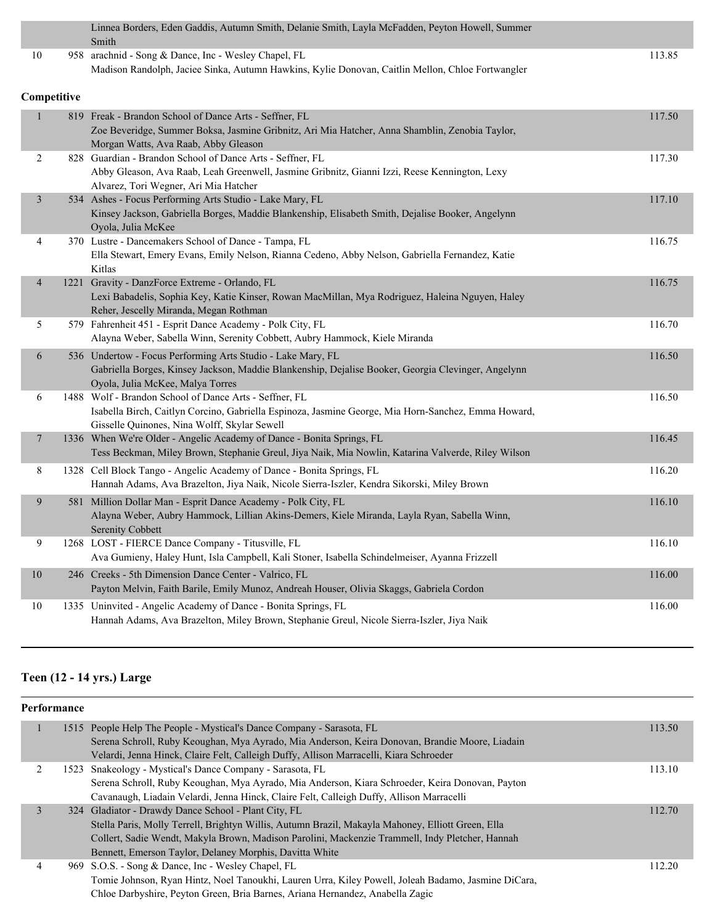|                          | Linnea Borders, Eden Gaddis, Autumn Smith, Delanie Smith, Layla McFadden, Peyton Howell, Summer<br>Smith                                                                                                      |        |
|--------------------------|---------------------------------------------------------------------------------------------------------------------------------------------------------------------------------------------------------------|--------|
| 10                       | 958 arachnid - Song & Dance, Inc - Wesley Chapel, FL<br>Madison Randolph, Jaciee Sinka, Autumn Hawkins, Kylie Donovan, Caitlin Mellon, Chloe Fortwangler                                                      | 113.85 |
| Competitive              |                                                                                                                                                                                                               |        |
| $\mathbf{1}$             | 819 Freak - Brandon School of Dance Arts - Seffner, FL<br>Zoe Beveridge, Summer Boksa, Jasmine Gribnitz, Ari Mia Hatcher, Anna Shamblin, Zenobia Taylor,<br>Morgan Watts, Ava Raab, Abby Gleason              | 117.50 |
| 2                        | 828 Guardian - Brandon School of Dance Arts - Seffner, FL<br>Abby Gleason, Ava Raab, Leah Greenwell, Jasmine Gribnitz, Gianni Izzi, Reese Kennington, Lexy<br>Alvarez, Tori Wegner, Ari Mia Hatcher           | 117.30 |
| $\mathfrak{Z}$           | 534 Ashes - Focus Performing Arts Studio - Lake Mary, FL<br>Kinsey Jackson, Gabriella Borges, Maddie Blankenship, Elisabeth Smith, Dejalise Booker, Angelynn<br>Oyola, Julia McKee                            | 117.10 |
| 4                        | 370 Lustre - Dancemakers School of Dance - Tampa, FL<br>Ella Stewart, Emery Evans, Emily Nelson, Rianna Cedeno, Abby Nelson, Gabriella Fernandez, Katie<br>Kitlas                                             | 116.75 |
| $\overline{\mathcal{A}}$ | 1221 Gravity - DanzForce Extreme - Orlando, FL<br>Lexi Babadelis, Sophia Key, Katie Kinser, Rowan MacMillan, Mya Rodriguez, Haleina Nguyen, Haley<br>Reher, Jescelly Miranda, Megan Rothman                   | 116.75 |
| 5                        | 579 Fahrenheit 451 - Esprit Dance Academy - Polk City, FL<br>Alayna Weber, Sabella Winn, Serenity Cobbett, Aubry Hammock, Kiele Miranda                                                                       | 116.70 |
| 6                        | 536 Undertow - Focus Performing Arts Studio - Lake Mary, FL<br>Gabriella Borges, Kinsey Jackson, Maddie Blankenship, Dejalise Booker, Georgia Clevinger, Angelynn<br>Oyola, Julia McKee, Malya Torres         | 116.50 |
| 6                        | 1488 Wolf - Brandon School of Dance Arts - Seffner, FL<br>Isabella Birch, Caitlyn Corcino, Gabriella Espinoza, Jasmine George, Mia Horn-Sanchez, Emma Howard,<br>Gisselle Quinones, Nina Wolff, Skylar Sewell | 116.50 |
| 7                        | 1336 When We're Older - Angelic Academy of Dance - Bonita Springs, FL<br>Tess Beckman, Miley Brown, Stephanie Greul, Jiya Naik, Mia Nowlin, Katarina Valverde, Riley Wilson                                   | 116.45 |
| 8                        | 1328 Cell Block Tango - Angelic Academy of Dance - Bonita Springs, FL<br>Hannah Adams, Ava Brazelton, Jiya Naik, Nicole Sierra-Iszler, Kendra Sikorski, Miley Brown                                           | 116.20 |
| 9                        | 581 Million Dollar Man - Esprit Dance Academy - Polk City, FL<br>Alayna Weber, Aubry Hammock, Lillian Akins-Demers, Kiele Miranda, Layla Ryan, Sabella Winn,<br>Serenity Cobbett                              | 116.10 |
| 9                        | 1268 LOST - FIERCE Dance Company - Titusville, FL<br>Ava Gumieny, Haley Hunt, Isla Campbell, Kali Stoner, Isabella Schindelmeiser, Ayanna Frizzell                                                            | 116.10 |
| 10                       | 246 Creeks - 5th Dimension Dance Center - Valrico, FL<br>Payton Melvin, Faith Barile, Emily Munoz, Andreah Houser, Olivia Skaggs, Gabriela Cordon                                                             | 116.00 |
| 10                       | 1335 Uninvited - Angelic Academy of Dance - Bonita Springs, FL<br>Hannah Adams, Ava Brazelton, Miley Brown, Stephanie Greul, Nicole Sierra-Iszler, Jiya Naik                                                  | 116.00 |

# **Teen (12 - 14 yrs.) Large**

| Performance |  |                                                                                                     |        |
|-------------|--|-----------------------------------------------------------------------------------------------------|--------|
|             |  | 1515 People Help The People - Mystical's Dance Company - Sarasota, FL                               | 113.50 |
|             |  | Serena Schroll, Ruby Keoughan, Mya Ayrado, Mia Anderson, Keira Donovan, Brandie Moore, Liadain      |        |
|             |  | Velardi, Jenna Hinck, Claire Felt, Calleigh Duffy, Allison Marracelli, Kiara Schroeder              |        |
| 2           |  | 1523 Snakeology - Mystical's Dance Company - Sarasota, FL                                           | 113.10 |
|             |  | Serena Schroll, Ruby Keoughan, Mya Ayrado, Mia Anderson, Kiara Schroeder, Keira Donovan, Payton     |        |
|             |  | Cavanaugh, Liadain Velardi, Jenna Hinck, Claire Felt, Calleigh Duffy, Allison Marracelli            |        |
|             |  | 324 Gladiator - Drawdy Dance School - Plant City, FL                                                | 112.70 |
|             |  | Stella Paris, Molly Terrell, Brightyn Willis, Autumn Brazil, Makayla Mahoney, Elliott Green, Ella   |        |
|             |  | Collert, Sadie Wendt, Makyla Brown, Madison Parolini, Mackenzie Trammell, Indy Pletcher, Hannah     |        |
|             |  | Bennett, Emerson Taylor, Delaney Morphis, Davitta White                                             |        |
| 4           |  | 969 S.O.S. - Song & Dance, Inc - Wesley Chapel, FL                                                  | 112.20 |
|             |  | Tomie Johnson, Ryan Hintz, Noel Tanoukhi, Lauren Urra, Kiley Powell, Joleah Badamo, Jasmine DiCara, |        |
|             |  | Chloe Darbyshire, Peyton Green, Bria Barnes, Ariana Hernandez, Anabella Zagic                       |        |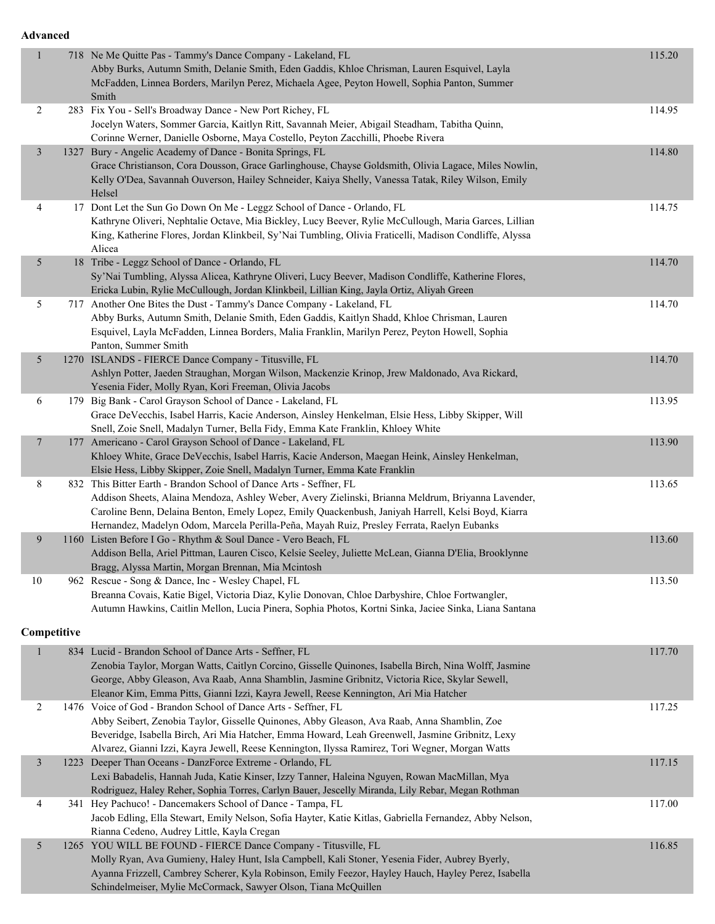#### **Advanced**

| $\mathbf{1}$   |             | 718 Ne Me Quitte Pas - Tammy's Dance Company - Lakeland, FL<br>Abby Burks, Autumn Smith, Delanie Smith, Eden Gaddis, Khloe Chrisman, Lauren Esquivel, Layla<br>McFadden, Linnea Borders, Marilyn Perez, Michaela Agee, Peyton Howell, Sophia Panton, Summer<br>Smith                                                                                                         | 115.20 |
|----------------|-------------|------------------------------------------------------------------------------------------------------------------------------------------------------------------------------------------------------------------------------------------------------------------------------------------------------------------------------------------------------------------------------|--------|
| $\overline{2}$ |             | 283 Fix You - Sell's Broadway Dance - New Port Richey, FL<br>Jocelyn Waters, Sommer Garcia, Kaitlyn Ritt, Savannah Meier, Abigail Steadham, Tabitha Quinn,<br>Corinne Werner, Danielle Osborne, Maya Costello, Peyton Zacchilli, Phoebe Rivera                                                                                                                               | 114.95 |
| $\mathfrak{Z}$ |             | 1327 Bury - Angelic Academy of Dance - Bonita Springs, FL<br>Grace Christianson, Cora Dousson, Grace Garlinghouse, Chayse Goldsmith, Olivia Lagace, Miles Nowlin,<br>Kelly O'Dea, Savannah Ouverson, Hailey Schneider, Kaiya Shelly, Vanessa Tatak, Riley Wilson, Emily<br>Helsel                                                                                            | 114.80 |
| 4              |             | 17 Dont Let the Sun Go Down On Me - Leggz School of Dance - Orlando, FL<br>Kathryne Oliveri, Nephtalie Octave, Mia Bickley, Lucy Beever, Rylie McCullough, Maria Garces, Lillian<br>King, Katherine Flores, Jordan Klinkbeil, Sy'Nai Tumbling, Olivia Fraticelli, Madison Condliffe, Alyssa<br>Alicea                                                                        | 114.75 |
| 5              |             | 18 Tribe - Leggz School of Dance - Orlando, FL<br>Sy'Nai Tumbling, Alyssa Alicea, Kathryne Oliveri, Lucy Beever, Madison Condliffe, Katherine Flores,<br>Ericka Lubin, Rylie McCullough, Jordan Klinkbeil, Lillian King, Jayla Ortiz, Aliyah Green                                                                                                                           | 114.70 |
| 5              |             | 717 Another One Bites the Dust - Tammy's Dance Company - Lakeland, FL<br>Abby Burks, Autumn Smith, Delanie Smith, Eden Gaddis, Kaitlyn Shadd, Khloe Chrisman, Lauren<br>Esquivel, Layla McFadden, Linnea Borders, Malia Franklin, Marilyn Perez, Peyton Howell, Sophia<br>Panton, Summer Smith                                                                               | 114.70 |
| 5              |             | 1270 ISLANDS - FIERCE Dance Company - Titusville, FL<br>Ashlyn Potter, Jaeden Straughan, Morgan Wilson, Mackenzie Krinop, Jrew Maldonado, Ava Rickard,<br>Yesenia Fider, Molly Ryan, Kori Freeman, Olivia Jacobs                                                                                                                                                             | 114.70 |
| 6              |             | 179 Big Bank - Carol Grayson School of Dance - Lakeland, FL<br>Grace DeVecchis, Isabel Harris, Kacie Anderson, Ainsley Henkelman, Elsie Hess, Libby Skipper, Will<br>Snell, Zoie Snell, Madalyn Turner, Bella Fidy, Emma Kate Franklin, Khloey White                                                                                                                         | 113.95 |
| 7              |             | 177 Americano - Carol Grayson School of Dance - Lakeland, FL<br>Khloey White, Grace DeVecchis, Isabel Harris, Kacie Anderson, Maegan Heink, Ainsley Henkelman,<br>Elsie Hess, Libby Skipper, Zoie Snell, Madalyn Turner, Emma Kate Franklin                                                                                                                                  | 113.90 |
| 8              |             | 832 This Bitter Earth - Brandon School of Dance Arts - Seffner, FL<br>Addison Sheets, Alaina Mendoza, Ashley Weber, Avery Zielinski, Brianna Meldrum, Briyanna Lavender,<br>Caroline Benn, Delaina Benton, Emely Lopez, Emily Quackenbush, Janiyah Harrell, Kelsi Boyd, Kiarra<br>Hernandez, Madelyn Odom, Marcela Perilla-Peña, Mayah Ruiz, Presley Ferrata, Raelyn Eubanks | 113.65 |
| 9              |             | 1160 Listen Before I Go - Rhythm & Soul Dance - Vero Beach, FL<br>Addison Bella, Ariel Pittman, Lauren Cisco, Kelsie Seeley, Juliette McLean, Gianna D'Elia, Brooklynne<br>Bragg, Alyssa Martin, Morgan Brennan, Mia Mcintosh                                                                                                                                                | 113.60 |
| 10             |             | 962 Rescue - Song & Dance, Inc - Wesley Chapel, FL<br>Breanna Covais, Katie Bigel, Victoria Diaz, Kylie Donovan, Chloe Darbyshire, Chloe Fortwangler,<br>Autumn Hawkins, Caitlin Mellon, Lucia Pinera, Sophia Photos, Kortni Sinka, Jaciee Sinka, Liana Santana                                                                                                              | 113.50 |
|                | Competitive |                                                                                                                                                                                                                                                                                                                                                                              |        |
| $\mathbf{1}$   |             | 834 Lucid - Brandon School of Dance Arts - Seffner, FL<br>Zenobia Taylor, Morgan Watts, Caitlyn Corcino, Gisselle Quinones, Isabella Birch, Nina Wolff, Jasmine<br>George, Abby Gleason, Ava Raab, Anna Shamblin, Jasmine Gribnitz, Victoria Rice, Skylar Sewell,<br>Eleanor Kim, Emma Pitts, Gianni Izzi, Kayra Jewell, Reese Kennington, Ari Mia Hatcher                   | 117.70 |
| 2              |             | 1476 Voice of God - Brandon School of Dance Arts - Seffner, FL<br>Abby Seibert, Zenobia Taylor, Gisselle Quinones, Abby Gleason, Ava Raab, Anna Shamblin, Zoe<br>Beveridge, Isabella Birch, Ari Mia Hatcher, Emma Howard, Leah Greenwell, Jasmine Gribnitz, Lexy<br>Alvarez, Gianni Izzi, Kayra Jewell, Reese Kennington, Ilyssa Ramirez, Tori Wegner, Morgan Watts          | 117.25 |
| $\mathfrak{Z}$ |             | 1223 Deeper Than Oceans - DanzForce Extreme - Orlando, FL<br>Lexi Babadelis, Hannah Juda, Katie Kinser, Izzy Tanner, Haleina Nguyen, Rowan MacMillan, Mya<br>Rodriguez, Haley Reher, Sophia Torres, Carlyn Bauer, Jescelly Miranda, Lily Rebar, Megan Rothman                                                                                                                | 117.15 |
| 4              |             | 341 Hey Pachuco! - Dancemakers School of Dance - Tampa, FL<br>Jacob Edling, Ella Stewart, Emily Nelson, Sofia Hayter, Katie Kitlas, Gabriella Fernandez, Abby Nelson,<br>Rianna Cedeno, Audrey Little, Kayla Cregan                                                                                                                                                          | 117.00 |
| 5              |             | 1265 YOU WILL BE FOUND - FIERCE Dance Company - Titusville, FL<br>Molly Ryan, Ava Gumieny, Haley Hunt, Isla Campbell, Kali Stoner, Yesenia Fider, Aubrey Byerly,<br>Ayanna Frizzell, Cambrey Scherer, Kyla Robinson, Emily Feezor, Hayley Hauch, Hayley Perez, Isabella<br>Schindelmeiser, Mylie McCormack, Sawyer Olson, Tiana McQuillen                                    | 116.85 |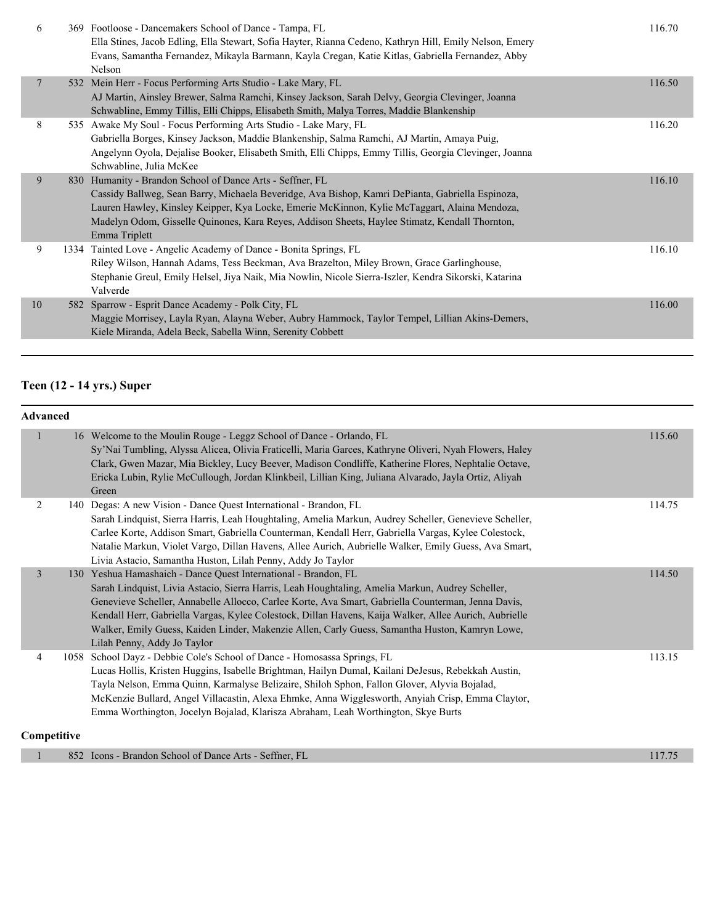| 6              | 369 Footloose - Dancemakers School of Dance - Tampa, FL<br>Ella Stines, Jacob Edling, Ella Stewart, Sofia Hayter, Rianna Cedeno, Kathryn Hill, Emily Nelson, Emery<br>Evans, Samantha Fernandez, Mikayla Barmann, Kayla Cregan, Katie Kitlas, Gabriella Fernandez, Abby<br>Nelson                                                                                                | 116.70 |
|----------------|----------------------------------------------------------------------------------------------------------------------------------------------------------------------------------------------------------------------------------------------------------------------------------------------------------------------------------------------------------------------------------|--------|
| $\overline{7}$ | 532 Mein Herr - Focus Performing Arts Studio - Lake Mary, FL<br>AJ Martin, Ainsley Brewer, Salma Ramchi, Kinsey Jackson, Sarah Delvy, Georgia Clevinger, Joanna<br>Schwabline, Emmy Tillis, Elli Chipps, Elisabeth Smith, Malya Torres, Maddie Blankenship                                                                                                                       | 116.50 |
| 8              | 535 Awake My Soul - Focus Performing Arts Studio - Lake Mary, FL<br>Gabriella Borges, Kinsey Jackson, Maddie Blankenship, Salma Ramchi, AJ Martin, Amaya Puig,<br>Angelynn Oyola, Dejalise Booker, Elisabeth Smith, Elli Chipps, Emmy Tillis, Georgia Clevinger, Joanna<br>Schwabline, Julia McKee                                                                               | 116.20 |
| 9              | 830 Humanity - Brandon School of Dance Arts - Seffner, FL<br>Cassidy Ballweg, Sean Barry, Michaela Beveridge, Ava Bishop, Kamri DePianta, Gabriella Espinoza,<br>Lauren Hawley, Kinsley Keipper, Kya Locke, Emerie McKinnon, Kylie McTaggart, Alaina Mendoza,<br>Madelyn Odom, Gisselle Quinones, Kara Reyes, Addison Sheets, Haylee Stimatz, Kendall Thornton,<br>Emma Triplett | 116.10 |
| 9              | 1334 Tainted Love - Angelic Academy of Dance - Bonita Springs, FL<br>Riley Wilson, Hannah Adams, Tess Beckman, Ava Brazelton, Miley Brown, Grace Garlinghouse,<br>Stephanie Greul, Emily Helsel, Jiya Naik, Mia Nowlin, Nicole Sierra-Iszler, Kendra Sikorski, Katarina<br>Valverde                                                                                              | 116.10 |
| 10             | 582 Sparrow - Esprit Dance Academy - Polk City, FL<br>Maggie Morrisey, Layla Ryan, Alayna Weber, Aubry Hammock, Taylor Tempel, Lillian Akins-Demers,<br>Kiele Miranda, Adela Beck, Sabella Winn, Serenity Cobbett                                                                                                                                                                | 116.00 |

# **Teen (12 - 14 yrs.) Super**

| <b>Advanced</b> |  |                                                                                                                                                                                                                                                                                                                                                                                                                                                                                                                     |        |  |
|-----------------|--|---------------------------------------------------------------------------------------------------------------------------------------------------------------------------------------------------------------------------------------------------------------------------------------------------------------------------------------------------------------------------------------------------------------------------------------------------------------------------------------------------------------------|--------|--|
|                 |  | 16 Welcome to the Moulin Rouge - Leggz School of Dance - Orlando, FL<br>Sy'Nai Tumbling, Alyssa Alicea, Olivia Fraticelli, Maria Garces, Kathryne Oliveri, Nyah Flowers, Haley<br>Clark, Gwen Mazar, Mia Bickley, Lucy Beever, Madison Condliffe, Katherine Flores, Nephtalie Octave,<br>Ericka Lubin, Rylie McCullough, Jordan Klinkbeil, Lillian King, Juliana Alvarado, Jayla Ortiz, Aliyah<br>Green                                                                                                             | 115.60 |  |
| 2               |  | 140 Degas: A new Vision - Dance Quest International - Brandon, FL<br>Sarah Lindquist, Sierra Harris, Leah Houghtaling, Amelia Markun, Audrey Scheller, Genevieve Scheller,<br>Carlee Korte, Addison Smart, Gabriella Counterman, Kendall Herr, Gabriella Vargas, Kylee Colestock,<br>Natalie Markun, Violet Vargo, Dillan Havens, Allee Aurich, Aubrielle Walker, Emily Guess, Ava Smart,<br>Livia Astacio, Samantha Huston, Lilah Penny, Addy Jo Taylor                                                            | 114.75 |  |
| 3               |  | 130 Yeshua Hamashaich - Dance Quest International - Brandon, FL<br>Sarah Lindquist, Livia Astacio, Sierra Harris, Leah Houghtaling, Amelia Markun, Audrey Scheller,<br>Genevieve Scheller, Annabelle Allocco, Carlee Korte, Ava Smart, Gabriella Counterman, Jenna Davis,<br>Kendall Herr, Gabriella Vargas, Kylee Colestock, Dillan Havens, Kaija Walker, Allee Aurich, Aubrielle<br>Walker, Emily Guess, Kaiden Linder, Makenzie Allen, Carly Guess, Samantha Huston, Kamryn Lowe,<br>Lilah Penny, Addy Jo Taylor | 114.50 |  |
| 4               |  | 1058 School Dayz - Debbie Cole's School of Dance - Homosassa Springs, FL<br>Lucas Hollis, Kristen Huggins, Isabelle Brightman, Hailyn Dumal, Kailani DeJesus, Rebekkah Austin,<br>Tayla Nelson, Emma Quinn, Karmalyse Belizaire, Shiloh Sphon, Fallon Glover, Alyvia Bojalad,<br>McKenzie Bullard, Angel Villacastin, Alexa Ehmke, Anna Wigglesworth, Anyiah Crisp, Emma Claytor,<br>Emma Worthington, Jocelyn Bojalad, Klarisza Abraham, Leah Worthington, Skye Burts                                              | 113.15 |  |
| Competitive     |  |                                                                                                                                                                                                                                                                                                                                                                                                                                                                                                                     |        |  |

|  | <b>Icons - Brandon School of Dance Arts - Seffner, FL</b><br>852 Ic | 117.75 |
|--|---------------------------------------------------------------------|--------|
|--|---------------------------------------------------------------------|--------|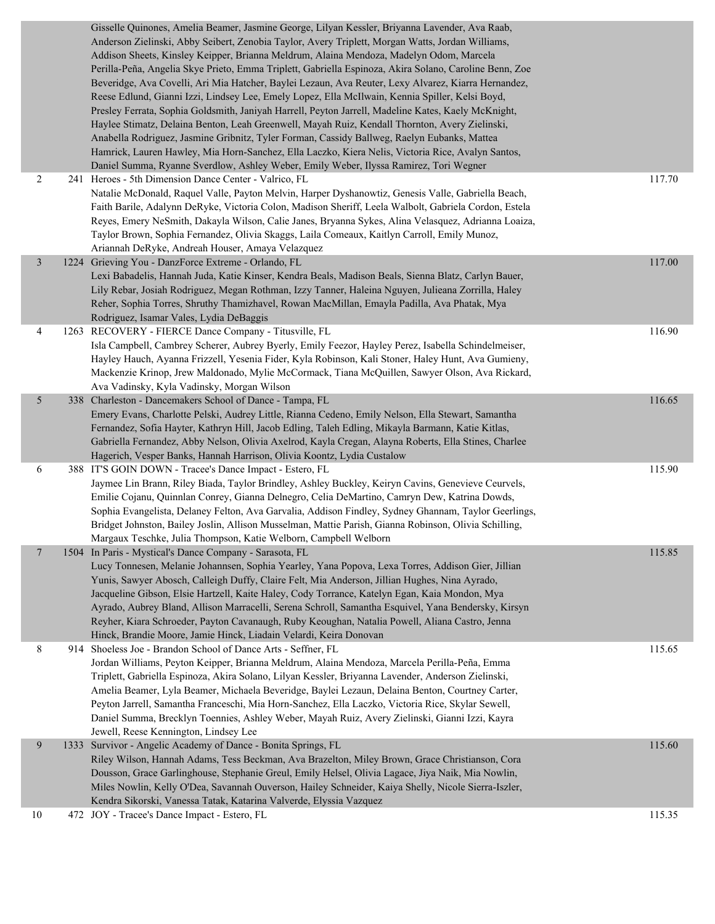|                | Gisselle Quinones, Amelia Beamer, Jasmine George, Lilyan Kessler, Briyanna Lavender, Ava Raab,<br>Anderson Zielinski, Abby Seibert, Zenobia Taylor, Avery Triplett, Morgan Watts, Jordan Williams,<br>Addison Sheets, Kinsley Keipper, Brianna Meldrum, Alaina Mendoza, Madelyn Odom, Marcela<br>Perilla-Peña, Angelia Skye Prieto, Emma Triplett, Gabriella Espinoza, Akira Solano, Caroline Benn, Zoe<br>Beveridge, Ava Covelli, Ari Mia Hatcher, Baylei Lezaun, Ava Reuter, Lexy Alvarez, Kiarra Hernandez,<br>Reese Edlund, Gianni Izzi, Lindsey Lee, Emely Lopez, Ella McIlwain, Kennia Spiller, Kelsi Boyd,<br>Presley Ferrata, Sophia Goldsmith, Janiyah Harrell, Peyton Jarrell, Madeline Kates, Kaely McKnight,<br>Haylee Stimatz, Delaina Benton, Leah Greenwell, Mayah Ruiz, Kendall Thornton, Avery Zielinski,<br>Anabella Rodriguez, Jasmine Gribnitz, Tyler Forman, Cassidy Ballweg, Raelyn Eubanks, Mattea<br>Hamrick, Lauren Hawley, Mia Horn-Sanchez, Ella Laczko, Kiera Nelis, Victoria Rice, Avalyn Santos,<br>Daniel Summa, Ryanne Sverdlow, Ashley Weber, Emily Weber, Ilyssa Ramirez, Tori Wegner |        |
|----------------|-------------------------------------------------------------------------------------------------------------------------------------------------------------------------------------------------------------------------------------------------------------------------------------------------------------------------------------------------------------------------------------------------------------------------------------------------------------------------------------------------------------------------------------------------------------------------------------------------------------------------------------------------------------------------------------------------------------------------------------------------------------------------------------------------------------------------------------------------------------------------------------------------------------------------------------------------------------------------------------------------------------------------------------------------------------------------------------------------------------------------|--------|
| $\overline{c}$ | 241 Heroes - 5th Dimension Dance Center - Valrico, FL<br>Natalie McDonald, Raquel Valle, Payton Melvin, Harper Dyshanowtiz, Genesis Valle, Gabriella Beach,<br>Faith Barile, Adalynn DeRyke, Victoria Colon, Madison Sheriff, Leela Walbolt, Gabriela Cordon, Estela<br>Reyes, Emery NeSmith, Dakayla Wilson, Calie Janes, Bryanna Sykes, Alina Velasquez, Adrianna Loaiza,<br>Taylor Brown, Sophia Fernandez, Olivia Skaggs, Laila Comeaux, Kaitlyn Carroll, Emily Munoz,<br>Ariannah DeRyke, Andreah Houser, Amaya Velazquez                                                                                                                                                                                                                                                                                                                                                                                                                                                                                                                                                                                          | 117.70 |
| $\mathfrak{Z}$ | 1224 Grieving You - DanzForce Extreme - Orlando, FL<br>Lexi Babadelis, Hannah Juda, Katie Kinser, Kendra Beals, Madison Beals, Sienna Blatz, Carlyn Bauer,<br>Lily Rebar, Josiah Rodriguez, Megan Rothman, Izzy Tanner, Haleina Nguyen, Julieana Zorrilla, Haley<br>Reher, Sophia Torres, Shruthy Thamizhavel, Rowan MacMillan, Emayla Padilla, Ava Phatak, Mya<br>Rodriguez, Isamar Vales, Lydia DeBaggis                                                                                                                                                                                                                                                                                                                                                                                                                                                                                                                                                                                                                                                                                                              | 117.00 |
| 4              | 1263 RECOVERY - FIERCE Dance Company - Titusville, FL<br>Isla Campbell, Cambrey Scherer, Aubrey Byerly, Emily Feezor, Hayley Perez, Isabella Schindelmeiser,<br>Hayley Hauch, Ayanna Frizzell, Yesenia Fider, Kyla Robinson, Kali Stoner, Haley Hunt, Ava Gumieny,<br>Mackenzie Krinop, Jrew Maldonado, Mylie McCormack, Tiana McQuillen, Sawyer Olson, Ava Rickard,<br>Ava Vadinsky, Kyla Vadinsky, Morgan Wilson                                                                                                                                                                                                                                                                                                                                                                                                                                                                                                                                                                                                                                                                                                      | 116.90 |
| 5              | 338 Charleston - Dancemakers School of Dance - Tampa, FL<br>Emery Evans, Charlotte Pelski, Audrey Little, Rianna Cedeno, Emily Nelson, Ella Stewart, Samantha<br>Fernandez, Sofia Hayter, Kathryn Hill, Jacob Edling, Taleh Edling, Mikayla Barmann, Katie Kitlas,<br>Gabriella Fernandez, Abby Nelson, Olivia Axelrod, Kayla Cregan, Alayna Roberts, Ella Stines, Charlee<br>Hagerich, Vesper Banks, Hannah Harrison, Olivia Koontz, Lydia Custalow                                                                                                                                                                                                                                                                                                                                                                                                                                                                                                                                                                                                                                                                    | 116.65 |
| 6              | 388 IT'S GOIN DOWN - Tracee's Dance Impact - Estero, FL<br>Jaymee Lin Brann, Riley Biada, Taylor Brindley, Ashley Buckley, Keiryn Cavins, Genevieve Ceurvels,<br>Emilie Cojanu, Quinnlan Conrey, Gianna Delnegro, Celia DeMartino, Camryn Dew, Katrina Dowds,<br>Sophia Evangelista, Delaney Felton, Ava Garvalia, Addison Findley, Sydney Ghannam, Taylor Geerlings,<br>Bridget Johnston, Bailey Joslin, Allison Musselman, Mattie Parish, Gianna Robinson, Olivia Schilling,<br>Margaux Teschke, Julia Thompson, Katie Welborn, Campbell Welborn                                                                                                                                                                                                                                                                                                                                                                                                                                                                                                                                                                      | 115.90 |
| $\overline{7}$ | 1504 In Paris - Mystical's Dance Company - Sarasota, FL<br>Lucy Tonnesen, Melanie Johannsen, Sophia Yearley, Yana Popova, Lexa Torres, Addison Gier, Jillian<br>Yunis, Sawyer Abosch, Calleigh Duffy, Claire Felt, Mia Anderson, Jillian Hughes, Nina Ayrado,<br>Jacqueline Gibson, Elsie Hartzell, Kaite Haley, Cody Torrance, Katelyn Egan, Kaia Mondon, Mya<br>Ayrado, Aubrey Bland, Allison Marracelli, Serena Schroll, Samantha Esquivel, Yana Bendersky, Kirsyn<br>Reyher, Kiara Schroeder, Payton Cavanaugh, Ruby Keoughan, Natalia Powell, Aliana Castro, Jenna<br>Hinck, Brandie Moore, Jamie Hinck, Liadain Velardi, Keira Donovan                                                                                                                                                                                                                                                                                                                                                                                                                                                                            | 115.85 |
| 8              | 914 Shoeless Joe - Brandon School of Dance Arts - Seffner, FL<br>Jordan Williams, Peyton Keipper, Brianna Meldrum, Alaina Mendoza, Marcela Perilla-Peña, Emma<br>Triplett, Gabriella Espinoza, Akira Solano, Lilyan Kessler, Briyanna Lavender, Anderson Zielinski,<br>Amelia Beamer, Lyla Beamer, Michaela Beveridge, Baylei Lezaun, Delaina Benton, Courtney Carter,<br>Peyton Jarrell, Samantha Franceschi, Mia Horn-Sanchez, Ella Laczko, Victoria Rice, Skylar Sewell,<br>Daniel Summa, Brecklyn Toennies, Ashley Weber, Mayah Ruiz, Avery Zielinski, Gianni Izzi, Kayra<br>Jewell, Reese Kennington, Lindsey Lee                                                                                                                                                                                                                                                                                                                                                                                                                                                                                                  | 115.65 |
| 9              | 1333 Survivor - Angelic Academy of Dance - Bonita Springs, FL<br>Riley Wilson, Hannah Adams, Tess Beckman, Ava Brazelton, Miley Brown, Grace Christianson, Cora<br>Dousson, Grace Garlinghouse, Stephanie Greul, Emily Helsel, Olivia Lagace, Jiya Naik, Mia Nowlin,<br>Miles Nowlin, Kelly O'Dea, Savannah Ouverson, Hailey Schneider, Kaiya Shelly, Nicole Sierra-Iszler,<br>Kendra Sikorski, Vanessa Tatak, Katarina Valverde, Elyssia Vazquez                                                                                                                                                                                                                                                                                                                                                                                                                                                                                                                                                                                                                                                                       | 115.60 |
| 10             | 472 JOY - Tracee's Dance Impact - Estero, FL                                                                                                                                                                                                                                                                                                                                                                                                                                                                                                                                                                                                                                                                                                                                                                                                                                                                                                                                                                                                                                                                            | 115.35 |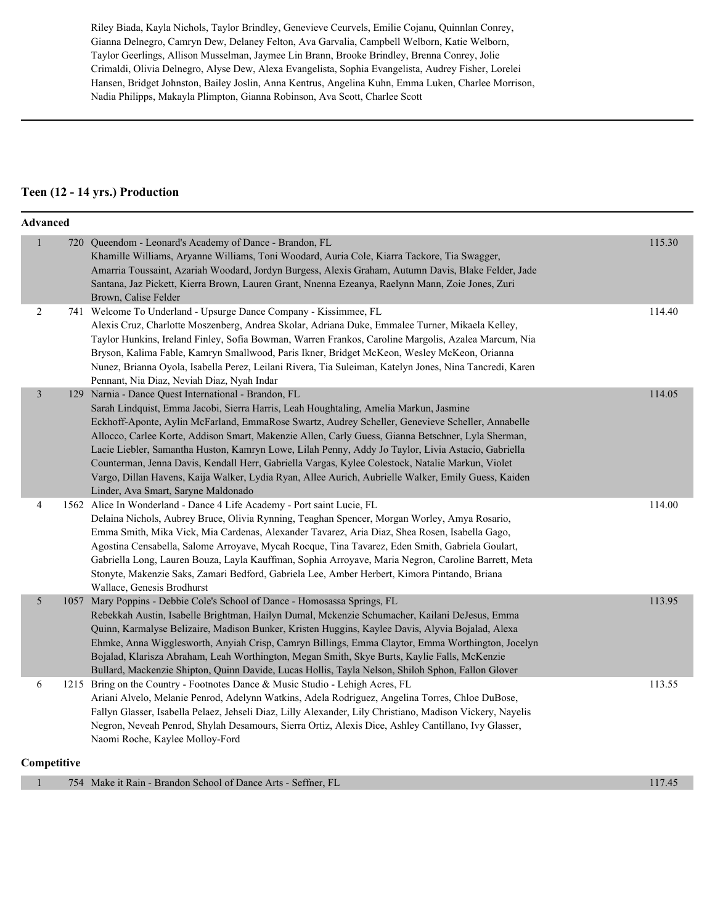Riley Biada, Kayla Nichols, Taylor Brindley, Genevieve Ceurvels, Emilie Cojanu, Quinnlan Conrey, Gianna Delnegro, Camryn Dew, Delaney Felton, Ava Garvalia, Campbell Welborn, Katie Welborn, Taylor Geerlings, Allison Musselman, Jaymee Lin Brann, Brooke Brindley, Brenna Conrey, Jolie Crimaldi, Olivia Delnegro, Alyse Dew, Alexa Evangelista, Sophia Evangelista, Audrey Fisher, Lorelei Hansen, Bridget Johnston, Bailey Joslin, Anna Kentrus, Angelina Kuhn, Emma Luken, Charlee Morrison, Nadia Philipps, Makayla Plimpton, Gianna Robinson, Ava Scott, Charlee Scott

#### **Teen (12 - 14 yrs.) Production**

|                | <b>Advanced</b> |                                                                                                                                                                                                                                                                                                                                                                                                                                                                                                                                                                                                                                                                                                                 |        |
|----------------|-----------------|-----------------------------------------------------------------------------------------------------------------------------------------------------------------------------------------------------------------------------------------------------------------------------------------------------------------------------------------------------------------------------------------------------------------------------------------------------------------------------------------------------------------------------------------------------------------------------------------------------------------------------------------------------------------------------------------------------------------|--------|
| $\mathbf{1}$   |                 | 720 Queendom - Leonard's Academy of Dance - Brandon, FL<br>Khamille Williams, Aryanne Williams, Toni Woodard, Auria Cole, Kiarra Tackore, Tia Swagger,<br>Amarria Toussaint, Azariah Woodard, Jordyn Burgess, Alexis Graham, Autumn Davis, Blake Felder, Jade<br>Santana, Jaz Pickett, Kierra Brown, Lauren Grant, Nnenna Ezeanya, Raelynn Mann, Zoie Jones, Zuri<br>Brown, Calise Felder                                                                                                                                                                                                                                                                                                                       | 115.30 |
| 2              |                 | 741 Welcome To Underland - Upsurge Dance Company - Kissimmee, FL<br>Alexis Cruz, Charlotte Moszenberg, Andrea Skolar, Adriana Duke, Emmalee Turner, Mikaela Kelley,<br>Taylor Hunkins, Ireland Finley, Sofia Bowman, Warren Frankos, Caroline Margolis, Azalea Marcum, Nia<br>Bryson, Kalima Fable, Kamryn Smallwood, Paris Ikner, Bridget McKeon, Wesley McKeon, Orianna<br>Nunez, Brianna Oyola, Isabella Perez, Leilani Rivera, Tia Suleiman, Katelyn Jones, Nina Tancredi, Karen<br>Pennant, Nia Diaz, Neviah Diaz, Nyah Indar                                                                                                                                                                              | 114.40 |
| $\overline{3}$ |                 | 129 Narnia - Dance Quest International - Brandon, FL<br>Sarah Lindquist, Emma Jacobi, Sierra Harris, Leah Houghtaling, Amelia Markun, Jasmine<br>Eckhoff-Aponte, Aylin McFarland, EmmaRose Swartz, Audrey Scheller, Genevieve Scheller, Annabelle<br>Allocco, Carlee Korte, Addison Smart, Makenzie Allen, Carly Guess, Gianna Betschner, Lyla Sherman,<br>Lacie Liebler, Samantha Huston, Kamryn Lowe, Lilah Penny, Addy Jo Taylor, Livia Astacio, Gabriella<br>Counterman, Jenna Davis, Kendall Herr, Gabriella Vargas, Kylee Colestock, Natalie Markun, Violet<br>Vargo, Dillan Havens, Kaija Walker, Lydia Ryan, Allee Aurich, Aubrielle Walker, Emily Guess, Kaiden<br>Linder, Ava Smart, Saryne Maldonado | 114.05 |
| 4              |                 | 1562 Alice In Wonderland - Dance 4 Life Academy - Port saint Lucie, FL<br>Delaina Nichols, Aubrey Bruce, Olivia Rynning, Teaghan Spencer, Morgan Worley, Amya Rosario,<br>Emma Smith, Mika Vick, Mia Cardenas, Alexander Tavarez, Aria Diaz, Shea Rosen, Isabella Gago,<br>Agostina Censabella, Salome Arroyave, Mycah Rocque, Tina Tavarez, Eden Smith, Gabriela Goulart,<br>Gabriella Long, Lauren Bouza, Layla Kauffman, Sophia Arroyave, Maria Negron, Caroline Barrett, Meta<br>Stonyte, Makenzie Saks, Zamari Bedford, Gabriela Lee, Amber Herbert, Kimora Pintando, Briana<br>Wallace, Genesis Brodhurst                                                                                                 | 114.00 |
| 5              |                 | 1057 Mary Poppins - Debbie Cole's School of Dance - Homosassa Springs, FL<br>Rebekkah Austin, Isabelle Brightman, Hailyn Dumal, Mckenzie Schumacher, Kailani DeJesus, Emma<br>Quinn, Karmalyse Belizaire, Madison Bunker, Kristen Huggins, Kaylee Davis, Alyvia Bojalad, Alexa<br>Ehmke, Anna Wigglesworth, Anyiah Crisp, Camryn Billings, Emma Claytor, Emma Worthington, Jocelyn<br>Bojalad, Klarisza Abraham, Leah Worthington, Megan Smith, Skye Burts, Kaylie Falls, McKenzie<br>Bullard, Mackenzie Shipton, Quinn Davide, Lucas Hollis, Tayla Nelson, Shiloh Sphon, Fallon Glover                                                                                                                         | 113.95 |
| 6              |                 | 1215 Bring on the Country - Footnotes Dance & Music Studio - Lehigh Acres, FL<br>Ariani Alvelo, Melanie Penrod, Adelynn Watkins, Adela Rodriguez, Angelina Torres, Chloe DuBose,<br>Fallyn Glasser, Isabella Pelaez, Jehseli Diaz, Lilly Alexander, Lily Christiano, Madison Vickery, Nayelis<br>Negron, Neveah Penrod, Shylah Desamours, Sierra Ortiz, Alexis Dice, Ashley Cantillano, Ivy Glasser,<br>Naomi Roche, Kaylee Molloy-Ford                                                                                                                                                                                                                                                                         | 113.55 |
|                | Competitive     |                                                                                                                                                                                                                                                                                                                                                                                                                                                                                                                                                                                                                                                                                                                 |        |

| 754 Make it Rain - Brandon School of Dance Arts - Seffner, FL | 17.45 |
|---------------------------------------------------------------|-------|
|                                                               |       |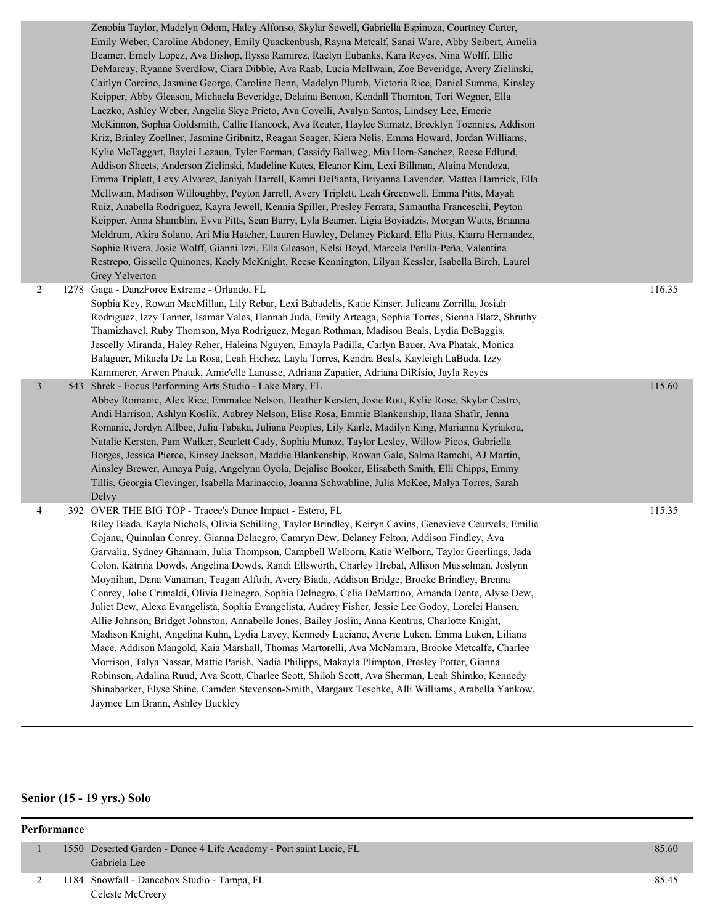| Zenobia Taylor, Madelyn Odom, Haley Alfonso, Skylar Sewell, Gabriella Espinoza, Courtney Carter,<br>Emily Weber, Caroline Abdoney, Emily Quackenbush, Rayna Metcalf, Sanai Ware, Abby Seibert, Amelia<br>Beamer, Emely Lopez, Ava Bishop, Ilyssa Ramirez, Raelyn Eubanks, Kara Reyes, Nina Wolff, Ellie<br>DeMarcay, Ryanne Sverdlow, Ciara Dibble, Ava Raab, Lucia McIlwain, Zoe Beveridge, Avery Zielinski,<br>Caitlyn Corcino, Jasmine George, Caroline Benn, Madelyn Plumb, Victoria Rice, Daniel Summa, Kinsley<br>Keipper, Abby Gleason, Michaela Beveridge, Delaina Benton, Kendall Thornton, Tori Wegner, Ella<br>Laczko, Ashley Weber, Angelia Skye Prieto, Ava Covelli, Avalyn Santos, Lindsey Lee, Emerie<br>McKinnon, Sophia Goldsmith, Callie Hancock, Ava Reuter, Haylee Stimatz, Brecklyn Toennies, Addison<br>Kriz, Brinley Zoellner, Jasmine Gribnitz, Reagan Seager, Kiera Nelis, Emma Howard, Jordan Williams,<br>Kylie McTaggart, Baylei Lezaun, Tyler Forman, Cassidy Ballweg, Mia Horn-Sanchez, Reese Edlund,<br>Addison Sheets, Anderson Zielinski, Madeline Kates, Eleanor Kim, Lexi Billman, Alaina Mendoza,<br>Emma Triplett, Lexy Alvarez, Janiyah Harrell, Kamri DePianta, Briyanna Lavender, Mattea Hamrick, Ella<br>McIlwain, Madison Willoughby, Peyton Jarrell, Avery Triplett, Leah Greenwell, Emma Pitts, Mayah<br>Ruiz, Anabella Rodriguez, Kayra Jewell, Kennia Spiller, Presley Ferrata, Samantha Franceschi, Peyton<br>Keipper, Anna Shamblin, Evva Pitts, Sean Barry, Lyla Beamer, Ligia Boyiadzis, Morgan Watts, Brianna<br>Meldrum, Akira Solano, Ari Mia Hatcher, Lauren Hawley, Delaney Pickard, Ella Pitts, Kiarra Hernandez,<br>Sophie Rivera, Josie Wolff, Gianni Izzi, Ella Gleason, Kelsi Boyd, Marcela Perilla-Peña, Valentina<br>Restrepo, Gisselle Quinones, Kaely McKnight, Reese Kennington, Lilyan Kessler, Isabella Birch, Laurel<br>Grey Yelverton |        |
|------------------------------------------------------------------------------------------------------------------------------------------------------------------------------------------------------------------------------------------------------------------------------------------------------------------------------------------------------------------------------------------------------------------------------------------------------------------------------------------------------------------------------------------------------------------------------------------------------------------------------------------------------------------------------------------------------------------------------------------------------------------------------------------------------------------------------------------------------------------------------------------------------------------------------------------------------------------------------------------------------------------------------------------------------------------------------------------------------------------------------------------------------------------------------------------------------------------------------------------------------------------------------------------------------------------------------------------------------------------------------------------------------------------------------------------------------------------------------------------------------------------------------------------------------------------------------------------------------------------------------------------------------------------------------------------------------------------------------------------------------------------------------------------------------------------------------------------------------------------------------------------------------------|--------|
| 1278 Gaga - DanzForce Extreme - Orlando, FL<br>Sophia Key, Rowan MacMillan, Lily Rebar, Lexi Babadelis, Katie Kinser, Julieana Zorrilla, Josiah<br>Rodriguez, Izzy Tanner, Isamar Vales, Hannah Juda, Emily Arteaga, Sophia Torres, Sienna Blatz, Shruthy<br>Thamizhavel, Ruby Thomson, Mya Rodriguez, Megan Rothman, Madison Beals, Lydia DeBaggis,<br>Jescelly Miranda, Haley Reher, Haleina Nguyen, Emayla Padilla, Carlyn Bauer, Ava Phatak, Monica<br>Balaguer, Mikaela De La Rosa, Leah Hichez, Layla Torres, Kendra Beals, Kayleigh LaBuda, Izzy<br>Kammerer, Arwen Phatak, Amie'elle Lanusse, Adriana Zapatier, Adriana DiRisio, Jayla Reyes                                                                                                                                                                                                                                                                                                                                                                                                                                                                                                                                                                                                                                                                                                                                                                                                                                                                                                                                                                                                                                                                                                                                                                                                                                                       | 116.35 |
| 543 Shrek - Focus Performing Arts Studio - Lake Mary, FL<br>Abbey Romanic, Alex Rice, Emmalee Nelson, Heather Kersten, Josie Rott, Kylie Rose, Skylar Castro,<br>Andi Harrison, Ashlyn Koslik, Aubrey Nelson, Elise Rosa, Emmie Blankenship, Ilana Shafir, Jenna<br>Romanic, Jordyn Allbee, Julia Tabaka, Juliana Peoples, Lily Karle, Madilyn King, Marianna Kyriakou,<br>Natalie Kersten, Pam Walker, Scarlett Cady, Sophia Munoz, Taylor Lesley, Willow Picos, Gabriella<br>Borges, Jessica Pierce, Kinsey Jackson, Maddie Blankenship, Rowan Gale, Salma Ramchi, AJ Martin,<br>Ainsley Brewer, Amaya Puig, Angelynn Oyola, Dejalise Booker, Elisabeth Smith, Elli Chipps, Emmy<br>Tillis, Georgia Clevinger, Isabella Marinaccio, Joanna Schwabline, Julia McKee, Malya Torres, Sarah                                                                                                                                                                                                                                                                                                                                                                                                                                                                                                                                                                                                                                                                                                                                                                                                                                                                                                                                                                                                                                                                                                                  | 115.60 |
| 392 OVER THE BIG TOP - Tracee's Dance Impact - Estero, FL<br>Riley Biada, Kayla Nichols, Olivia Schilling, Taylor Brindley, Keiryn Cavins, Genevieve Ceurvels, Emilie<br>Cojanu, Quinnlan Conrey, Gianna Delnegro, Camryn Dew, Delaney Felton, Addison Findley, Ava<br>Garvalia, Sydney Ghannam, Julia Thompson, Campbell Welborn, Katie Welborn, Taylor Geerlings, Jada<br>Colon, Katrina Dowds, Angelina Dowds, Randi Ellsworth, Charley Hrebal, Allison Musselman, Joslynn<br>Moynihan, Dana Vanaman, Teagan Alfuth, Avery Biada, Addison Bridge, Brooke Brindley, Brenna<br>Conrey, Jolie Crimaldi, Olivia Delnegro, Sophia Delnegro, Celia DeMartino, Amanda Dente, Alyse Dew,<br>Juliet Dew, Alexa Evangelista, Sophia Evangelista, Audrey Fisher, Jessie Lee Godoy, Lorelei Hansen,<br>Allie Johnson, Bridget Johnston, Annabelle Jones, Bailey Joslin, Anna Kentrus, Charlotte Knight,<br>Madison Knight, Angelina Kuhn, Lydia Lavey, Kennedy Luciano, Averie Luken, Emma Luken, Liliana<br>Mace, Addison Mangold, Kaia Marshall, Thomas Martorelli, Ava McNamara, Brooke Metcalfe, Charlee<br>Morrison, Talya Nassar, Mattie Parish, Nadia Philipps, Makayla Plimpton, Presley Potter, Gianna<br>Robinson, Adalina Ruud, Ava Scott, Charlee Scott, Shiloh Scott, Ava Sherman, Leah Shimko, Kennedy<br>Shinabarker, Elyse Shine, Camden Stevenson-Smith, Margaux Teschke, Alli Williams, Arabella Yankow,<br>Jaymee Lin Brann, Ashley Buckley                                                                                                                                                                                                                                                                                                                                                                                                                                                      | 115.35 |
|                                                                                                                                                                                                                                                                                                                                                                                                                                                                                                                                                                                                                                                                                                                                                                                                                                                                                                                                                                                                                                                                                                                                                                                                                                                                                                                                                                                                                                                                                                                                                                                                                                                                                                                                                                                                                                                                                                            | Delvy  |

# **Senior (15 - 19 yrs.) Solo**

| Performance |  |                                                                    |       |  |
|-------------|--|--------------------------------------------------------------------|-------|--|
|             |  | 1550 Deserted Garden - Dance 4 Life Academy - Port saint Lucie, FL | 85.60 |  |
|             |  | Gabriela Lee                                                       |       |  |
|             |  | 1184 Snowfall - Dancebox Studio - Tampa, FL                        | 85.45 |  |
|             |  | Celeste McCreery                                                   |       |  |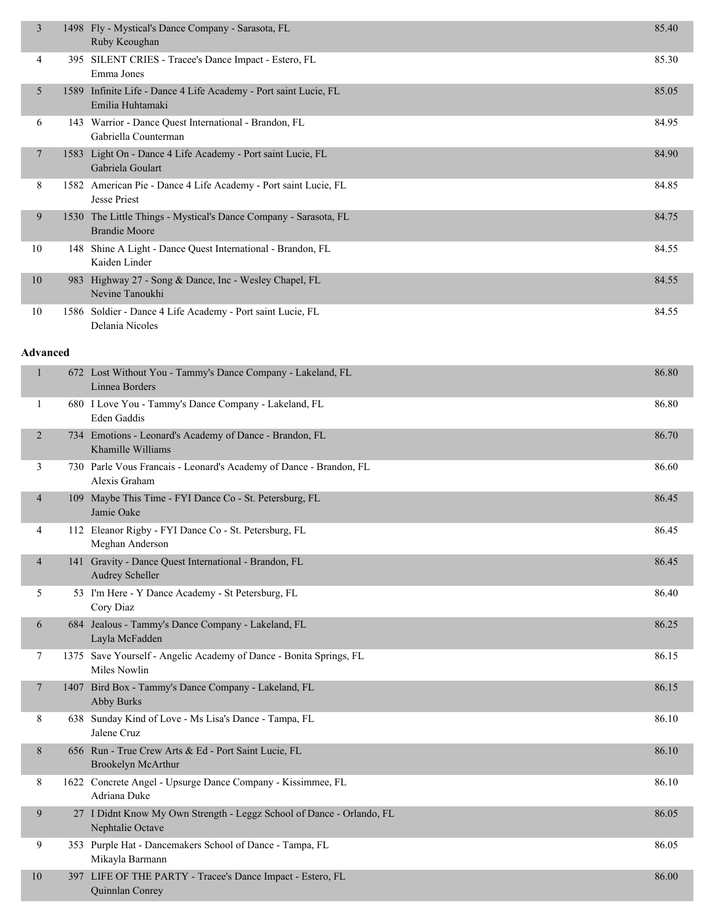| $\overline{3}$  | 1498 Fly - Mystical's Dance Company - Sarasota, FL<br>Ruby Keoughan                       | 85.40 |
|-----------------|-------------------------------------------------------------------------------------------|-------|
| 4               | 395 SILENT CRIES - Tracee's Dance Impact - Estero, FL<br>Emma Jones                       | 85.30 |
| 5               | 1589 Infinite Life - Dance 4 Life Academy - Port saint Lucie, FL<br>Emilia Huhtamaki      | 85.05 |
| 6               | 143 Warrior - Dance Quest International - Brandon, FL<br>Gabriella Counterman             | 84.95 |
| 7               | 1583 Light On - Dance 4 Life Academy - Port saint Lucie, FL<br>Gabriela Goulart           | 84.90 |
| 8               | 1582 American Pie - Dance 4 Life Academy - Port saint Lucie, FL<br>Jesse Priest           | 84.85 |
| 9               | 1530 The Little Things - Mystical's Dance Company - Sarasota, FL<br><b>Brandie Moore</b>  | 84.75 |
| 10              | 148 Shine A Light - Dance Quest International - Brandon, FL<br>Kaiden Linder              | 84.55 |
| $10\,$          | 983 Highway 27 - Song & Dance, Inc - Wesley Chapel, FL<br>Nevine Tanoukhi                 | 84.55 |
| 10              | 1586 Soldier - Dance 4 Life Academy - Port saint Lucie, FL<br>Delania Nicoles             | 84.55 |
| <b>Advanced</b> |                                                                                           |       |
| 1               | 672 Lost Without You - Tammy's Dance Company - Lakeland, FL<br>Linnea Borders             | 86.80 |
| 1               | 680 I Love You - Tammy's Dance Company - Lakeland, FL<br>Eden Gaddis                      | 86.80 |
| $\overline{2}$  | 734 Emotions - Leonard's Academy of Dance - Brandon, FL<br>Khamille Williams              | 86.70 |
| 3               | 730 Parle Vous Francais - Leonard's Academy of Dance - Brandon, FL<br>Alexis Graham       | 86.60 |
| 4               | 109 Maybe This Time - FYI Dance Co - St. Petersburg, FL<br>Jamie Oake                     | 86.45 |
| 4               | 112 Eleanor Rigby - FYI Dance Co - St. Petersburg, FL<br>Meghan Anderson                  | 86.45 |
| 4               | 141 Gravity - Dance Quest International - Brandon, FL<br><b>Audrey Scheller</b>           | 86.45 |
| 5               | 53 I'm Here - Y Dance Academy - St Petersburg, FL<br>Cory Diaz                            | 86.40 |
| 6               | 684 Jealous - Tammy's Dance Company - Lakeland, FL<br>Layla McFadden                      | 86.25 |
| 7               | 1375 Save Yourself - Angelic Academy of Dance - Bonita Springs, FL<br>Miles Nowlin        | 86.15 |
| 7               | 1407 Bird Box - Tammy's Dance Company - Lakeland, FL<br><b>Abby Burks</b>                 | 86.15 |
| 8               | 638 Sunday Kind of Love - Ms Lisa's Dance - Tampa, FL<br>Jalene Cruz                      | 86.10 |
| 8               | 656 Run - True Crew Arts & Ed - Port Saint Lucie, FL<br>Brookelyn McArthur                | 86.10 |
| 8               | 1622 Concrete Angel - Upsurge Dance Company - Kissimmee, FL<br>Adriana Duke               | 86.10 |
| 9               | 27 I Didnt Know My Own Strength - Leggz School of Dance - Orlando, FL<br>Nephtalie Octave | 86.05 |
| 9               | 353 Purple Hat - Dancemakers School of Dance - Tampa, FL<br>Mikayla Barmann               | 86.05 |
| 10              | 397 LIFE OF THE PARTY - Tracee's Dance Impact - Estero, FL                                | 86.00 |

Quinnlan Conrey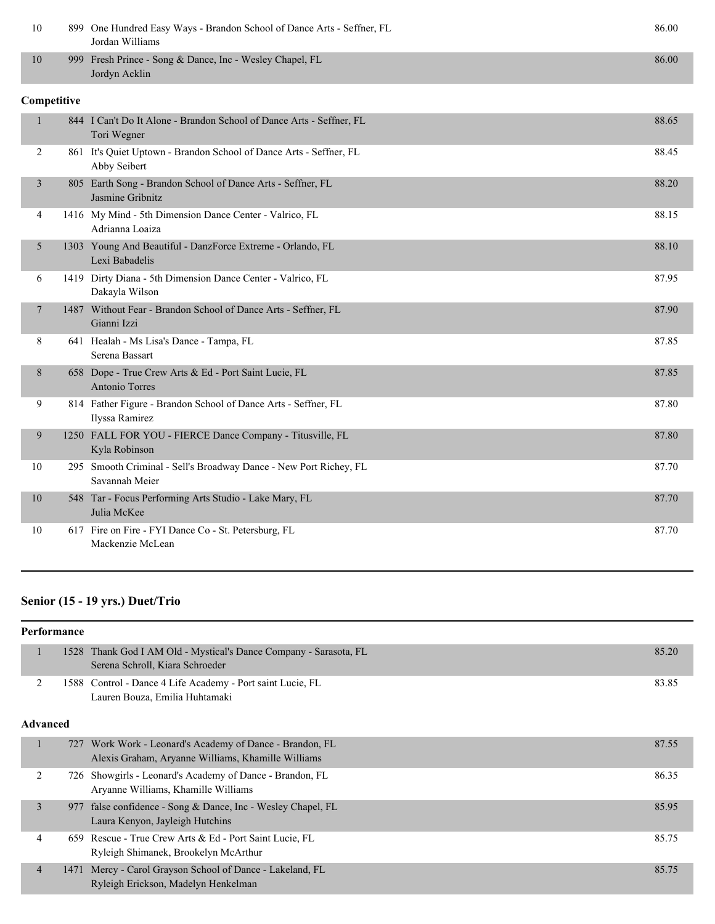| 10           | 899 One Hundred Easy Ways - Brandon School of Dance Arts - Seffner, FL<br>Jordan Williams | 86.00 |
|--------------|-------------------------------------------------------------------------------------------|-------|
| 10           | 999 Fresh Prince - Song & Dance, Inc - Wesley Chapel, FL<br>Jordyn Acklin                 | 86.00 |
| Competitive  |                                                                                           |       |
| $\mathbf{1}$ | 844 I Can't Do It Alone - Brandon School of Dance Arts - Seffner, FL<br>Tori Wegner       | 88.65 |
| 2            | 861 It's Quiet Uptown - Brandon School of Dance Arts - Seffner, FL<br>Abby Seibert        | 88.45 |
| 3            | 805 Earth Song - Brandon School of Dance Arts - Seffner, FL<br>Jasmine Gribnitz           | 88.20 |
| 4            | 1416 My Mind - 5th Dimension Dance Center - Valrico, FL<br>Adrianna Loaiza                | 88.15 |
| 5            | 1303 Young And Beautiful - DanzForce Extreme - Orlando, FL<br>Lexi Babadelis              | 88.10 |
| 6            | 1419 Dirty Diana - 5th Dimension Dance Center - Valrico, FL<br>Dakayla Wilson             | 87.95 |
| 7            | 1487 Without Fear - Brandon School of Dance Arts - Seffner, FL<br>Gianni Izzi             | 87.90 |
| 8            | 641 Healah - Ms Lisa's Dance - Tampa, FL<br>Serena Bassart                                | 87.85 |
| 8            | 658 Dope - True Crew Arts & Ed - Port Saint Lucie, FL<br>Antonio Torres                   | 87.85 |
| 9            | 814 Father Figure - Brandon School of Dance Arts - Seffner, FL<br>Ilyssa Ramirez          | 87.80 |
| 9            | 1250 FALL FOR YOU - FIERCE Dance Company - Titusville, FL<br>Kyla Robinson                | 87.80 |
| 10           | 295 Smooth Criminal - Sell's Broadway Dance - New Port Richey, FL<br>Savannah Meier       | 87.70 |
| 10           | 548 Tar - Focus Performing Arts Studio - Lake Mary, FL<br>Julia McKee                     | 87.70 |
| 10           | 617 Fire on Fire - FYI Dance Co - St. Petersburg, FL<br>Mackenzie McLean                  | 87.70 |

# **Senior (15 - 19 yrs.) Duet/Trio**

|                | Performance |                                                                                                            |       |  |
|----------------|-------------|------------------------------------------------------------------------------------------------------------|-------|--|
| ٠              | 1528        | Thank God I AM Old - Mystical's Dance Company - Sarasota, FL<br>Serena Schroll, Kiara Schroeder            | 85.20 |  |
| 2              | 1588        | Control - Dance 4 Life Academy - Port saint Lucie, FL<br>Lauren Bouza, Emilia Huhtamaki                    | 83.85 |  |
|                | Advanced    |                                                                                                            |       |  |
| 1              | 727         | Work Work - Leonard's Academy of Dance - Brandon, FL<br>Alexis Graham, Aryanne Williams, Khamille Williams | 87.55 |  |
| 2              |             | 726 Showgirls - Leonard's Academy of Dance - Brandon, FL<br>Aryanne Williams, Khamille Williams            | 86.35 |  |
| $\overline{3}$ | 977         | false confidence - Song & Dance, Inc - Wesley Chapel, FL<br>Laura Kenyon, Jayleigh Hutchins                | 85.95 |  |
| 4              | 659         | Rescue - True Crew Arts & Ed - Port Saint Lucie, FL<br>Ryleigh Shimanek, Brookelyn McArthur                | 85.75 |  |
| $\overline{4}$ |             | 1471 Mercy - Carol Grayson School of Dance - Lakeland, FL<br>Ryleigh Erickson, Madelyn Henkelman           | 85.75 |  |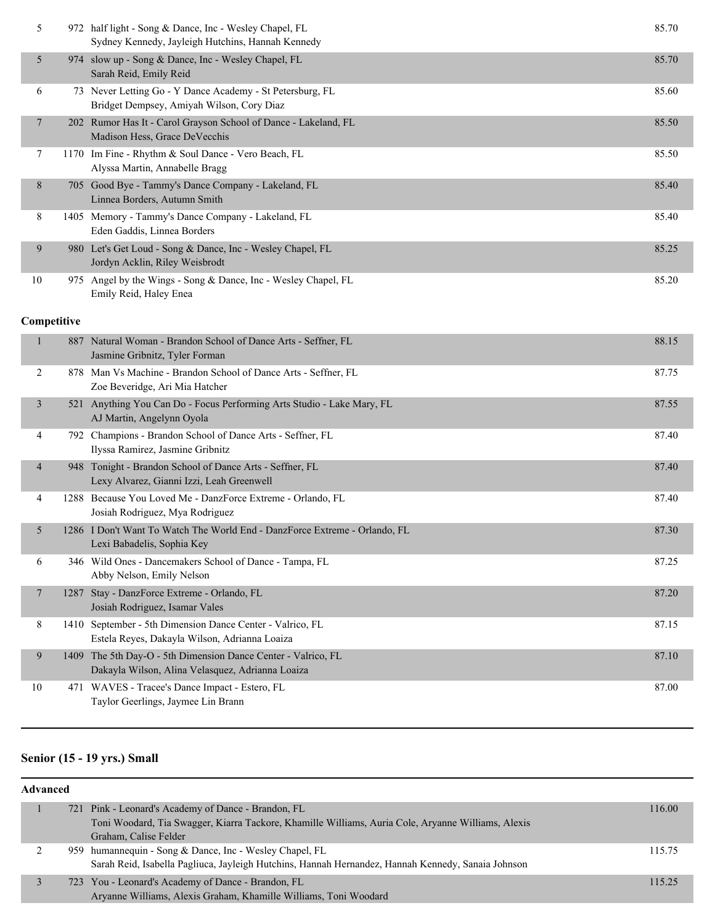| 5           |     | 972 half light - Song & Dance, Inc - Wesley Chapel, FL<br>Sydney Kennedy, Jayleigh Hutchins, Hannah Kennedy | 85.70 |
|-------------|-----|-------------------------------------------------------------------------------------------------------------|-------|
| 5           |     | 974 slow up - Song & Dance, Inc - Wesley Chapel, FL<br>Sarah Reid, Emily Reid                               | 85.70 |
| 6           |     | 73 Never Letting Go - Y Dance Academy - St Petersburg, FL<br>Bridget Dempsey, Amiyah Wilson, Cory Diaz      | 85.60 |
| 7           |     | 202 Rumor Has It - Carol Grayson School of Dance - Lakeland, FL<br>Madison Hess, Grace DeVecchis            | 85.50 |
| 7           |     | 1170 Im Fine - Rhythm & Soul Dance - Vero Beach, FL<br>Alyssa Martin, Annabelle Bragg                       | 85.50 |
| 8           |     | 705 Good Bye - Tammy's Dance Company - Lakeland, FL<br>Linnea Borders, Autumn Smith                         | 85.40 |
| 8           |     | 1405 Memory - Tammy's Dance Company - Lakeland, FL<br>Eden Gaddis, Linnea Borders                           | 85.40 |
| 9           |     | 980 Let's Get Loud - Song & Dance, Inc - Wesley Chapel, FL<br>Jordyn Acklin, Riley Weisbrodt                | 85.25 |
| 10          |     | 975 Angel by the Wings - Song & Dance, Inc - Wesley Chapel, FL<br>Emily Reid, Haley Enea                    | 85.20 |
| Competitive |     |                                                                                                             |       |
| 1           | 887 | Natural Woman - Brandon School of Dance Arts - Seffner, FL<br>Jasmine Gribnitz, Tyler Forman                | 88.15 |
| 2           |     | 878 Man Vs Machine - Brandon School of Dance Arts - Seffner, FL<br>Zoe Beveridge, Ari Mia Hatcher           | 87.75 |
| 3           | 521 | Anything You Can Do - Focus Performing Arts Studio - Lake Mary, FL<br>AJ Martin, Angelynn Oyola             | 87.55 |
| 4           | 792 | Champions - Brandon School of Dance Arts - Seffner, FL<br>Ilyssa Ramirez, Jasmine Gribnitz                  | 87.40 |

| 948 Tonight - Brandon School of Dance Arts - Seffner, FL<br>Lexy Alvarez, Gianni Izzi, Leah Greenwell | 87.40 |
|-------------------------------------------------------------------------------------------------------|-------|
| 1288 Because You Loved Me - DanzForce Extreme - Orlando, FL                                           | 87.40 |
| Lociah Podrimuaz Mya Podrimuaz                                                                        |       |

| 4              | 1288 Because You Loved Me - DanzForce Extreme - Orlando, FL<br>Josiah Rodriguez, Mya Rodriguez                    | 87.40 |
|----------------|-------------------------------------------------------------------------------------------------------------------|-------|
| 5 <sub>1</sub> | 1286 I Don't Want To Watch The World End - DanzForce Extreme - Orlando, FL<br>Lexi Babadelis, Sophia Key          | 87.30 |
| 6              | 346 Wild Ones - Dancemakers School of Dance - Tampa, FL<br>Abby Nelson, Emily Nelson                              | 87.25 |
| 7              | 1287 Stay - DanzForce Extreme - Orlando, FL<br>Josiah Rodriguez, Isamar Vales                                     | 87.20 |
| 8              | 1410 September - 5th Dimension Dance Center - Valrico, FL<br>Estela Reyes, Dakayla Wilson, Adrianna Loaiza        | 87.15 |
| 9              | 1409 The 5th Day-O - 5th Dimension Dance Center - Valrico, FL<br>Dakayla Wilson, Alina Velasquez, Adrianna Loaiza | 87.10 |
| 10             | 471 WAVES - Tracee's Dance Impact - Estero, FL<br>Taylor Geerlings, Jaymee Lin Brann                              | 87.00 |

# **Senior (15 - 19 yrs.) Small**

| <b>Advanced</b> |                                                                                                                                                                                    |        |  |  |
|-----------------|------------------------------------------------------------------------------------------------------------------------------------------------------------------------------------|--------|--|--|
|                 | 721 Pink - Leonard's Academy of Dance - Brandon, FL<br>Toni Woodard, Tia Swagger, Kiarra Tackore, Khamille Williams, Auria Cole, Aryanne Williams, Alexis<br>Graham, Calise Felder | 116.00 |  |  |
|                 | 959 humannequin - Song & Dance, Inc - Wesley Chapel, FL<br>Sarah Reid, Isabella Pagliuca, Jayleigh Hutchins, Hannah Hernandez, Hannah Kennedy, Sanaia Johnson                      | 115.75 |  |  |
|                 | 723 You - Leonard's Academy of Dance - Brandon, FL<br>Aryanne Williams, Alexis Graham, Khamille Williams, Toni Woodard                                                             | 115.25 |  |  |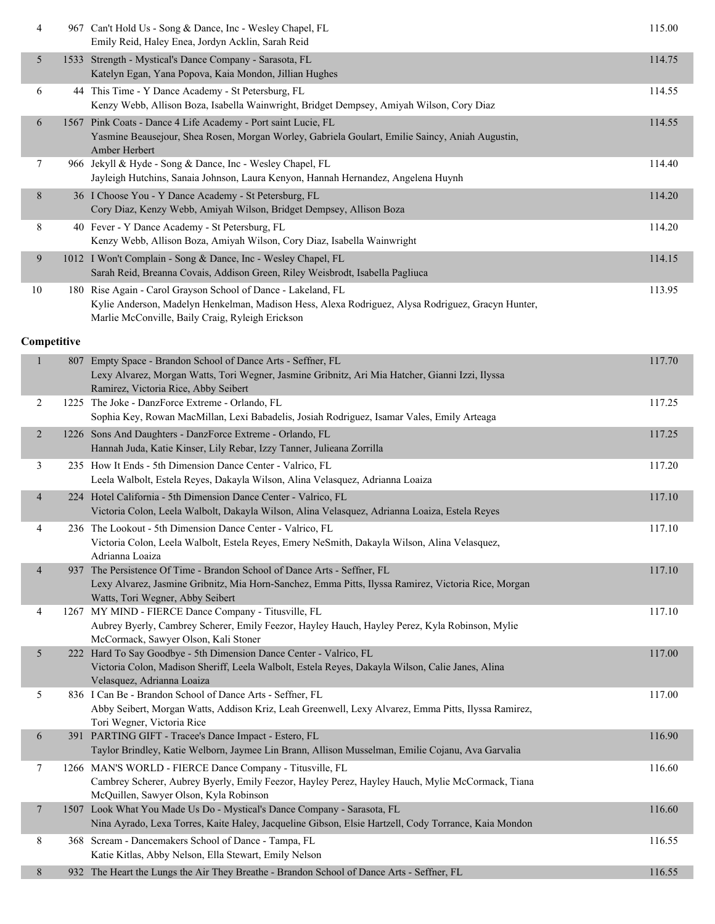| 4                        | 967 Can't Hold Us - Song & Dance, Inc - Wesley Chapel, FL<br>Emily Reid, Haley Enea, Jordyn Acklin, Sarah Reid                                                                                                         | 115.00 |
|--------------------------|------------------------------------------------------------------------------------------------------------------------------------------------------------------------------------------------------------------------|--------|
| 5                        | 1533 Strength - Mystical's Dance Company - Sarasota, FL<br>Katelyn Egan, Yana Popova, Kaia Mondon, Jillian Hughes                                                                                                      | 114.75 |
| 6                        | 44 This Time - Y Dance Academy - St Petersburg, FL<br>Kenzy Webb, Allison Boza, Isabella Wainwright, Bridget Dempsey, Amiyah Wilson, Cory Diaz                                                                         | 114.55 |
| 6                        | 1567 Pink Coats - Dance 4 Life Academy - Port saint Lucie, FL<br>Yasmine Beausejour, Shea Rosen, Morgan Worley, Gabriela Goulart, Emilie Saincy, Aniah Augustin,<br>Amber Herbert                                      | 114.55 |
| 7                        | 966 Jekyll & Hyde - Song & Dance, Inc - Wesley Chapel, FL<br>Jayleigh Hutchins, Sanaia Johnson, Laura Kenyon, Hannah Hernandez, Angelena Huynh                                                                         | 114.40 |
| 8                        | 36 I Choose You - Y Dance Academy - St Petersburg, FL<br>Cory Diaz, Kenzy Webb, Amiyah Wilson, Bridget Dempsey, Allison Boza                                                                                           | 114.20 |
| 8                        | 40 Fever - Y Dance Academy - St Petersburg, FL<br>Kenzy Webb, Allison Boza, Amiyah Wilson, Cory Diaz, Isabella Wainwright                                                                                              | 114.20 |
| 9                        | 1012 I Won't Complain - Song & Dance, Inc - Wesley Chapel, FL<br>Sarah Reid, Breanna Covais, Addison Green, Riley Weisbrodt, Isabella Pagliuca                                                                         | 114.15 |
| 10                       | 180 Rise Again - Carol Grayson School of Dance - Lakeland, FL<br>Kylie Anderson, Madelyn Henkelman, Madison Hess, Alexa Rodriguez, Alysa Rodriguez, Gracyn Hunter,<br>Marlie McConville, Baily Craig, Ryleigh Erickson | 113.95 |
| Competitive              |                                                                                                                                                                                                                        |        |
| 1                        | 807 Empty Space - Brandon School of Dance Arts - Seffner, FL<br>Lexy Alvarez, Morgan Watts, Tori Wegner, Jasmine Gribnitz, Ari Mia Hatcher, Gianni Izzi, Ilyssa<br>Ramirez, Victoria Rice, Abby Seibert                | 117.70 |
| 2                        | 1225 The Joke - DanzForce Extreme - Orlando, FL<br>Sophia Key, Rowan MacMillan, Lexi Babadelis, Josiah Rodriguez, Isamar Vales, Emily Arteaga                                                                          | 117.25 |
| $\overline{c}$           | 1226 Sons And Daughters - DanzForce Extreme - Orlando, FL<br>Hannah Juda, Katie Kinser, Lily Rebar, Izzy Tanner, Julieana Zorrilla                                                                                     | 117.25 |
| 3                        | 235 How It Ends - 5th Dimension Dance Center - Valrico, FL<br>Leela Walbolt, Estela Reyes, Dakayla Wilson, Alina Velasquez, Adrianna Loaiza                                                                            | 117.20 |
| 4                        | 224 Hotel California - 5th Dimension Dance Center - Valrico, FL<br>Victoria Colon, Leela Walbolt, Dakayla Wilson, Alina Velasquez, Adrianna Loaiza, Estela Reyes                                                       | 117.10 |
| 4                        | 236 The Lookout - 5th Dimension Dance Center - Valrico, FL<br>Victoria Colon, Leela Walbolt, Estela Reyes, Emery NeSmith, Dakayla Wilson, Alina Velasquez,<br>Adrianna Loaiza                                          | 117.10 |
| $\overline{\mathcal{A}}$ | 937 The Persistence Of Time - Brandon School of Dance Arts - Seffner, FL<br>Lexy Alvarez, Jasmine Gribnitz, Mia Horn-Sanchez, Emma Pitts, Ilyssa Ramirez, Victoria Rice, Morgan<br>Watts, Tori Wegner, Abby Seibert    | 117.10 |
| 4                        | 1267 MY MIND - FIERCE Dance Company - Titusville, FL<br>Aubrey Byerly, Cambrey Scherer, Emily Feezor, Hayley Hauch, Hayley Perez, Kyla Robinson, Mylie<br>McCormack, Sawyer Olson, Kali Stoner                         | 117.10 |
| 5                        | 222 Hard To Say Goodbye - 5th Dimension Dance Center - Valrico, FL<br>Victoria Colon, Madison Sheriff, Leela Walbolt, Estela Reyes, Dakayla Wilson, Calie Janes, Alina<br>Velasquez, Adrianna Loaiza                   | 117.00 |
| 5                        | 836 I Can Be - Brandon School of Dance Arts - Seffner, FL<br>Abby Seibert, Morgan Watts, Addison Kriz, Leah Greenwell, Lexy Alvarez, Emma Pitts, Ilyssa Ramirez,<br>Tori Wegner, Victoria Rice                         | 117.00 |
| 6                        | 391 PARTING GIFT - Tracee's Dance Impact - Estero, FL<br>Taylor Brindley, Katie Welborn, Jaymee Lin Brann, Allison Musselman, Emilie Cojanu, Ava Garvalia                                                              | 116.90 |
| 7                        | 1266 MAN'S WORLD - FIERCE Dance Company - Titusville, FL<br>Cambrey Scherer, Aubrey Byerly, Emily Feezor, Hayley Perez, Hayley Hauch, Mylie McCormack, Tiana<br>McQuillen, Sawyer Olson, Kyla Robinson                 | 116.60 |
| 7                        | 1507 Look What You Made Us Do - Mystical's Dance Company - Sarasota, FL<br>Nina Ayrado, Lexa Torres, Kaite Haley, Jacqueline Gibson, Elsie Hartzell, Cody Torrance, Kaia Mondon                                        | 116.60 |
| 8                        | 368 Scream - Dancemakers School of Dance - Tampa, FL<br>Katie Kitlas, Abby Nelson, Ella Stewart, Emily Nelson                                                                                                          | 116.55 |
| 8                        | 932 The Heart the Lungs the Air They Breathe - Brandon School of Dance Arts - Seffner, FL                                                                                                                              | 116.55 |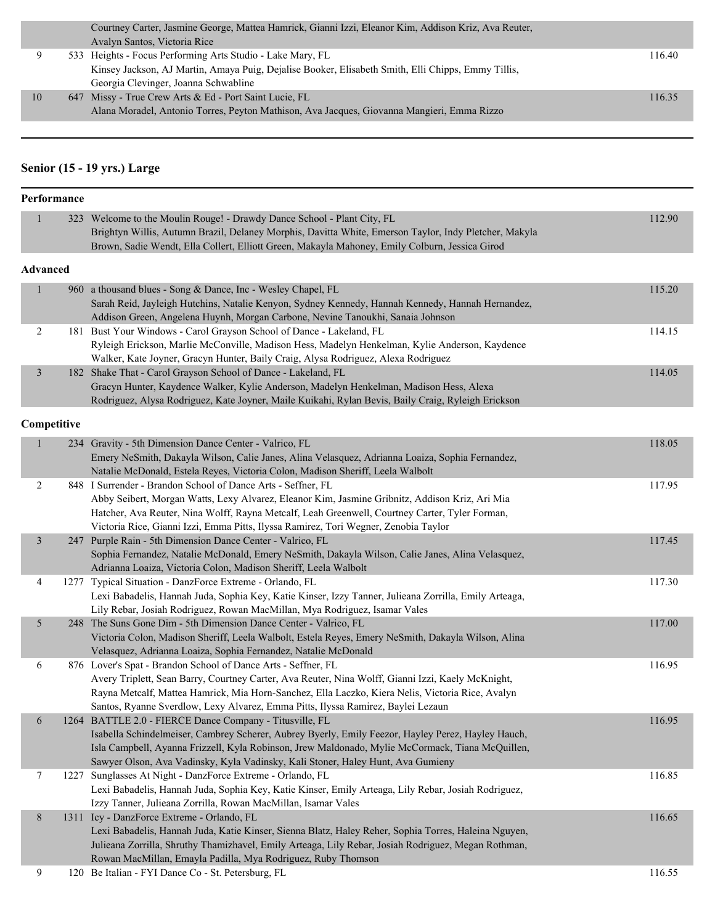|    | Courtney Carter, Jasmine George, Mattea Hamrick, Gianni Izzi, Eleanor Kim, Addison Kriz, Ava Reuter, |        |
|----|------------------------------------------------------------------------------------------------------|--------|
|    | Avalyn Santos, Victoria Rice                                                                         |        |
|    | 533 Heights - Focus Performing Arts Studio - Lake Mary, FL                                           | 116.40 |
|    | Kinsey Jackson, AJ Martin, Amaya Puig, Dejalise Booker, Elisabeth Smith, Elli Chipps, Emmy Tillis,   |        |
|    | Georgia Clevinger, Joanna Schwabline                                                                 |        |
| 10 | 647 Missy - True Crew Arts & Ed - Port Saint Lucie, FL                                               | 116.35 |
|    | Alana Moradel, Antonio Torres, Peyton Mathison, Ava Jacques, Giovanna Mangieri, Emma Rizzo           |        |
|    |                                                                                                      |        |

# **Senior (15 - 19 yrs.) Large**

|                | Performance |                                                                                                                                                                                                                                                                                                                                                            |        |
|----------------|-------------|------------------------------------------------------------------------------------------------------------------------------------------------------------------------------------------------------------------------------------------------------------------------------------------------------------------------------------------------------------|--------|
| $\mathbf{1}$   |             | 323 Welcome to the Moulin Rouge! - Drawdy Dance School - Plant City, FL<br>Brightyn Willis, Autumn Brazil, Delaney Morphis, Davitta White, Emerson Taylor, Indy Pletcher, Makyla<br>Brown, Sadie Wendt, Ella Collert, Elliott Green, Makayla Mahoney, Emily Colburn, Jessica Girod                                                                         | 112.90 |
| Advanced       |             |                                                                                                                                                                                                                                                                                                                                                            |        |
| $\mathbf{1}$   |             | 960 a thousand blues - Song & Dance, Inc - Wesley Chapel, FL<br>Sarah Reid, Jayleigh Hutchins, Natalie Kenyon, Sydney Kennedy, Hannah Kennedy, Hannah Hernandez,<br>Addison Green, Angelena Huynh, Morgan Carbone, Nevine Tanoukhi, Sanaia Johnson                                                                                                         | 115.20 |
| $\overline{c}$ |             | 181 Bust Your Windows - Carol Grayson School of Dance - Lakeland, FL<br>Ryleigh Erickson, Marlie McConville, Madison Hess, Madelyn Henkelman, Kylie Anderson, Kaydence<br>Walker, Kate Joyner, Gracyn Hunter, Baily Craig, Alysa Rodriguez, Alexa Rodriguez                                                                                                | 114.15 |
| $\mathfrak{Z}$ |             | 182 Shake That - Carol Grayson School of Dance - Lakeland, FL<br>Gracyn Hunter, Kaydence Walker, Kylie Anderson, Madelyn Henkelman, Madison Hess, Alexa<br>Rodriguez, Alysa Rodriguez, Kate Joyner, Maile Kuikahi, Rylan Bevis, Baily Craig, Ryleigh Erickson                                                                                              | 114.05 |
|                | Competitive |                                                                                                                                                                                                                                                                                                                                                            |        |
| $\mathbf{1}$   |             | 234 Gravity - 5th Dimension Dance Center - Valrico, FL<br>Emery NeSmith, Dakayla Wilson, Calie Janes, Alina Velasquez, Adrianna Loaiza, Sophia Fernandez,<br>Natalie McDonald, Estela Reyes, Victoria Colon, Madison Sheriff, Leela Walbolt                                                                                                                | 118.05 |
| $\overline{c}$ |             | 848 I Surrender - Brandon School of Dance Arts - Seffner, FL<br>Abby Seibert, Morgan Watts, Lexy Alvarez, Eleanor Kim, Jasmine Gribnitz, Addison Kriz, Ari Mia<br>Hatcher, Ava Reuter, Nina Wolff, Rayna Metcalf, Leah Greenwell, Courtney Carter, Tyler Forman,<br>Victoria Rice, Gianni Izzi, Emma Pitts, Ilyssa Ramirez, Tori Wegner, Zenobia Taylor    | 117.95 |
| $\mathfrak{Z}$ |             | 247 Purple Rain - 5th Dimension Dance Center - Valrico, FL<br>Sophia Fernandez, Natalie McDonald, Emery NeSmith, Dakayla Wilson, Calie Janes, Alina Velasquez,<br>Adrianna Loaiza, Victoria Colon, Madison Sheriff, Leela Walbolt                                                                                                                          | 117.45 |
| 4              |             | 1277 Typical Situation - DanzForce Extreme - Orlando, FL<br>Lexi Babadelis, Hannah Juda, Sophia Key, Katie Kinser, Izzy Tanner, Julieana Zorrilla, Emily Arteaga,<br>Lily Rebar, Josiah Rodriguez, Rowan MacMillan, Mya Rodriguez, Isamar Vales                                                                                                            | 117.30 |
| $\mathfrak{S}$ |             | 248 The Suns Gone Dim - 5th Dimension Dance Center - Valrico, FL<br>Victoria Colon, Madison Sheriff, Leela Walbolt, Estela Reyes, Emery NeSmith, Dakayla Wilson, Alina<br>Velasquez, Adrianna Loaiza, Sophia Fernandez, Natalie McDonald                                                                                                                   | 117.00 |
| 6              |             | 876 Lover's Spat - Brandon School of Dance Arts - Seffner, FL<br>Avery Triplett, Sean Barry, Courtney Carter, Ava Reuter, Nina Wolff, Gianni Izzi, Kaely McKnight,<br>Rayna Metcalf, Mattea Hamrick, Mia Horn-Sanchez, Ella Laczko, Kiera Nelis, Victoria Rice, Avalyn<br>Santos, Ryanne Sverdlow, Lexy Alvarez, Emma Pitts, Ilyssa Ramirez, Baylei Lezaun | 116.95 |
| 6              |             | 1264 BATTLE 2.0 - FIERCE Dance Company - Titusville, FL<br>Isabella Schindelmeiser, Cambrey Scherer, Aubrey Byerly, Emily Feezor, Hayley Perez, Hayley Hauch,<br>Isla Campbell, Ayanna Frizzell, Kyla Robinson, Jrew Maldonado, Mylie McCormack, Tiana McQuillen,<br>Sawyer Olson, Ava Vadinsky, Kyla Vadinsky, Kali Stoner, Haley Hunt, Ava Gumieny       | 116.95 |
| 7              |             | 1227 Sunglasses At Night - DanzForce Extreme - Orlando, FL<br>Lexi Babadelis, Hannah Juda, Sophia Key, Katie Kinser, Emily Arteaga, Lily Rebar, Josiah Rodriguez,<br>Izzy Tanner, Julieana Zorrilla, Rowan MacMillan, Isamar Vales                                                                                                                         | 116.85 |
| $\,8$          |             | 1311 Icy - DanzForce Extreme - Orlando, FL<br>Lexi Babadelis, Hannah Juda, Katie Kinser, Sienna Blatz, Haley Reher, Sophia Torres, Haleina Nguyen,<br>Julieana Zorrilla, Shruthy Thamizhavel, Emily Arteaga, Lily Rebar, Josiah Rodriguez, Megan Rothman,<br>Rowan MacMillan, Emayla Padilla, Mya Rodriguez, Ruby Thomson                                  | 116.65 |
| 9              |             | 120 Be Italian - FYI Dance Co - St. Petersburg, FL                                                                                                                                                                                                                                                                                                         | 116.55 |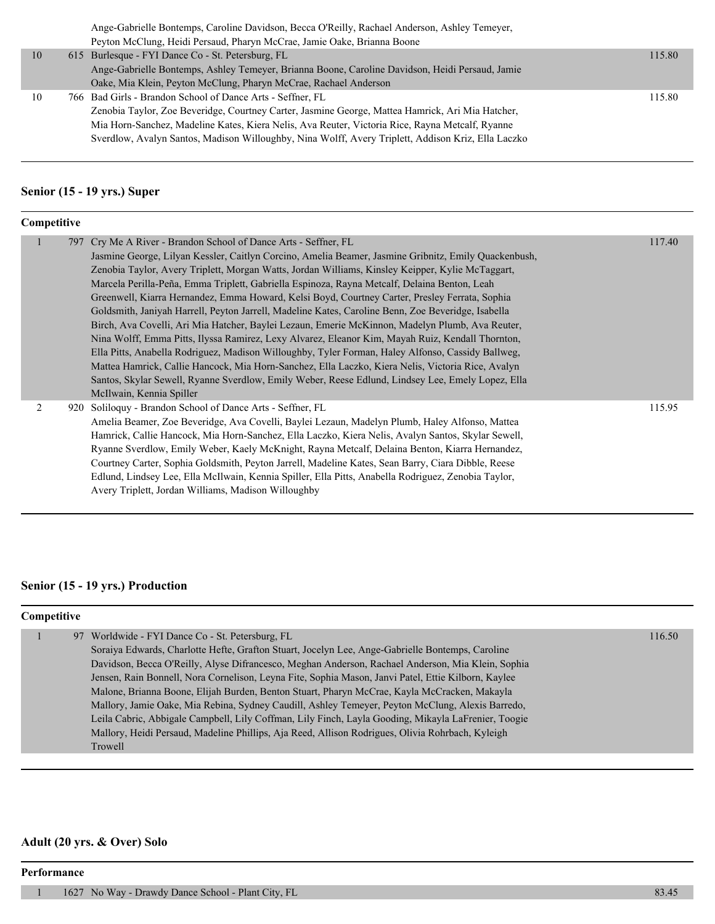|    | Ange-Gabrielle Bontemps, Caroline Davidson, Becca O'Reilly, Rachael Anderson, Ashley Temeyer,      |        |
|----|----------------------------------------------------------------------------------------------------|--------|
|    | Peyton McClung, Heidi Persaud, Pharyn McCrae, Jamie Oake, Brianna Boone                            |        |
| 10 | 615 Burlesque - FYI Dance Co - St. Petersburg, FL                                                  | 115.80 |
|    | Ange-Gabrielle Bontemps, Ashley Temeyer, Brianna Boone, Caroline Davidson, Heidi Persaud, Jamie    |        |
|    | Oake, Mia Klein, Peyton McClung, Pharyn McCrae, Rachael Anderson                                   |        |
| 10 | 766 Bad Girls - Brandon School of Dance Arts - Seffner, FL                                         | 115.80 |
|    | Zenobia Taylor, Zoe Beveridge, Courtney Carter, Jasmine George, Mattea Hamrick, Ari Mia Hatcher,   |        |
|    | Mia Horn-Sanchez, Madeline Kates, Kiera Nelis, Ava Reuter, Victoria Rice, Rayna Metcalf, Ryanne    |        |
|    | Sverdlow, Avalyn Santos, Madison Willoughby, Nina Wolff, Avery Triplett, Addison Kriz, Ella Laczko |        |
|    |                                                                                                    |        |

#### **Senior (15 - 19 yrs.) Super**

| Competitive  |  |                                                                                                                                                                                                                                                                                                                                                                                                                                                                                                                                                                                                                                                                                                                                                                                                                                                                                                                                                                                                                                                                                                                                       |  |        |
|--------------|--|---------------------------------------------------------------------------------------------------------------------------------------------------------------------------------------------------------------------------------------------------------------------------------------------------------------------------------------------------------------------------------------------------------------------------------------------------------------------------------------------------------------------------------------------------------------------------------------------------------------------------------------------------------------------------------------------------------------------------------------------------------------------------------------------------------------------------------------------------------------------------------------------------------------------------------------------------------------------------------------------------------------------------------------------------------------------------------------------------------------------------------------|--|--------|
| $\mathbf{1}$ |  | 797 Cry Me A River - Brandon School of Dance Arts - Seffner, FL<br>Jasmine George, Lilyan Kessler, Caitlyn Corcino, Amelia Beamer, Jasmine Gribnitz, Emily Quackenbush,<br>Zenobia Taylor, Avery Triplett, Morgan Watts, Jordan Williams, Kinsley Keipper, Kylie McTaggart,<br>Marcela Perilla-Peña, Emma Triplett, Gabriella Espinoza, Rayna Metcalf, Delaina Benton, Leah<br>Greenwell, Kiarra Hernandez, Emma Howard, Kelsi Boyd, Courtney Carter, Presley Ferrata, Sophia<br>Goldsmith, Janiyah Harrell, Peyton Jarrell, Madeline Kates, Caroline Benn, Zoe Beveridge, Isabella<br>Birch, Ava Covelli, Ari Mia Hatcher, Baylei Lezaun, Emerie McKinnon, Madelyn Plumb, Ava Reuter,<br>Nina Wolff, Emma Pitts, Ilyssa Ramirez, Lexy Alvarez, Eleanor Kim, Mayah Ruiz, Kendall Thornton,<br>Ella Pitts, Anabella Rodriguez, Madison Willoughby, Tyler Forman, Haley Alfonso, Cassidy Ballweg,<br>Mattea Hamrick, Callie Hancock, Mia Horn-Sanchez, Ella Laczko, Kiera Nelis, Victoria Rice, Avalyn<br>Santos, Skylar Sewell, Ryanne Sverdlow, Emily Weber, Reese Edlund, Lindsey Lee, Emely Lopez, Ella<br>McIlwain, Kennia Spiller |  | 117.40 |
| 2            |  | 920 Soliloguy - Brandon School of Dance Arts - Seffner, FL<br>Amelia Beamer, Zoe Beveridge, Ava Covelli, Baylei Lezaun, Madelyn Plumb, Haley Alfonso, Mattea<br>Hamrick, Callie Hancock, Mia Horn-Sanchez, Ella Laczko, Kiera Nelis, Avalyn Santos, Skylar Sewell,<br>Ryanne Sverdlow, Emily Weber, Kaely McKnight, Rayna Metcalf, Delaina Benton, Kiarra Hernandez,<br>Courtney Carter, Sophia Goldsmith, Peyton Jarrell, Madeline Kates, Sean Barry, Ciara Dibble, Reese<br>Edlund, Lindsey Lee, Ella McIlwain, Kennia Spiller, Ella Pitts, Anabella Rodriguez, Zenobia Taylor,<br>Avery Triplett, Jordan Williams, Madison Willoughby                                                                                                                                                                                                                                                                                                                                                                                                                                                                                              |  | 115.95 |

# **Senior (15 - 19 yrs.) Production**

#### **Competitive**

| 97 Worldwide - FYI Dance Co - St. Petersburg, FL                                                    | 116.50 |
|-----------------------------------------------------------------------------------------------------|--------|
| Soraiya Edwards, Charlotte Hefte, Grafton Stuart, Jocelyn Lee, Ange-Gabrielle Bontemps, Caroline    |        |
| Davidson, Becca O'Reilly, Alyse Difrancesco, Meghan Anderson, Rachael Anderson, Mia Klein, Sophia   |        |
| Jensen, Rain Bonnell, Nora Cornelison, Leyna Fite, Sophia Mason, Janvi Patel, Ettie Kilborn, Kaylee |        |
| Malone, Brianna Boone, Elijah Burden, Benton Stuart, Pharyn McCrae, Kayla McCracken, Makayla        |        |
| Mallory, Jamie Oake, Mia Rebina, Sydney Caudill, Ashley Temeyer, Peyton McClung, Alexis Barredo,    |        |
| Leila Cabric, Abbigale Campbell, Lily Coffman, Lily Finch, Layla Gooding, Mikayla LaFrenier, Toogie |        |
| Mallory, Heidi Persaud, Madeline Phillips, Aja Reed, Allison Rodrigues, Olivia Rohrbach, Kyleigh    |        |
| Trowell                                                                                             |        |
|                                                                                                     |        |

# **Adult (20 yrs. & Over) Solo**